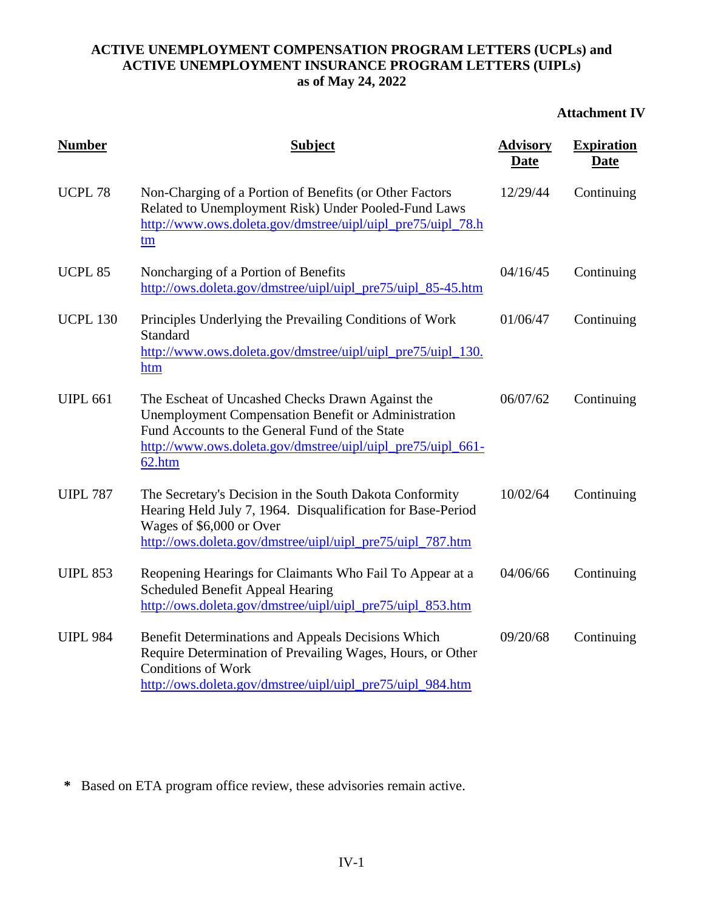# **Attachment IV**

| <b>Number</b>      | <b>Subject</b>                                                                                                                                                                                                                     | <b>Advisory</b><br><b>Date</b> | <b>Expiration</b><br>Date |
|--------------------|------------------------------------------------------------------------------------------------------------------------------------------------------------------------------------------------------------------------------------|--------------------------------|---------------------------|
| UCPL <sub>78</sub> | Non-Charging of a Portion of Benefits (or Other Factors<br>Related to Unemployment Risk) Under Pooled-Fund Laws<br>http://www.ows.doleta.gov/dmstree/uipl/uipl_pre75/uipl_78.h<br>tm                                               | 12/29/44                       | Continuing                |
| <b>UCPL 85</b>     | Noncharging of a Portion of Benefits<br>http://ows.doleta.gov/dmstree/uipl/uipl_pre75/uipl_85-45.htm                                                                                                                               | 04/16/45                       | Continuing                |
| <b>UCPL 130</b>    | Principles Underlying the Prevailing Conditions of Work<br><b>Standard</b><br>http://www.ows.doleta.gov/dmstree/uipl/uipl_pre75/uipl_130.<br>htm                                                                                   | 01/06/47                       | Continuing                |
| <b>UIPL 661</b>    | The Escheat of Uncashed Checks Drawn Against the<br>Unemployment Compensation Benefit or Administration<br>Fund Accounts to the General Fund of the State<br>http://www.ows.doleta.gov/dmstree/uipl/uipl_pre75/uipl_661-<br>62.htm | 06/07/62                       | Continuing                |
| <b>UIPL 787</b>    | The Secretary's Decision in the South Dakota Conformity<br>Hearing Held July 7, 1964. Disqualification for Base-Period<br>Wages of \$6,000 or Over<br>http://ows.doleta.gov/dmstree/uipl/uipl_pre75/uipl_787.htm                   | 10/02/64                       | Continuing                |
| <b>UIPL 853</b>    | Reopening Hearings for Claimants Who Fail To Appear at a<br><b>Scheduled Benefit Appeal Hearing</b><br>http://ows.doleta.gov/dmstree/uipl/uipl_pre75/uipl_853.htm                                                                  | 04/06/66                       | Continuing                |
| <b>UIPL 984</b>    | Benefit Determinations and Appeals Decisions Which<br>Require Determination of Prevailing Wages, Hours, or Other<br><b>Conditions of Work</b><br>http://ows.doleta.gov/dmstree/uipl/uipl_pre75/uipl_984.htm                        | 09/20/68                       | Continuing                |

**\*** Based on ETA program office review, these advisories remain active.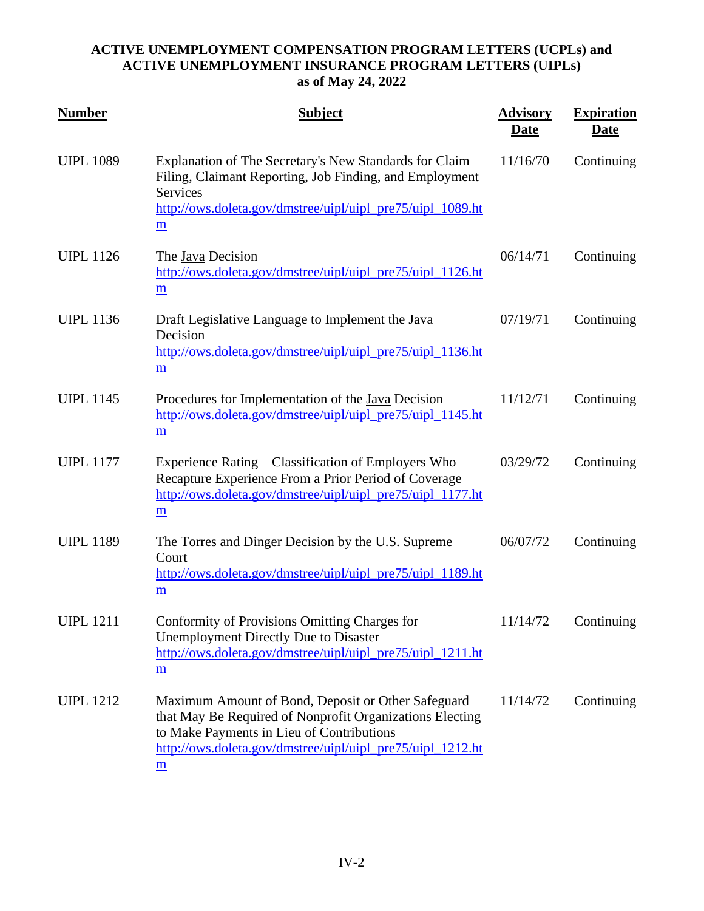| <u>Number</u>    | <b>Subject</b>                                                                                                                                                                                                                 | <b>Advisory</b><br>Date | <b>Expiration</b><br><u>Date</u> |
|------------------|--------------------------------------------------------------------------------------------------------------------------------------------------------------------------------------------------------------------------------|-------------------------|----------------------------------|
| <b>UIPL 1089</b> | Explanation of The Secretary's New Standards for Claim<br>Filing, Claimant Reporting, Job Finding, and Employment<br><b>Services</b><br>http://ows.doleta.gov/dmstree/uipl/uipl_pre75/uipl_1089.ht<br>$\underline{\mathbf{m}}$ | 11/16/70                | Continuing                       |
| <b>UIPL 1126</b> | The Java Decision<br>http://ows.doleta.gov/dmstree/uipl/uipl_pre75/uipl_1126.ht<br>$\underline{\mathbf{m}}$                                                                                                                    | 06/14/71                | Continuing                       |
| <b>UIPL 1136</b> | Draft Legislative Language to Implement the Java<br>Decision<br>http://ows.doleta.gov/dmstree/uipl/uipl_pre75/uipl_1136.ht<br>m                                                                                                | 07/19/71                | Continuing                       |
| <b>UIPL 1145</b> | Procedures for Implementation of the <u>Java</u> Decision<br>http://ows.doleta.gov/dmstree/uipl/uipl_pre75/uipl_1145.ht<br>$\underline{\mathbf{m}}$                                                                            | 11/12/71                | Continuing                       |
| <b>UIPL 1177</b> | Experience Rating – Classification of Employers Who<br>Recapture Experience From a Prior Period of Coverage<br>http://ows.doleta.gov/dmstree/uipl/uipl_pre75/uipl_1177.ht<br>$\underline{\mathbf{m}}$                          | 03/29/72                | Continuing                       |
| <b>UIPL 1189</b> | The Torres and Dinger Decision by the U.S. Supreme<br>Court<br>http://ows.doleta.gov/dmstree/uipl/uipl_pre75/uipl_1189.ht<br>$\underline{\mathbf{m}}$                                                                          | 06/07/72                | Continuing                       |
| <b>UIPL 1211</b> | Conformity of Provisions Omitting Charges for<br><b>Unemployment Directly Due to Disaster</b><br>http://ows.doleta.gov/dmstree/uipl/uipl_pre75/uipl_1211.ht<br>m                                                               | 11/14/72                | Continuing                       |
| <b>UIPL 1212</b> | Maximum Amount of Bond, Deposit or Other Safeguard<br>that May Be Required of Nonprofit Organizations Electing<br>to Make Payments in Lieu of Contributions<br>http://ows.doleta.gov/dmstree/uipl/uipl_pre75/uipl_1212.ht<br>m | 11/14/72                | Continuing                       |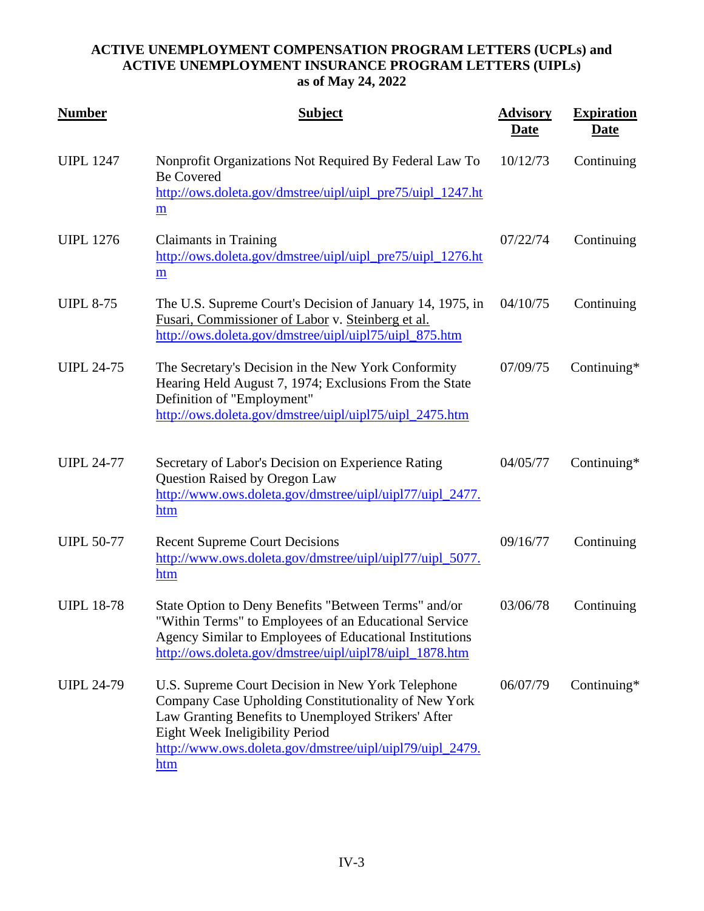| <b>Number</b>     | <b>Subject</b>                                                                                                                                                                                                                                                         | <b>Advisory</b><br><b>Date</b> | <b>Expiration</b><br><u>Date</u> |
|-------------------|------------------------------------------------------------------------------------------------------------------------------------------------------------------------------------------------------------------------------------------------------------------------|--------------------------------|----------------------------------|
| <b>UIPL 1247</b>  | Nonprofit Organizations Not Required By Federal Law To<br><b>Be Covered</b><br>http://ows.doleta.gov/dmstree/uipl/uipl_pre75/uipl_1247.ht<br>m                                                                                                                         | 10/12/73                       | Continuing                       |
| <b>UIPL 1276</b>  | <b>Claimants in Training</b><br>http://ows.doleta.gov/dmstree/uipl/uipl_pre75/uipl_1276.ht<br>$\underline{\mathbf{m}}$                                                                                                                                                 | 07/22/74                       | Continuing                       |
| <b>UIPL 8-75</b>  | The U.S. Supreme Court's Decision of January 14, 1975, in<br>Fusari, Commissioner of Labor v. Steinberg et al.<br>http://ows.doleta.gov/dmstree/uipl/uipl75/uipl_875.htm                                                                                               | 04/10/75                       | Continuing                       |
| <b>UIPL 24-75</b> | The Secretary's Decision in the New York Conformity<br>Hearing Held August 7, 1974; Exclusions From the State<br>Definition of "Employment"<br>http://ows.doleta.gov/dmstree/uipl/uipl75/uipl_2475.htm                                                                 | 07/09/75                       | Continuing*                      |
| <b>UIPL 24-77</b> | Secretary of Labor's Decision on Experience Rating<br><b>Question Raised by Oregon Law</b><br>http://www.ows.doleta.gov/dmstree/uipl/uipl77/uipl_2477.<br>htm                                                                                                          | 04/05/77                       | Continuing*                      |
| <b>UIPL 50-77</b> | <b>Recent Supreme Court Decisions</b><br>http://www.ows.doleta.gov/dmstree/uipl/uipl77/uipl_5077.<br>htm                                                                                                                                                               | 09/16/77                       | Continuing                       |
| <b>UIPL 18-78</b> | State Option to Deny Benefits "Between Terms" and/or<br>"Within Terms" to Employees of an Educational Service<br>Agency Similar to Employees of Educational Institutions<br>http://ows.doleta.gov/dmstree/uipl/uipl78/uipl_1878.htm                                    | 03/06/78                       | Continuing                       |
| <b>UIPL 24-79</b> | U.S. Supreme Court Decision in New York Telephone<br>Company Case Upholding Constitutionality of New York<br>Law Granting Benefits to Unemployed Strikers' After<br>Eight Week Ineligibility Period<br>http://www.ows.doleta.gov/dmstree/uipl/uipl79/uipl_2479.<br>htm | 06/07/79                       | Continuing*                      |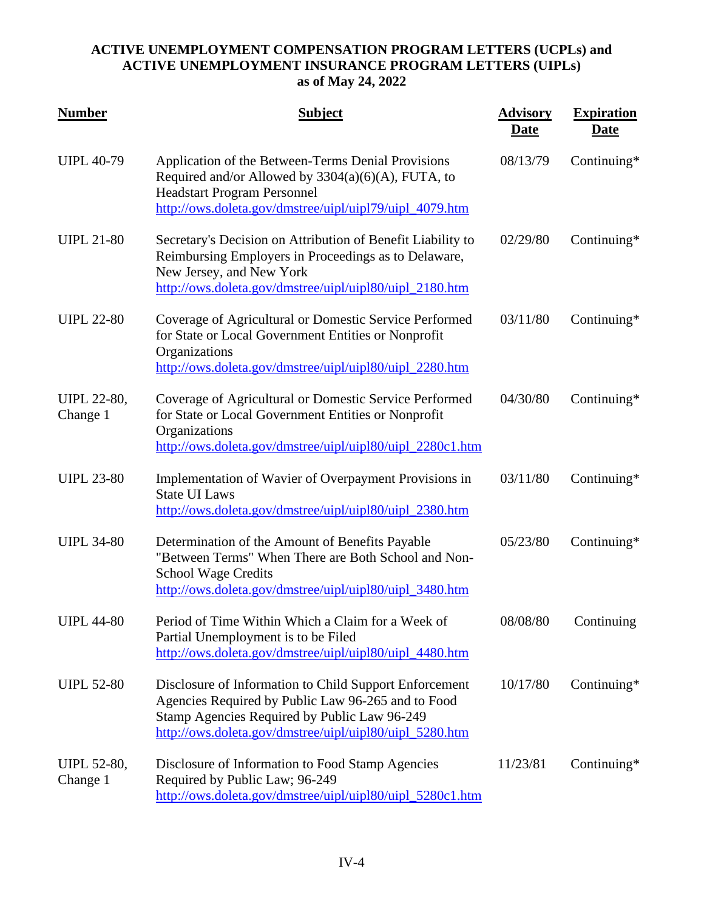| <b>Number</b>                  | <b>Subject</b>                                                                                                                                                                                                          | <b>Advisory</b><br><b>Date</b> | <b>Expiration</b><br><b>Date</b> |
|--------------------------------|-------------------------------------------------------------------------------------------------------------------------------------------------------------------------------------------------------------------------|--------------------------------|----------------------------------|
| <b>UIPL 40-79</b>              | Application of the Between-Terms Denial Provisions<br>Required and/or Allowed by $3304(a)(6)(A)$ , FUTA, to<br><b>Headstart Program Personnel</b><br>http://ows.doleta.gov/dmstree/uipl/uipl79/uipl_4079.htm            | 08/13/79                       | Continuing*                      |
| <b>UIPL 21-80</b>              | Secretary's Decision on Attribution of Benefit Liability to<br>Reimbursing Employers in Proceedings as to Delaware,<br>New Jersey, and New York<br>http://ows.doleta.gov/dmstree/uipl/uipl80/uipl_2180.htm              | 02/29/80                       | Continuing*                      |
| <b>UIPL 22-80</b>              | Coverage of Agricultural or Domestic Service Performed<br>for State or Local Government Entities or Nonprofit<br>Organizations<br>http://ows.doleta.gov/dmstree/uipl/uipl80/uipl_2280.htm                               | 03/11/80                       | Continuing*                      |
| <b>UIPL 22-80,</b><br>Change 1 | Coverage of Agricultural or Domestic Service Performed<br>for State or Local Government Entities or Nonprofit<br>Organizations<br>http://ows.doleta.gov/dmstree/uipl/uipl80/uipl_2280c1.htm                             | 04/30/80                       | Continuing*                      |
| <b>UIPL 23-80</b>              | Implementation of Wavier of Overpayment Provisions in<br><b>State UI Laws</b><br>http://ows.doleta.gov/dmstree/uipl/uipl80/uipl_2380.htm                                                                                | 03/11/80                       | Continuing $*$                   |
| <b>UIPL 34-80</b>              | Determination of the Amount of Benefits Payable<br>"Between Terms" When There are Both School and Non-<br><b>School Wage Credits</b><br>http://ows.doleta.gov/dmstree/uipl/uipl80/uipl_3480.htm                         | 05/23/80                       | Continuing*                      |
| <b>UIPL 44-80</b>              | Period of Time Within Which a Claim for a Week of<br>Partial Unemployment is to be Filed<br>http://ows.doleta.gov/dmstree/uipl/uipl80/uipl_4480.htm                                                                     | 08/08/80                       | Continuing                       |
| <b>UIPL 52-80</b>              | Disclosure of Information to Child Support Enforcement<br>Agencies Required by Public Law 96-265 and to Food<br>Stamp Agencies Required by Public Law 96-249<br>http://ows.doleta.gov/dmstree/uipl/uipl80/uipl_5280.htm | 10/17/80                       | Continuing*                      |
| <b>UIPL 52-80,</b><br>Change 1 | Disclosure of Information to Food Stamp Agencies<br>Required by Public Law; 96-249<br>http://ows.doleta.gov/dmstree/uipl/uipl80/uipl_5280c1.htm                                                                         | 11/23/81                       | Continuing*                      |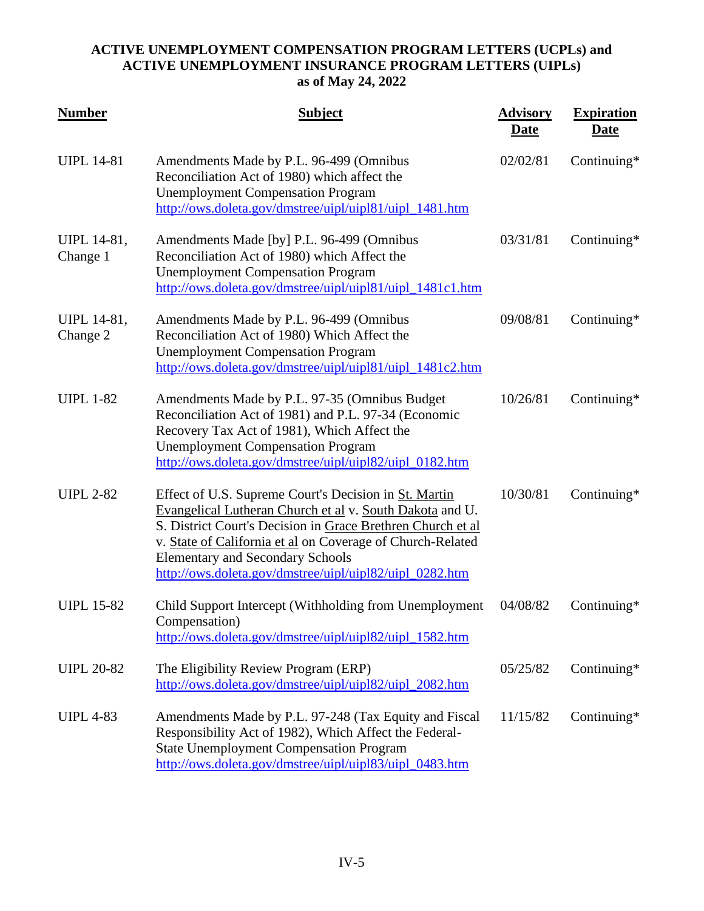| <b>Number</b>           | <b>Subject</b>                                                                                                                                                                                                                                                                                                                                       | <b>Advisory</b><br><b>Date</b> | <b>Expiration</b><br><b>Date</b> |
|-------------------------|------------------------------------------------------------------------------------------------------------------------------------------------------------------------------------------------------------------------------------------------------------------------------------------------------------------------------------------------------|--------------------------------|----------------------------------|
| <b>UIPL 14-81</b>       | Amendments Made by P.L. 96-499 (Omnibus<br>Reconciliation Act of 1980) which affect the<br><b>Unemployment Compensation Program</b><br>http://ows.doleta.gov/dmstree/uipl/uipl81/uipl_1481.htm                                                                                                                                                       | 02/02/81                       | Continuing*                      |
| UIPL 14-81,<br>Change 1 | Amendments Made [by] P.L. 96-499 (Omnibus<br>Reconciliation Act of 1980) which Affect the<br><b>Unemployment Compensation Program</b><br>http://ows.doleta.gov/dmstree/uipl/uipl81/uipl_1481c1.htm                                                                                                                                                   | 03/31/81                       | Continuing*                      |
| UIPL 14-81,<br>Change 2 | Amendments Made by P.L. 96-499 (Omnibus<br>Reconciliation Act of 1980) Which Affect the<br><b>Unemployment Compensation Program</b><br>http://ows.doleta.gov/dmstree/uipl/uipl81/uipl_1481c2.htm                                                                                                                                                     | 09/08/81                       | Continuing*                      |
| <b>UIPL 1-82</b>        | Amendments Made by P.L. 97-35 (Omnibus Budget)<br>Reconciliation Act of 1981) and P.L. 97-34 (Economic<br>Recovery Tax Act of 1981), Which Affect the<br><b>Unemployment Compensation Program</b><br>http://ows.doleta.gov/dmstree/uipl/uipl82/uipl_0182.htm                                                                                         | 10/26/81                       | Continuing*                      |
| <b>UIPL 2-82</b>        | Effect of U.S. Supreme Court's Decision in St. Martin<br>Evangelical Lutheran Church et al v. South Dakota and U.<br>S. District Court's Decision in Grace Brethren Church et al<br>v. State of California et al on Coverage of Church-Related<br><b>Elementary and Secondary Schools</b><br>http://ows.doleta.gov/dmstree/uipl/uipl82/uipl_0282.htm | 10/30/81                       | Continuing*                      |
| <b>UIPL 15-82</b>       | Child Support Intercept (Withholding from Unemployment<br>Compensation)<br>http://ows.doleta.gov/dmstree/uipl/uipl82/uipl_1582.htm                                                                                                                                                                                                                   | 04/08/82                       | Continuing*                      |
| <b>UIPL 20-82</b>       | The Eligibility Review Program (ERP)<br>http://ows.doleta.gov/dmstree/uipl/uipl82/uipl_2082.htm                                                                                                                                                                                                                                                      | 05/25/82                       | Continuing*                      |
| <b>UIPL 4-83</b>        | Amendments Made by P.L. 97-248 (Tax Equity and Fiscal<br>Responsibility Act of 1982), Which Affect the Federal-<br><b>State Unemployment Compensation Program</b><br>http://ows.doleta.gov/dmstree/uipl/uipl83/uipl_0483.htm                                                                                                                         | 11/15/82                       | Continuing*                      |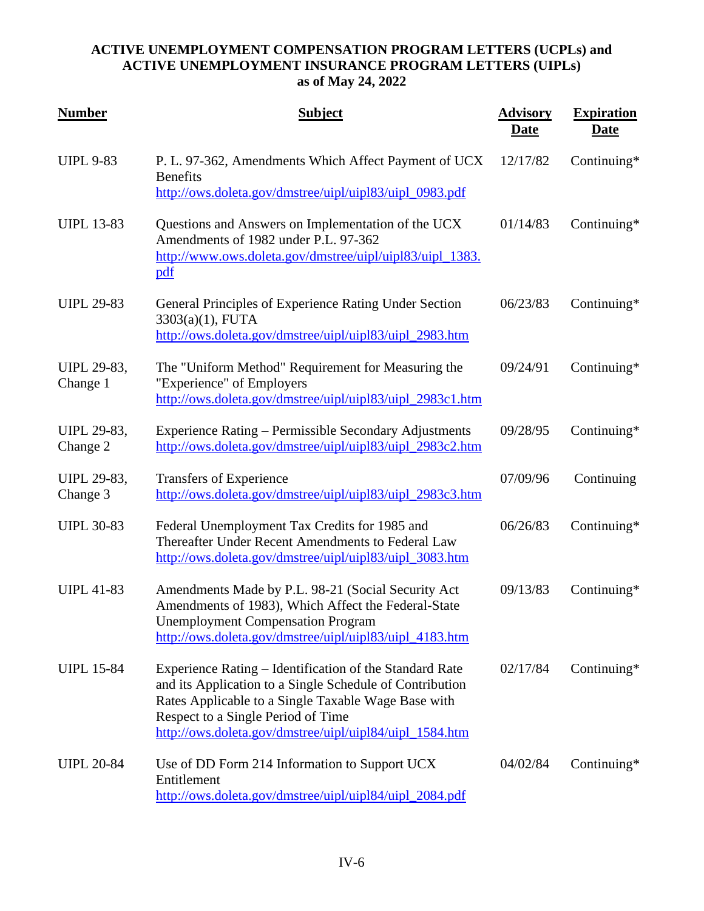| <b>Number</b>                  | <b>Subject</b>                                                                                                                                                                                                                                                              | <b>Advisory</b><br><u>Date</u> | <b>Expiration</b><br><b>Date</b> |
|--------------------------------|-----------------------------------------------------------------------------------------------------------------------------------------------------------------------------------------------------------------------------------------------------------------------------|--------------------------------|----------------------------------|
| <b>UIPL 9-83</b>               | P. L. 97-362, Amendments Which Affect Payment of UCX<br><b>Benefits</b><br>http://ows.doleta.gov/dmstree/uipl/uipl83/uipl_0983.pdf                                                                                                                                          | 12/17/82                       | Continuing*                      |
| <b>UIPL 13-83</b>              | Questions and Answers on Implementation of the UCX<br>Amendments of 1982 under P.L. 97-362<br>http://www.ows.doleta.gov/dmstree/uipl/uipl83/uipl_1383.<br>pdf                                                                                                               | 01/14/83                       | Continuing*                      |
| <b>UIPL 29-83</b>              | General Principles of Experience Rating Under Section<br>3303(a)(1), FUTA<br>http://ows.doleta.gov/dmstree/uipl/uipl83/uipl_2983.htm                                                                                                                                        | 06/23/83                       | Continuing*                      |
| <b>UIPL 29-83,</b><br>Change 1 | The "Uniform Method" Requirement for Measuring the<br>"Experience" of Employers<br>http://ows.doleta.gov/dmstree/uipl/uipl83/uipl_2983c1.htm                                                                                                                                | 09/24/91                       | Continuing*                      |
| <b>UIPL 29-83,</b><br>Change 2 | Experience Rating - Permissible Secondary Adjustments<br>http://ows.doleta.gov/dmstree/uipl/uipl83/uipl_2983c2.htm                                                                                                                                                          | 09/28/95                       | Continuing*                      |
| <b>UIPL 29-83,</b><br>Change 3 | Transfers of Experience<br>http://ows.doleta.gov/dmstree/uipl/uipl83/uipl_2983c3.htm                                                                                                                                                                                        | 07/09/96                       | Continuing                       |
| <b>UIPL 30-83</b>              | Federal Unemployment Tax Credits for 1985 and<br>Thereafter Under Recent Amendments to Federal Law<br>http://ows.doleta.gov/dmstree/uipl/uipl83/uipl_3083.htm                                                                                                               | 06/26/83                       | Continuing*                      |
| <b>UIPL 41-83</b>              | Amendments Made by P.L. 98-21 (Social Security Act<br>Amendments of 1983), Which Affect the Federal-State<br><b>Unemployment Compensation Program</b><br>http://ows.doleta.gov/dmstree/uipl/uipl83/uipl_4183.htm                                                            | 09/13/83                       | Continuing*                      |
| <b>UIPL 15-84</b>              | Experience Rating – Identification of the Standard Rate<br>and its Application to a Single Schedule of Contribution<br>Rates Applicable to a Single Taxable Wage Base with<br>Respect to a Single Period of Time<br>http://ows.doleta.gov/dmstree/uipl/uipl84/uipl_1584.htm | 02/17/84                       | Continuing*                      |
| <b>UIPL 20-84</b>              | Use of DD Form 214 Information to Support UCX<br>Entitlement<br>http://ows.doleta.gov/dmstree/uipl/uipl84/uipl_2084.pdf                                                                                                                                                     | 04/02/84                       | Continuing*                      |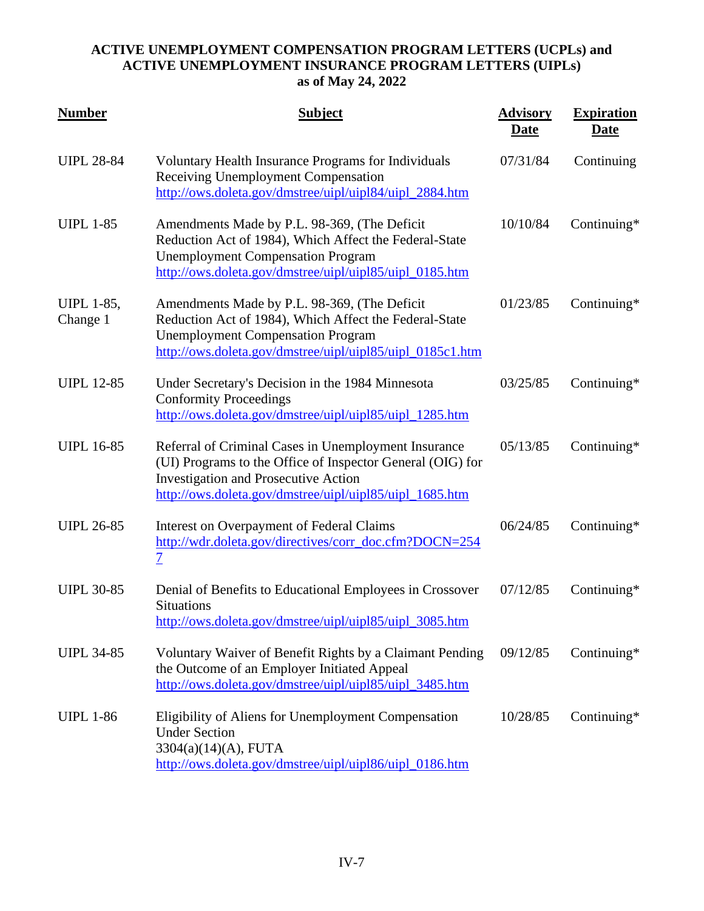| <b>Number</b>                 | <b>Subject</b>                                                                                                                                                                                                               | <b>Advisory</b><br><b>Date</b> | <b>Expiration</b><br><b>Date</b> |
|-------------------------------|------------------------------------------------------------------------------------------------------------------------------------------------------------------------------------------------------------------------------|--------------------------------|----------------------------------|
| <b>UIPL 28-84</b>             | Voluntary Health Insurance Programs for Individuals<br>Receiving Unemployment Compensation<br>http://ows.doleta.gov/dmstree/uipl/uipl84/uipl_2884.htm                                                                        | 07/31/84                       | Continuing                       |
| <b>UIPL 1-85</b>              | Amendments Made by P.L. 98-369, (The Deficit<br>Reduction Act of 1984), Which Affect the Federal-State<br><b>Unemployment Compensation Program</b><br>http://ows.doleta.gov/dmstree/uipl/uipl85/uipl_0185.htm                | 10/10/84                       | Continuing*                      |
| <b>UIPL 1-85,</b><br>Change 1 | Amendments Made by P.L. 98-369, (The Deficit<br>Reduction Act of 1984), Which Affect the Federal-State<br><b>Unemployment Compensation Program</b><br>http://ows.doleta.gov/dmstree/uipl/uipl85/uipl_0185c1.htm              | 01/23/85                       | Continuing*                      |
| <b>UIPL 12-85</b>             | Under Secretary's Decision in the 1984 Minnesota<br><b>Conformity Proceedings</b><br>http://ows.doleta.gov/dmstree/uipl/uipl85/uipl_1285.htm                                                                                 | 03/25/85                       | Continuing $*$                   |
| <b>UIPL 16-85</b>             | Referral of Criminal Cases in Unemployment Insurance<br>(UI) Programs to the Office of Inspector General (OIG) for<br><b>Investigation and Prosecutive Action</b><br>http://ows.doleta.gov/dmstree/uipl/uipl85/uipl_1685.htm | 05/13/85                       | Continuing*                      |
| <b>UIPL 26-85</b>             | Interest on Overpayment of Federal Claims<br>http://wdr.doleta.gov/directives/corr_doc.cfm?DOCN=254<br>$\overline{7}$                                                                                                        | 06/24/85                       | Continuing*                      |
| <b>UIPL 30-85</b>             | Denial of Benefits to Educational Employees in Crossover<br><b>Situations</b><br>http://ows.doleta.gov/dmstree/uipl/uipl85/uipl_3085.htm                                                                                     | 07/12/85                       | Continuing*                      |
| <b>UIPL 34-85</b>             | Voluntary Waiver of Benefit Rights by a Claimant Pending<br>the Outcome of an Employer Initiated Appeal<br>http://ows.doleta.gov/dmstree/uipl/uipl85/uipl_3485.htm                                                           | 09/12/85                       | Continuing*                      |
| <b>UIPL 1-86</b>              | Eligibility of Aliens for Unemployment Compensation<br><b>Under Section</b><br>3304(a)(14)(A), FUTA<br>http://ows.doleta.gov/dmstree/uipl/uipl86/uipl_0186.htm                                                               | 10/28/85                       | Continuing*                      |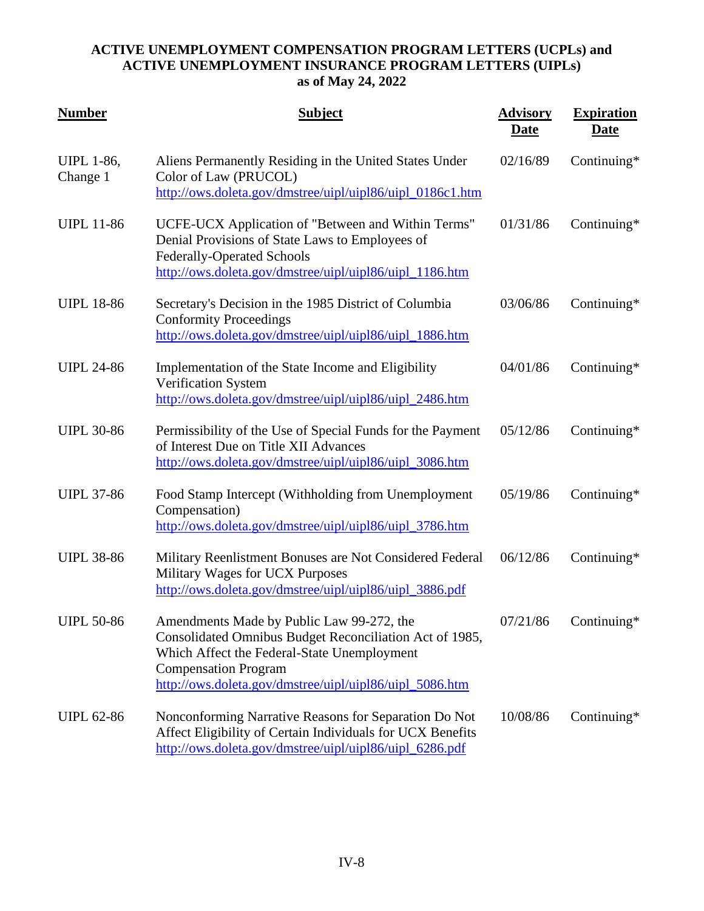| <b>Number</b>                 | <b>Subject</b>                                                                                                                                                                                                                                | <b>Advisory</b><br><b>Date</b> | <b>Expiration</b><br><b>Date</b> |
|-------------------------------|-----------------------------------------------------------------------------------------------------------------------------------------------------------------------------------------------------------------------------------------------|--------------------------------|----------------------------------|
| <b>UIPL 1-86,</b><br>Change 1 | Aliens Permanently Residing in the United States Under<br>Color of Law (PRUCOL)<br>http://ows.doleta.gov/dmstree/uipl/uipl86/uipl_0186c1.htm                                                                                                  | 02/16/89                       | Continuing*                      |
| <b>UIPL 11-86</b>             | UCFE-UCX Application of "Between and Within Terms"<br>Denial Provisions of State Laws to Employees of<br><b>Federally-Operated Schools</b><br>http://ows.doleta.gov/dmstree/uipl/uipl86/uipl_1186.htm                                         | 01/31/86                       | Continuing $*$                   |
| <b>UIPL 18-86</b>             | Secretary's Decision in the 1985 District of Columbia<br><b>Conformity Proceedings</b><br>http://ows.doleta.gov/dmstree/uipl/uipl86/uipl_1886.htm                                                                                             | 03/06/86                       | Continuing*                      |
| <b>UIPL 24-86</b>             | Implementation of the State Income and Eligibility<br>Verification System<br>http://ows.doleta.gov/dmstree/uipl/uipl86/uipl_2486.htm                                                                                                          | 04/01/86                       | Continuing*                      |
| <b>UIPL 30-86</b>             | Permissibility of the Use of Special Funds for the Payment<br>of Interest Due on Title XII Advances<br>http://ows.doleta.gov/dmstree/uipl/uipl86/uipl_3086.htm                                                                                | 05/12/86                       | Continuing $*$                   |
| <b>UIPL 37-86</b>             | Food Stamp Intercept (Withholding from Unemployment<br>Compensation)<br>http://ows.doleta.gov/dmstree/uipl/uipl86/uipl_3786.htm                                                                                                               | 05/19/86                       | Continuing $*$                   |
| <b>UIPL 38-86</b>             | Military Reenlistment Bonuses are Not Considered Federal<br>Military Wages for UCX Purposes<br>http://ows.doleta.gov/dmstree/uipl/uipl86/uipl_3886.pdf                                                                                        | 06/12/86                       | Continuing*                      |
| <b>UIPL 50-86</b>             | Amendments Made by Public Law 99-272, the<br>Consolidated Omnibus Budget Reconciliation Act of 1985,<br>Which Affect the Federal-State Unemployment<br><b>Compensation Program</b><br>http://ows.doleta.gov/dmstree/uipl/uipl86/uipl_5086.htm | 07/21/86                       | Continuing $*$                   |
| <b>UIPL 62-86</b>             | Nonconforming Narrative Reasons for Separation Do Not<br>Affect Eligibility of Certain Individuals for UCX Benefits<br>http://ows.doleta.gov/dmstree/uipl/uipl86/uipl_6286.pdf                                                                | 10/08/86                       | Continuing*                      |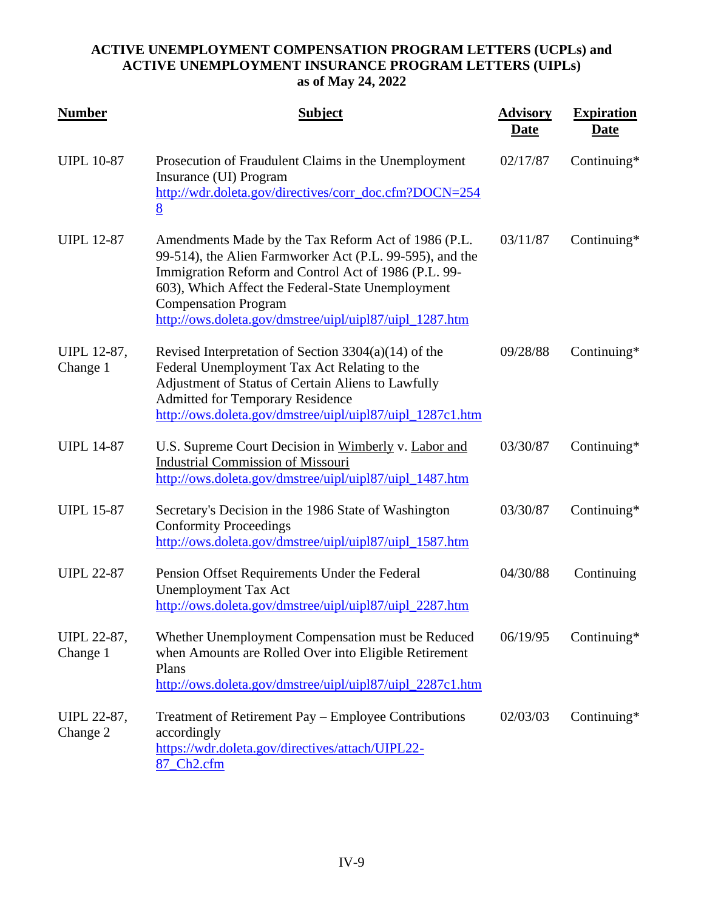| <b>Number</b>                  | <b>Subject</b>                                                                                                                                                                                                                                                                                                         | <b>Advisory</b><br><u>Date</u> | <b>Expiration</b><br><u>Date</u> |
|--------------------------------|------------------------------------------------------------------------------------------------------------------------------------------------------------------------------------------------------------------------------------------------------------------------------------------------------------------------|--------------------------------|----------------------------------|
| <b>UIPL 10-87</b>              | Prosecution of Fraudulent Claims in the Unemployment<br>Insurance (UI) Program<br>http://wdr.doleta.gov/directives/corr_doc.cfm?DOCN=254<br>8                                                                                                                                                                          | 02/17/87                       | Continuing $*$                   |
| <b>UIPL 12-87</b>              | Amendments Made by the Tax Reform Act of 1986 (P.L.<br>99-514), the Alien Farmworker Act (P.L. 99-595), and the<br>Immigration Reform and Control Act of 1986 (P.L. 99-<br>603), Which Affect the Federal-State Unemployment<br><b>Compensation Program</b><br>http://ows.doleta.gov/dmstree/uipl/uipl87/uipl_1287.htm | 03/11/87                       | Continuing*                      |
| UIPL 12-87,<br>Change 1        | Revised Interpretation of Section $3304(a)(14)$ of the<br>Federal Unemployment Tax Act Relating to the<br>Adjustment of Status of Certain Aliens to Lawfully<br><b>Admitted for Temporary Residence</b><br>http://ows.doleta.gov/dmstree/uipl/uipl87/uipl_1287c1.htm                                                   | 09/28/88                       | Continuing*                      |
| <b>UIPL 14-87</b>              | U.S. Supreme Court Decision in Wimberly v. Labor and<br><b>Industrial Commission of Missouri</b><br>http://ows.doleta.gov/dmstree/uipl/uipl87/uipl_1487.htm                                                                                                                                                            | 03/30/87                       | Continuing*                      |
| <b>UIPL 15-87</b>              | Secretary's Decision in the 1986 State of Washington<br><b>Conformity Proceedings</b><br>http://ows.doleta.gov/dmstree/uipl/uipl87/uipl_1587.htm                                                                                                                                                                       | 03/30/87                       | Continuing*                      |
| <b>UIPL 22-87</b>              | Pension Offset Requirements Under the Federal<br><b>Unemployment Tax Act</b><br>http://ows.doleta.gov/dmstree/uipl/uipl87/uipl_2287.htm                                                                                                                                                                                | 04/30/88                       | Continuing                       |
| UIPL 22-87,<br>Change 1        | Whether Unemployment Compensation must be Reduced<br>when Amounts are Rolled Over into Eligible Retirement<br>Plans<br>http://ows.doleta.gov/dmstree/uipl/uipl87/uipl_2287c1.htm                                                                                                                                       | 06/19/95                       | Continuing $*$                   |
| <b>UIPL 22-87,</b><br>Change 2 | Treatment of Retirement Pay – Employee Contributions<br>accordingly<br>https://wdr.doleta.gov/directives/attach/UIPL22-<br>87_Ch2.cfm                                                                                                                                                                                  | 02/03/03                       | Continuing*                      |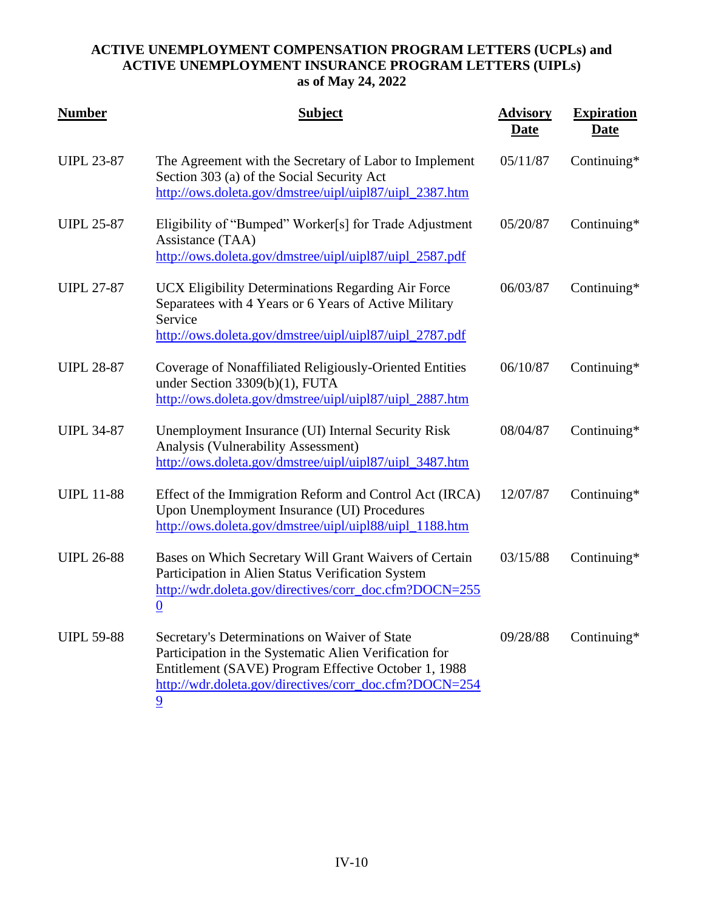| <b>Number</b>     | <b>Subject</b>                                                                                                                                                                                                                              | <b>Advisory</b><br><b>Date</b> | <b>Expiration</b><br><b>Date</b> |
|-------------------|---------------------------------------------------------------------------------------------------------------------------------------------------------------------------------------------------------------------------------------------|--------------------------------|----------------------------------|
| <b>UIPL 23-87</b> | The Agreement with the Secretary of Labor to Implement<br>Section 303 (a) of the Social Security Act<br>http://ows.doleta.gov/dmstree/uipl/uipl87/uipl_2387.htm                                                                             | 05/11/87                       | Continuing*                      |
| <b>UIPL 25-87</b> | Eligibility of "Bumped" Worker[s] for Trade Adjustment<br>Assistance (TAA)<br>http://ows.doleta.gov/dmstree/uipl/uipl87/uipl_2587.pdf                                                                                                       | 05/20/87                       | Continuing*                      |
| <b>UIPL 27-87</b> | UCX Eligibility Determinations Regarding Air Force<br>Separatees with 4 Years or 6 Years of Active Military<br>Service<br>http://ows.doleta.gov/dmstree/uipl/uipl87/uipl_2787.pdf                                                           | 06/03/87                       | Continuing*                      |
| <b>UIPL 28-87</b> | Coverage of Nonaffiliated Religiously-Oriented Entities<br>under Section 3309(b)(1), FUTA<br>http://ows.doleta.gov/dmstree/uipl/uipl87/uipl_2887.htm                                                                                        | 06/10/87                       | Continuing*                      |
| <b>UIPL 34-87</b> | Unemployment Insurance (UI) Internal Security Risk<br>Analysis (Vulnerability Assessment)<br>http://ows.doleta.gov/dmstree/uipl/uipl87/uipl_3487.htm                                                                                        | 08/04/87                       | Continuing*                      |
| <b>UIPL 11-88</b> | Effect of the Immigration Reform and Control Act (IRCA)<br>Upon Unemployment Insurance (UI) Procedures<br>http://ows.doleta.gov/dmstree/uipl/uipl88/uipl_1188.htm                                                                           | 12/07/87                       | Continuing*                      |
| <b>UIPL 26-88</b> | Bases on Which Secretary Will Grant Waivers of Certain<br>Participation in Alien Status Verification System<br>http://wdr.doleta.gov/directives/corr_doc.cfm?DOCN=255<br>$\underline{0}$                                                    | 03/15/88                       | Continuing*                      |
| <b>UIPL 59-88</b> | Secretary's Determinations on Waiver of State<br>Participation in the Systematic Alien Verification for<br>Entitlement (SAVE) Program Effective October 1, 1988<br>http://wdr.doleta.gov/directives/corr_doc.cfm?DOCN=254<br>$\overline{9}$ | 09/28/88                       | Continuing*                      |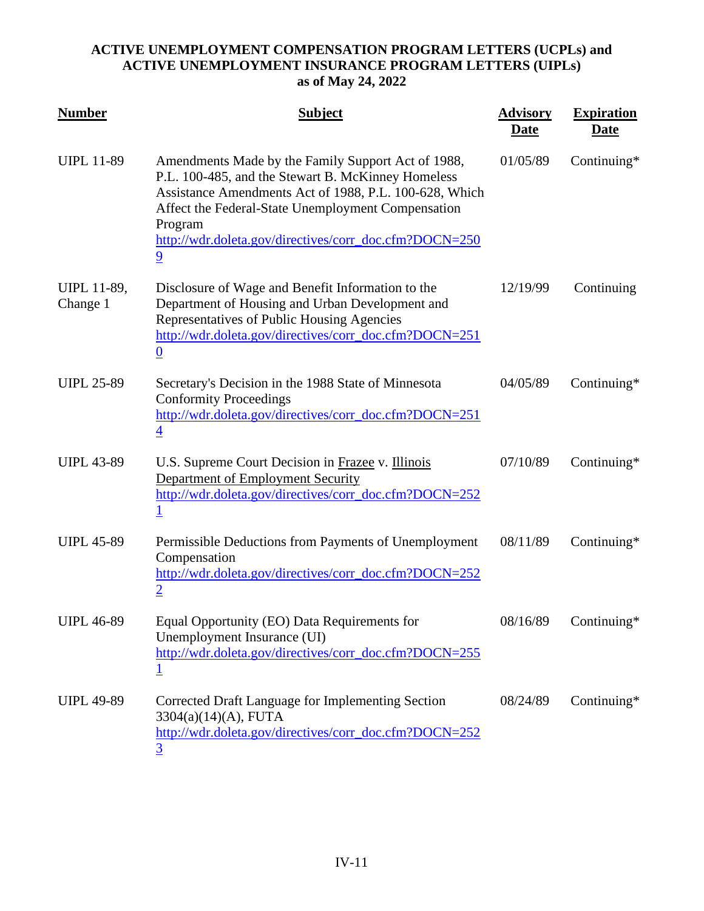| <b>Number</b>                  | <b>Subject</b>                                                                                                                                                                                                                                                                                                  | <b>Advisory</b><br><u>Date</u> | <b>Expiration</b><br><u>Date</u> |
|--------------------------------|-----------------------------------------------------------------------------------------------------------------------------------------------------------------------------------------------------------------------------------------------------------------------------------------------------------------|--------------------------------|----------------------------------|
| <b>UIPL 11-89</b>              | Amendments Made by the Family Support Act of 1988,<br>P.L. 100-485, and the Stewart B. McKinney Homeless<br>Assistance Amendments Act of 1988, P.L. 100-628, Which<br>Affect the Federal-State Unemployment Compensation<br>Program<br>http://wdr.doleta.gov/directives/corr_doc.cfm?DOCN=250<br>$\overline{9}$ | 01/05/89                       | Continuing*                      |
| <b>UIPL 11-89,</b><br>Change 1 | Disclosure of Wage and Benefit Information to the<br>Department of Housing and Urban Development and<br>Representatives of Public Housing Agencies<br>http://wdr.doleta.gov/directives/corr_doc.cfm?DOCN=251<br>$\boldsymbol{0}$                                                                                | 12/19/99                       | Continuing                       |
| <b>UIPL 25-89</b>              | Secretary's Decision in the 1988 State of Minnesota<br><b>Conformity Proceedings</b><br>http://wdr.doleta.gov/directives/corr_doc.cfm?DOCN=251<br>$\overline{4}$                                                                                                                                                | 04/05/89                       | Continuing*                      |
| <b>UIPL 43-89</b>              | U.S. Supreme Court Decision in Frazee v. Illinois<br>Department of Employment Security<br>http://wdr.doleta.gov/directives/corr_doc.cfm?DOCN=252<br><u>1</u>                                                                                                                                                    | 07/10/89                       | Continuing*                      |
| <b>UIPL 45-89</b>              | Permissible Deductions from Payments of Unemployment<br>Compensation<br>http://wdr.doleta.gov/directives/corr_doc.cfm?DOCN=252<br>$\overline{2}$                                                                                                                                                                | 08/11/89                       | Continuing*                      |
| <b>UIPL 46-89</b>              | Equal Opportunity (EO) Data Requirements for<br>Unemployment Insurance (UI)<br>http://wdr.doleta.gov/directives/corr_doc.cfm?DOCN=255                                                                                                                                                                           | 08/16/89                       | Continuing*                      |
| <b>UIPL 49-89</b>              | Corrected Draft Language for Implementing Section<br>3304(a)(14)(A), FUTA<br>http://wdr.doleta.gov/directives/corr_doc.cfm?DOCN=252<br>3                                                                                                                                                                        | 08/24/89                       | Continuing*                      |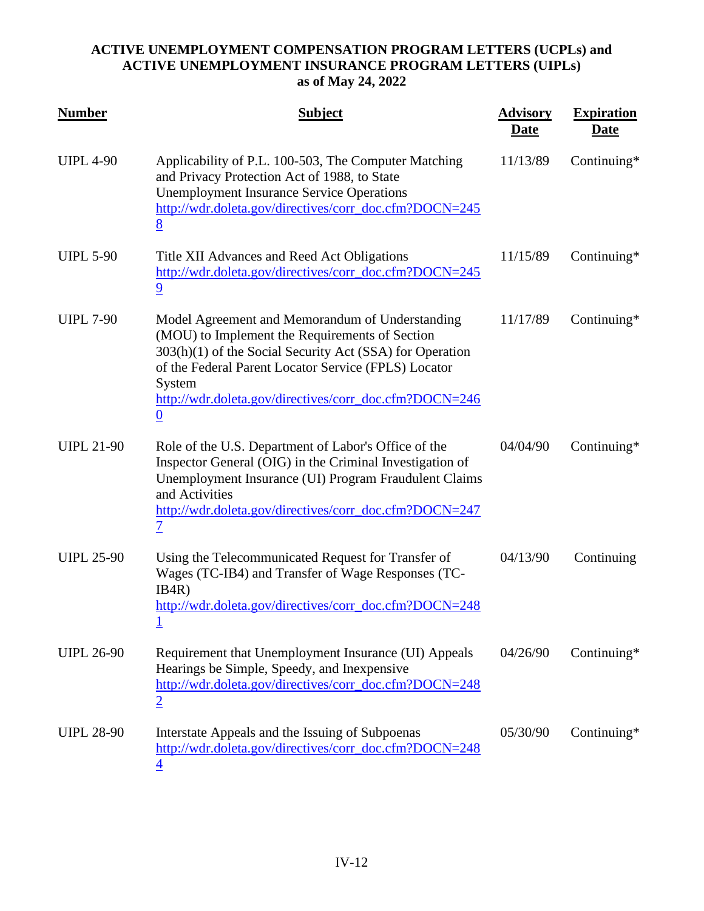| <b>Number</b>     | <b>Subject</b>                                                                                                                                                                                                                                                                                               | <b>Advisory</b><br><u>Date</u> | <b>Expiration</b><br><u>Date</u> |
|-------------------|--------------------------------------------------------------------------------------------------------------------------------------------------------------------------------------------------------------------------------------------------------------------------------------------------------------|--------------------------------|----------------------------------|
| <b>UIPL 4-90</b>  | Applicability of P.L. 100-503, The Computer Matching<br>and Privacy Protection Act of 1988, to State<br><b>Unemployment Insurance Service Operations</b><br>http://wdr.doleta.gov/directives/corr_doc.cfm?DOCN=245<br>8                                                                                      | 11/13/89                       | Continuing*                      |
| <b>UIPL 5-90</b>  | Title XII Advances and Reed Act Obligations<br>http://wdr.doleta.gov/directives/corr_doc.cfm?DOCN=245<br>$\overline{9}$                                                                                                                                                                                      | 11/15/89                       | Continuing*                      |
| <b>UIPL 7-90</b>  | Model Agreement and Memorandum of Understanding<br>(MOU) to Implement the Requirements of Section<br>303(h)(1) of the Social Security Act (SSA) for Operation<br>of the Federal Parent Locator Service (FPLS) Locator<br>System<br>http://wdr.doleta.gov/directives/corr_doc.cfm?DOCN=246<br>$\underline{0}$ | 11/17/89                       | Continuing $*$                   |
| <b>UIPL 21-90</b> | Role of the U.S. Department of Labor's Office of the<br>Inspector General (OIG) in the Criminal Investigation of<br>Unemployment Insurance (UI) Program Fraudulent Claims<br>and Activities<br>http://wdr.doleta.gov/directives/corr_doc.cfm?DOCN=247<br>$\overline{\mathcal{I}}$                            | 04/04/90                       | Continuing*                      |
| <b>UIPL 25-90</b> | Using the Telecommunicated Request for Transfer of<br>Wages (TC-IB4) and Transfer of Wage Responses (TC-<br>IB4R)<br>http://wdr.doleta.gov/directives/corr_doc.cfm?DOCN=248                                                                                                                                  | 04/13/90                       | Continuing                       |
| <b>UIPL 26-90</b> | Requirement that Unemployment Insurance (UI) Appeals<br>Hearings be Simple, Speedy, and Inexpensive<br>http://wdr.doleta.gov/directives/corr_doc.cfm?DOCN=248<br>$\overline{2}$                                                                                                                              | 04/26/90                       | Continuing*                      |
| <b>UIPL 28-90</b> | Interstate Appeals and the Issuing of Subpoenas<br>http://wdr.doleta.gov/directives/corr_doc.cfm?DOCN=248<br>4                                                                                                                                                                                               | 05/30/90                       | Continuing*                      |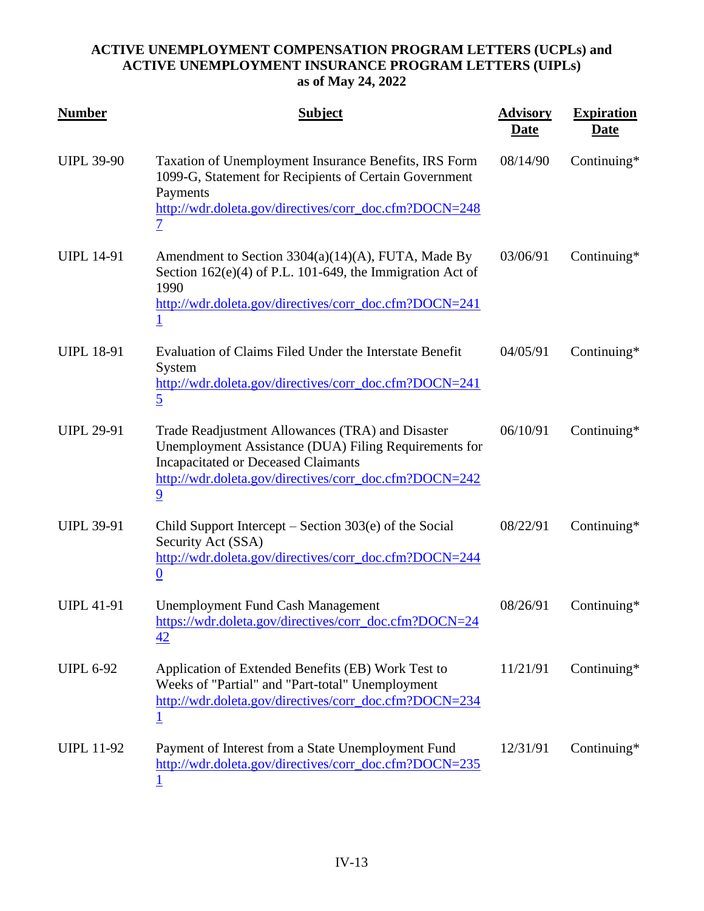| <b>Number</b>     | <b>Subject</b>                                                                                                                                                                                                                      | <b>Advisory</b><br>Date | <b>Expiration</b><br><u>Date</u> |
|-------------------|-------------------------------------------------------------------------------------------------------------------------------------------------------------------------------------------------------------------------------------|-------------------------|----------------------------------|
| <b>UIPL 39-90</b> | Taxation of Unemployment Insurance Benefits, IRS Form<br>1099-G, Statement for Recipients of Certain Government<br>Payments<br>http://wdr.doleta.gov/directives/corr_doc.cfm?DOCN=248<br>$\overline{\mathcal{I}}$                   | 08/14/90                | Continuing*                      |
| <b>UIPL 14-91</b> | Amendment to Section 3304(a)(14)(A), FUTA, Made By<br>Section $162(e)(4)$ of P.L. 101-649, the Immigration Act of<br>1990<br>http://wdr.doleta.gov/directives/corr_doc.cfm?DOCN=241<br>$\underline{1}$                              | 03/06/91                | Continuing*                      |
| <b>UIPL 18-91</b> | Evaluation of Claims Filed Under the Interstate Benefit<br>System<br>http://wdr.doleta.gov/directives/corr_doc.cfm?DOCN=241<br>$\overline{5}$                                                                                       | 04/05/91                | Continuing*                      |
| <b>UIPL 29-91</b> | Trade Readjustment Allowances (TRA) and Disaster<br>Unemployment Assistance (DUA) Filing Requirements for<br><b>Incapacitated or Deceased Claimants</b><br>http://wdr.doleta.gov/directives/corr_doc.cfm?DOCN=242<br>$\overline{9}$ | 06/10/91                | Continuing*                      |
| <b>UIPL 39-91</b> | Child Support Intercept – Section $303(e)$ of the Social<br>Security Act (SSA)<br>http://wdr.doleta.gov/directives/corr_doc.cfm?DOCN=244<br>$\boldsymbol{0}$                                                                        | 08/22/91                | Continuing*                      |
| <b>UIPL 41-91</b> | <b>Unemployment Fund Cash Management</b><br>https://wdr.doleta.gov/directives/corr_doc.cfm?DOCN=24<br>42                                                                                                                            | 08/26/91                | Continuing*                      |
| <b>UIPL 6-92</b>  | Application of Extended Benefits (EB) Work Test to<br>Weeks of "Partial" and "Part-total" Unemployment<br>http://wdr.doleta.gov/directives/corr_doc.cfm?DOCN=234                                                                    | 11/21/91                | Continuing*                      |
| <b>UIPL 11-92</b> | Payment of Interest from a State Unemployment Fund<br>http://wdr.doleta.gov/directives/corr_doc.cfm?DOCN=235                                                                                                                        | 12/31/91                | Continuing*                      |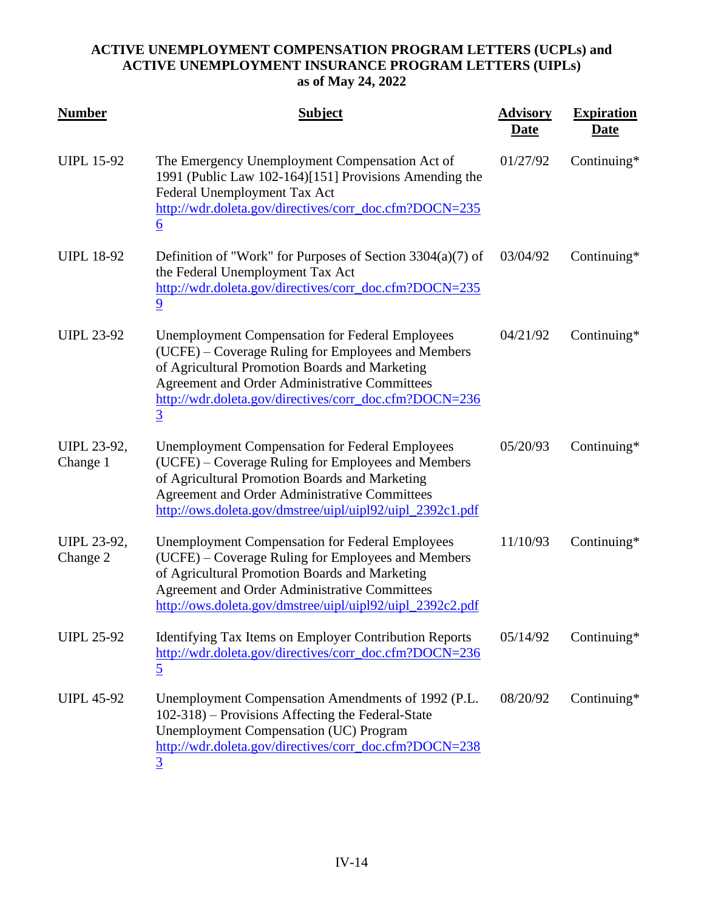| <b>Number</b>                  | <b>Subject</b>                                                                                                                                                                                                                                                                              | <b>Advisory</b><br><u>Date</u> | <b>Expiration</b><br><b>Date</b> |
|--------------------------------|---------------------------------------------------------------------------------------------------------------------------------------------------------------------------------------------------------------------------------------------------------------------------------------------|--------------------------------|----------------------------------|
| <b>UIPL 15-92</b>              | The Emergency Unemployment Compensation Act of<br>1991 (Public Law 102-164)[151] Provisions Amending the<br>Federal Unemployment Tax Act<br>http://wdr.doleta.gov/directives/corr_doc.cfm?DOCN=235<br>$\underline{6}$                                                                       | 01/27/92                       | Continuing*                      |
| <b>UIPL 18-92</b>              | Definition of "Work" for Purposes of Section $3304(a)(7)$ of<br>the Federal Unemployment Tax Act<br>http://wdr.doleta.gov/directives/corr_doc.cfm?DOCN=235<br>$\overline{9}$                                                                                                                | 03/04/92                       | Continuing*                      |
| <b>UIPL 23-92</b>              | <b>Unemployment Compensation for Federal Employees</b><br>(UCFE) – Coverage Ruling for Employees and Members<br>of Agricultural Promotion Boards and Marketing<br>Agreement and Order Administrative Committees<br>http://wdr.doleta.gov/directives/corr_doc.cfm?DOCN=236<br>$\overline{3}$ | 04/21/92                       | Continuing*                      |
| <b>UIPL 23-92,</b><br>Change 1 | <b>Unemployment Compensation for Federal Employees</b><br>(UCFE) – Coverage Ruling for Employees and Members<br>of Agricultural Promotion Boards and Marketing<br>Agreement and Order Administrative Committees<br>http://ows.doleta.gov/dmstree/uipl/uipl92/uipl_2392c1.pdf                | 05/20/93                       | Continuing*                      |
| <b>UIPL 23-92,</b><br>Change 2 | <b>Unemployment Compensation for Federal Employees</b><br>(UCFE) – Coverage Ruling for Employees and Members<br>of Agricultural Promotion Boards and Marketing<br>Agreement and Order Administrative Committees<br>http://ows.doleta.gov/dmstree/uipl/uipl92/uipl_2392c2.pdf                | 11/10/93                       | Continuing*                      |
| <b>UIPL 25-92</b>              | <b>Identifying Tax Items on Employer Contribution Reports</b><br>http://wdr.doleta.gov/directives/corr_doc.cfm?DOCN=236<br>$\overline{5}$                                                                                                                                                   | 05/14/92                       | Continuing*                      |
| <b>UIPL 45-92</b>              | Unemployment Compensation Amendments of 1992 (P.L.<br>102-318) – Provisions Affecting the Federal-State<br><b>Unemployment Compensation (UC) Program</b><br>http://wdr.doleta.gov/directives/corr_doc.cfm?DOCN=238<br><u>3</u>                                                              | 08/20/92                       | Continuing*                      |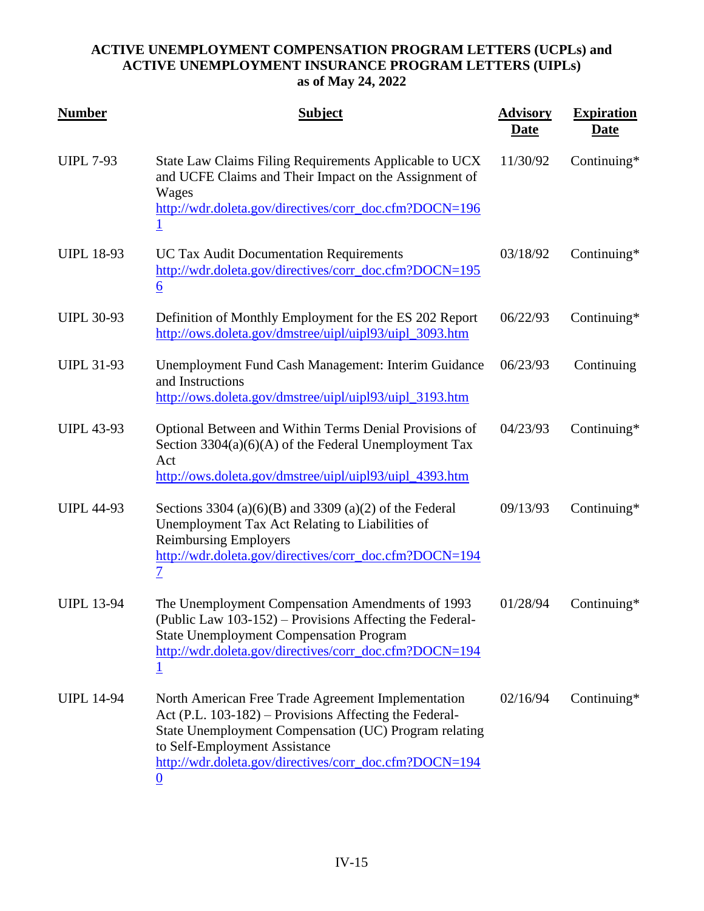| <b>Number</b>     | <b>Subject</b>                                                                                                                                                                                                                                                                       | <b>Advisory</b><br><b>Date</b> | <b>Expiration</b><br><b>Date</b> |
|-------------------|--------------------------------------------------------------------------------------------------------------------------------------------------------------------------------------------------------------------------------------------------------------------------------------|--------------------------------|----------------------------------|
| <b>UIPL 7-93</b>  | State Law Claims Filing Requirements Applicable to UCX<br>and UCFE Claims and Their Impact on the Assignment of<br>Wages<br>http://wdr.doleta.gov/directives/corr_doc.cfm?DOCN=196<br><u>1</u>                                                                                       | 11/30/92                       | Continuing*                      |
| <b>UIPL 18-93</b> | <b>UC Tax Audit Documentation Requirements</b><br>http://wdr.doleta.gov/directives/corr_doc.cfm?DOCN=195<br>$\underline{6}$                                                                                                                                                          | 03/18/92                       | Continuing*                      |
| <b>UIPL 30-93</b> | Definition of Monthly Employment for the ES 202 Report<br>http://ows.doleta.gov/dmstree/uipl/uipl93/uipl_3093.htm                                                                                                                                                                    | 06/22/93                       | Continuing*                      |
| <b>UIPL 31-93</b> | Unemployment Fund Cash Management: Interim Guidance<br>and Instructions<br>http://ows.doleta.gov/dmstree/uipl/uipl93/uipl_3193.htm                                                                                                                                                   | 06/23/93                       | Continuing                       |
| <b>UIPL 43-93</b> | Optional Between and Within Terms Denial Provisions of<br>Section $3304(a)(6)(A)$ of the Federal Unemployment Tax<br>Act<br>http://ows.doleta.gov/dmstree/uipl/uipl93/uipl_4393.htm                                                                                                  | 04/23/93                       | Continuing $*$                   |
| <b>UIPL 44-93</b> | Sections 3304 (a) $(6)(B)$ and 3309 (a) $(2)$ of the Federal<br>Unemployment Tax Act Relating to Liabilities of<br><b>Reimbursing Employers</b><br>http://wdr.doleta.gov/directives/corr_doc.cfm?DOCN=194<br>$\overline{\mathcal{I}}$                                                | 09/13/93                       | Continuing*                      |
| <b>UIPL 13-94</b> | The Unemployment Compensation Amendments of 1993<br>(Public Law 103-152) – Provisions Affecting the Federal-<br><b>State Unemployment Compensation Program</b><br>http://wdr.doleta.gov/directives/corr_doc.cfm?DOCN=194                                                             | 01/28/94                       | Continuing*                      |
| <b>UIPL 14-94</b> | North American Free Trade Agreement Implementation<br>Act (P.L. 103-182) - Provisions Affecting the Federal-<br>State Unemployment Compensation (UC) Program relating<br>to Self-Employment Assistance<br>http://wdr.doleta.gov/directives/corr_doc.cfm?DOCN=194<br>$\boldsymbol{0}$ | 02/16/94                       | Continuing $*$                   |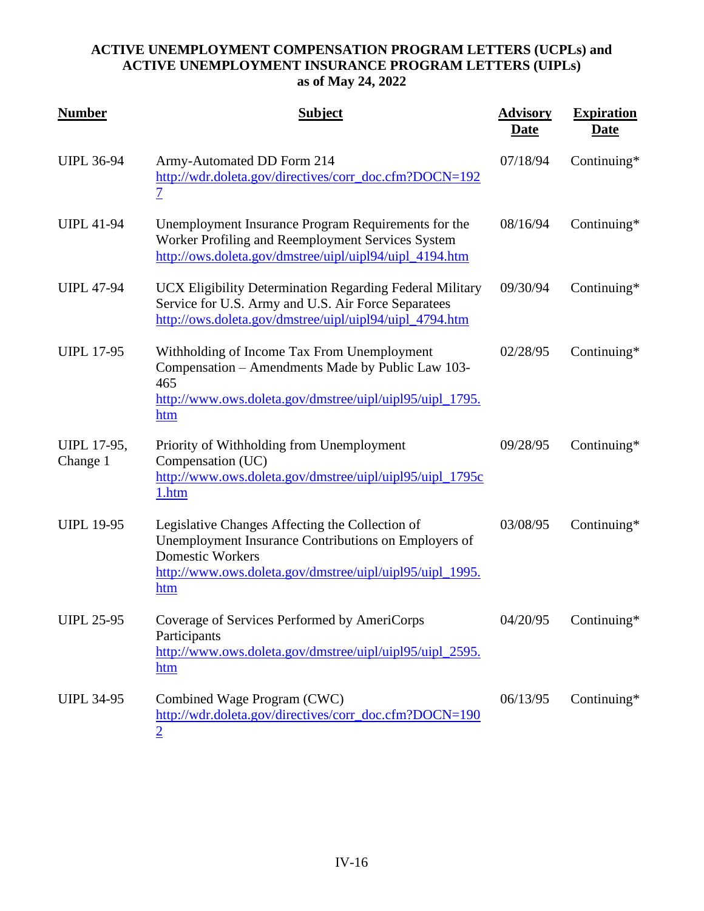| <b>Number</b>                  | <b>Subject</b>                                                                                                                                                                                        | <b>Advisory</b><br>Date | <b>Expiration</b><br><u>Date</u> |
|--------------------------------|-------------------------------------------------------------------------------------------------------------------------------------------------------------------------------------------------------|-------------------------|----------------------------------|
| <b>UIPL 36-94</b>              | Army-Automated DD Form 214<br>http://wdr.doleta.gov/directives/corr_doc.cfm?DOCN=192<br>$\overline{\mathcal{I}}$                                                                                      | 07/18/94                | Continuing*                      |
| <b>UIPL 41-94</b>              | Unemployment Insurance Program Requirements for the<br>Worker Profiling and Reemployment Services System<br>http://ows.doleta.gov/dmstree/uipl/uipl94/uipl_4194.htm                                   | 08/16/94                | Continuing*                      |
| <b>UIPL 47-94</b>              | UCX Eligibility Determination Regarding Federal Military<br>Service for U.S. Army and U.S. Air Force Separatees<br>http://ows.doleta.gov/dmstree/uipl/uipl94/uipl_4794.htm                            | 09/30/94                | Continuing*                      |
| <b>UIPL 17-95</b>              | Withholding of Income Tax From Unemployment<br>Compensation - Amendments Made by Public Law 103-<br>465<br>http://www.ows.doleta.gov/dmstree/uipl/uipl95/uipl_1795.<br>htm                            | 02/28/95                | Continuing*                      |
| <b>UIPL 17-95,</b><br>Change 1 | Priority of Withholding from Unemployment<br>Compensation (UC)<br>http://www.ows.doleta.gov/dmstree/uipl/uipl95/uipl_1795c<br>1.htm                                                                   | 09/28/95                | Continuing*                      |
| <b>UIPL 19-95</b>              | Legislative Changes Affecting the Collection of<br>Unemployment Insurance Contributions on Employers of<br><b>Domestic Workers</b><br>http://www.ows.doleta.gov/dmstree/uipl/uipl95/uipl_1995.<br>htm | 03/08/95                | Continuing*                      |
| <b>UIPL 25-95</b>              | Coverage of Services Performed by AmeriCorps<br>Participants<br>http://www.ows.doleta.gov/dmstree/uipl/uipl95/uipl_2595.<br>htm                                                                       | 04/20/95                | Continuing $*$                   |
| <b>UIPL 34-95</b>              | Combined Wage Program (CWC)<br>http://wdr.doleta.gov/directives/corr_doc.cfm?DOCN=190<br>$\overline{2}$                                                                                               | 06/13/95                | Continuing $*$                   |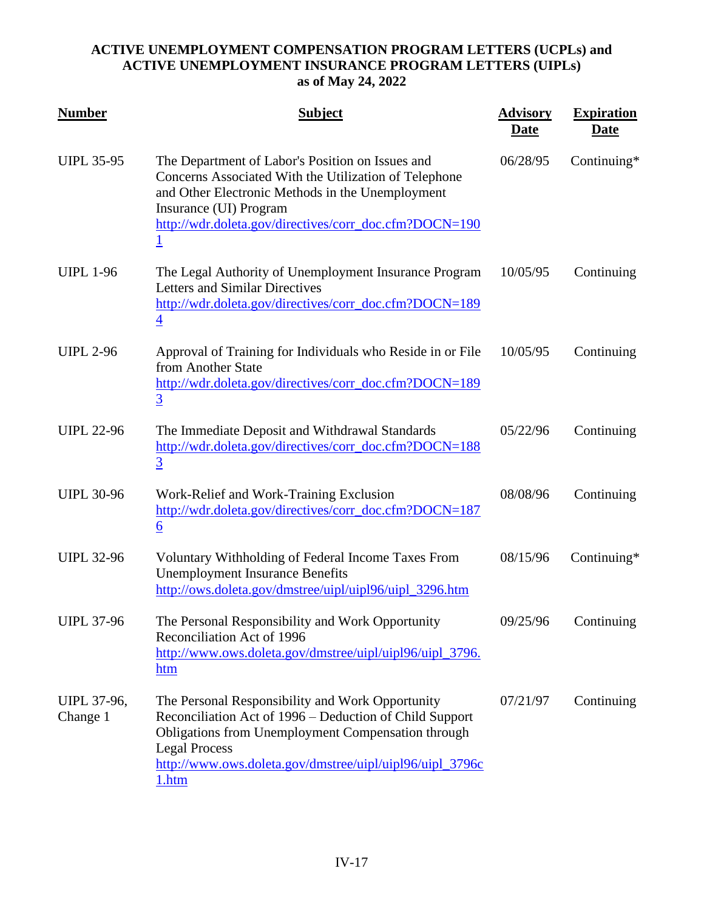| <b>Number</b>                  | <b>Subject</b>                                                                                                                                                                                                                                                        | <b>Advisory</b><br>Date | <b>Expiration</b><br><b>Date</b> |
|--------------------------------|-----------------------------------------------------------------------------------------------------------------------------------------------------------------------------------------------------------------------------------------------------------------------|-------------------------|----------------------------------|
| <b>UIPL 35-95</b>              | The Department of Labor's Position on Issues and<br>Concerns Associated With the Utilization of Telephone<br>and Other Electronic Methods in the Unemployment<br>Insurance (UI) Program<br>http://wdr.doleta.gov/directives/corr_doc.cfm?DOCN=190<br>$\mathbf{1}$     | 06/28/95                | Continuing $*$                   |
| <b>UIPL 1-96</b>               | The Legal Authority of Unemployment Insurance Program<br><b>Letters and Similar Directives</b><br>http://wdr.doleta.gov/directives/corr_doc.cfm?DOCN=189<br>$\overline{4}$                                                                                            | 10/05/95                | Continuing                       |
| <b>UIPL 2-96</b>               | Approval of Training for Individuals who Reside in or File<br>from Another State<br>http://wdr.doleta.gov/directives/corr_doc.cfm?DOCN=189<br>$\overline{3}$                                                                                                          | 10/05/95                | Continuing                       |
| <b>UIPL 22-96</b>              | The Immediate Deposit and Withdrawal Standards<br>http://wdr.doleta.gov/directives/corr_doc.cfm?DOCN=188<br>$\overline{3}$                                                                                                                                            | 05/22/96                | Continuing                       |
| <b>UIPL 30-96</b>              | Work-Relief and Work-Training Exclusion<br>http://wdr.doleta.gov/directives/corr_doc.cfm?DOCN=187<br>$\underline{6}$                                                                                                                                                  | 08/08/96                | Continuing                       |
| <b>UIPL 32-96</b>              | Voluntary Withholding of Federal Income Taxes From<br><b>Unemployment Insurance Benefits</b><br>http://ows.doleta.gov/dmstree/uipl/uipl96/uipl_3296.htm                                                                                                               | 08/15/96                | Continuing*                      |
| <b>UIPL 37-96</b>              | The Personal Responsibility and Work Opportunity<br>Reconciliation Act of 1996<br>http://www.ows.doleta.gov/dmstree/uipl/uipl96/uipl_3796.<br>htm                                                                                                                     | 09/25/96                | Continuing                       |
| <b>UIPL 37-96,</b><br>Change 1 | The Personal Responsibility and Work Opportunity<br>Reconciliation Act of 1996 - Deduction of Child Support<br><b>Obligations from Unemployment Compensation through</b><br><b>Legal Process</b><br>http://www.ows.doleta.gov/dmstree/uipl/uipl96/uipl_3796c<br>1.htm | 07/21/97                | Continuing                       |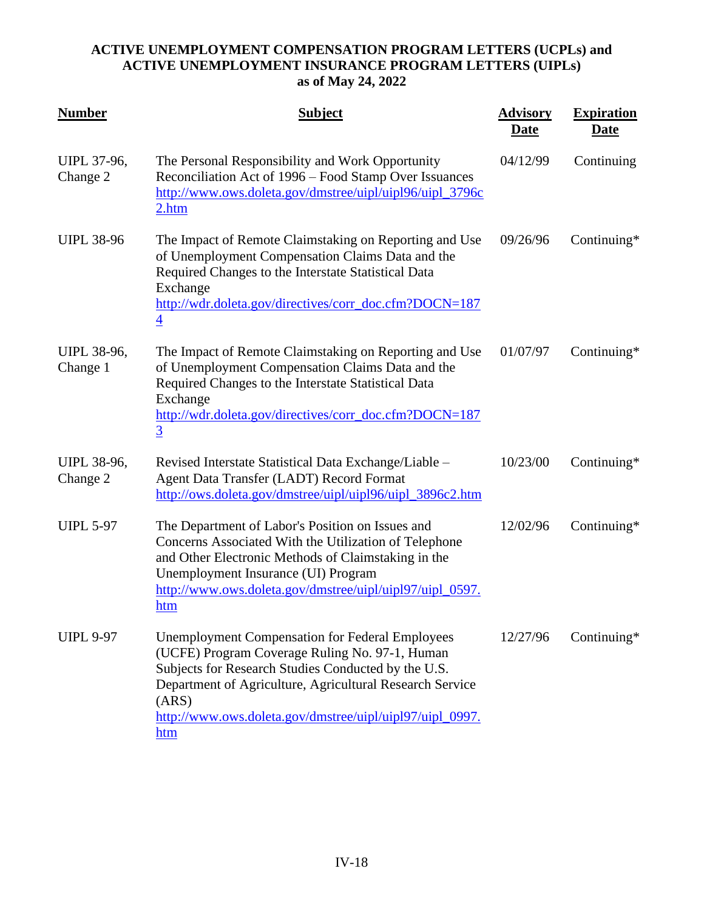| <b>Number</b>                  | <b>Subject</b>                                                                                                                                                                                                                                                                                          | <b>Advisory</b><br><u>Date</u> | <b>Expiration</b><br><u>Date</u> |
|--------------------------------|---------------------------------------------------------------------------------------------------------------------------------------------------------------------------------------------------------------------------------------------------------------------------------------------------------|--------------------------------|----------------------------------|
| UIPL 37-96,<br>Change 2        | The Personal Responsibility and Work Opportunity<br>Reconciliation Act of 1996 – Food Stamp Over Issuances<br>http://www.ows.doleta.gov/dmstree/uipl/uipl96/uipl_3796c<br>2.htm                                                                                                                         | 04/12/99                       | Continuing                       |
| <b>UIPL 38-96</b>              | The Impact of Remote Claimstaking on Reporting and Use<br>of Unemployment Compensation Claims Data and the<br>Required Changes to the Interstate Statistical Data<br>Exchange<br>http://wdr.doleta.gov/directives/corr_doc.cfm?DOCN=187<br>$\overline{4}$                                               | 09/26/96                       | Continuing*                      |
| <b>UIPL 38-96,</b><br>Change 1 | The Impact of Remote Claimstaking on Reporting and Use<br>of Unemployment Compensation Claims Data and the<br>Required Changes to the Interstate Statistical Data<br>Exchange<br>http://wdr.doleta.gov/directives/corr_doc.cfm?DOCN=187<br>$\overline{3}$                                               | 01/07/97                       | Continuing*                      |
| <b>UIPL 38-96,</b><br>Change 2 | Revised Interstate Statistical Data Exchange/Liable -<br>Agent Data Transfer (LADT) Record Format<br>http://ows.doleta.gov/dmstree/uipl/uipl96/uipl_3896c2.htm                                                                                                                                          | 10/23/00                       | Continuing*                      |
| <b>UIPL 5-97</b>               | The Department of Labor's Position on Issues and<br>Concerns Associated With the Utilization of Telephone<br>and Other Electronic Methods of Claimstaking in the<br>Unemployment Insurance (UI) Program<br>http://www.ows.doleta.gov/dmstree/uipl/uipl97/uipl_0597.<br>htm                              | 12/02/96                       | Continuing*                      |
| <b>UIPL 9-97</b>               | <b>Unemployment Compensation for Federal Employees</b><br>(UCFE) Program Coverage Ruling No. 97-1, Human<br>Subjects for Research Studies Conducted by the U.S.<br>Department of Agriculture, Agricultural Research Service<br>(ARS)<br>http://www.ows.doleta.gov/dmstree/uipl/uipl97/uipl_0997.<br>htm | 12/27/96                       | Continuing*                      |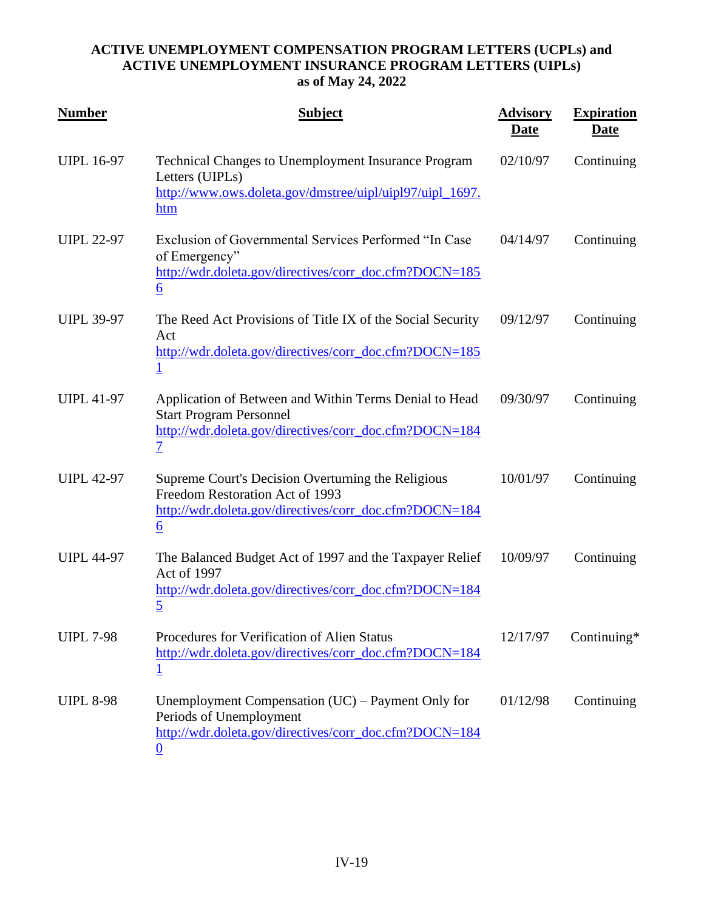| <b>Number</b>     | <b>Subject</b>                                                                                                                                                       | <b>Advisory</b><br><b>Date</b> | <b>Expiration</b><br><u>Date</u> |
|-------------------|----------------------------------------------------------------------------------------------------------------------------------------------------------------------|--------------------------------|----------------------------------|
| <b>UIPL 16-97</b> | Technical Changes to Unemployment Insurance Program<br>Letters (UIPLs)<br>http://www.ows.doleta.gov/dmstree/uipl/uipl97/uipl_1697.<br>htm                            | 02/10/97                       | Continuing                       |
| <b>UIPL 22-97</b> | Exclusion of Governmental Services Performed "In Case<br>of Emergency"<br>http://wdr.doleta.gov/directives/corr_doc.cfm?DOCN=185<br>$\underline{6}$                  | 04/14/97                       | Continuing                       |
| <b>UIPL 39-97</b> | The Reed Act Provisions of Title IX of the Social Security<br>Act<br>http://wdr.doleta.gov/directives/corr_doc.cfm?DOCN=185<br>$\mathbf 1$                           | 09/12/97                       | Continuing                       |
| <b>UIPL 41-97</b> | Application of Between and Within Terms Denial to Head<br><b>Start Program Personnel</b><br>http://wdr.doleta.gov/directives/corr_doc.cfm?DOCN=184<br>$\overline{1}$ | 09/30/97                       | Continuing                       |
| <b>UIPL 42-97</b> | Supreme Court's Decision Overturning the Religious<br>Freedom Restoration Act of 1993<br>http://wdr.doleta.gov/directives/corr_doc.cfm?DOCN=184<br>$\underline{6}$   | 10/01/97                       | Continuing                       |
| <b>UIPL 44-97</b> | The Balanced Budget Act of 1997 and the Taxpayer Relief<br>Act of 1997<br>http://wdr.doleta.gov/directives/corr_doc.cfm?DOCN=184<br>$\overline{5}$                   | 10/09/97                       | Continuing                       |
| <b>UIPL 7-98</b>  | Procedures for Verification of Alien Status<br>http://wdr.doleta.gov/directives/corr_doc.cfm?DOCN=184<br>$\overline{1}$                                              | 12/17/97                       | Continuing $*$                   |
| <b>UIPL 8-98</b>  | Unemployment Compensation $(UC)$ – Payment Only for<br>Periods of Unemployment<br>http://wdr.doleta.gov/directives/corr_doc.cfm?DOCN=184<br>0                        | 01/12/98                       | Continuing                       |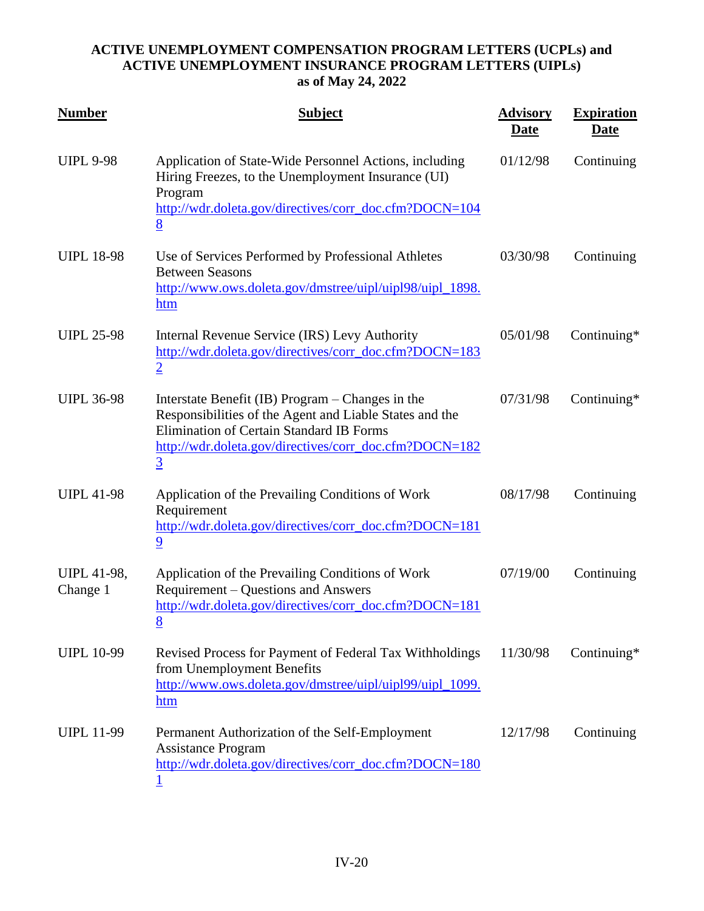| <b>Number</b>                  | <b>Subject</b>                                                                                                                                                                                                                             | <b>Advisory</b><br><u>Date</u> | <b>Expiration</b><br><u>Date</u> |
|--------------------------------|--------------------------------------------------------------------------------------------------------------------------------------------------------------------------------------------------------------------------------------------|--------------------------------|----------------------------------|
| <b>UIPL 9-98</b>               | Application of State-Wide Personnel Actions, including<br>Hiring Freezes, to the Unemployment Insurance (UI)<br>Program<br>http://wdr.doleta.gov/directives/corr_doc.cfm?DOCN=104<br>8                                                     | 01/12/98                       | Continuing                       |
| <b>UIPL 18-98</b>              | Use of Services Performed by Professional Athletes<br><b>Between Seasons</b><br>http://www.ows.doleta.gov/dmstree/uipl/uipl98/uipl_1898.<br>htm                                                                                            | 03/30/98                       | Continuing                       |
| <b>UIPL 25-98</b>              | Internal Revenue Service (IRS) Levy Authority<br>http://wdr.doleta.gov/directives/corr_doc.cfm?DOCN=183<br>$\overline{2}$                                                                                                                  | 05/01/98                       | Continuing*                      |
| <b>UIPL 36-98</b>              | Interstate Benefit (IB) Program – Changes in the<br>Responsibilities of the Agent and Liable States and the<br><b>Elimination of Certain Standard IB Forms</b><br>http://wdr.doleta.gov/directives/corr_doc.cfm?DOCN=182<br>$\overline{3}$ | 07/31/98                       | Continuing $*$                   |
| <b>UIPL 41-98</b>              | Application of the Prevailing Conditions of Work<br>Requirement<br>http://wdr.doleta.gov/directives/corr_doc.cfm?DOCN=181<br>$\overline{9}$                                                                                                | 08/17/98                       | Continuing                       |
| <b>UIPL 41-98,</b><br>Change 1 | Application of the Prevailing Conditions of Work<br>Requirement – Questions and Answers<br>http://wdr.doleta.gov/directives/corr_doc.cfm?DOCN=181<br>8                                                                                     | 07/19/00                       | Continuing                       |
| <b>UIPL 10-99</b>              | Revised Process for Payment of Federal Tax Withholdings<br>from Unemployment Benefits<br>http://www.ows.doleta.gov/dmstree/uipl/uipl99/uipl_1099.<br>htm                                                                                   | 11/30/98                       | Continuing*                      |
| <b>UIPL 11-99</b>              | Permanent Authorization of the Self-Employment<br><b>Assistance Program</b><br>http://wdr.doleta.gov/directives/corr_doc.cfm?DOCN=180                                                                                                      | 12/17/98                       | Continuing                       |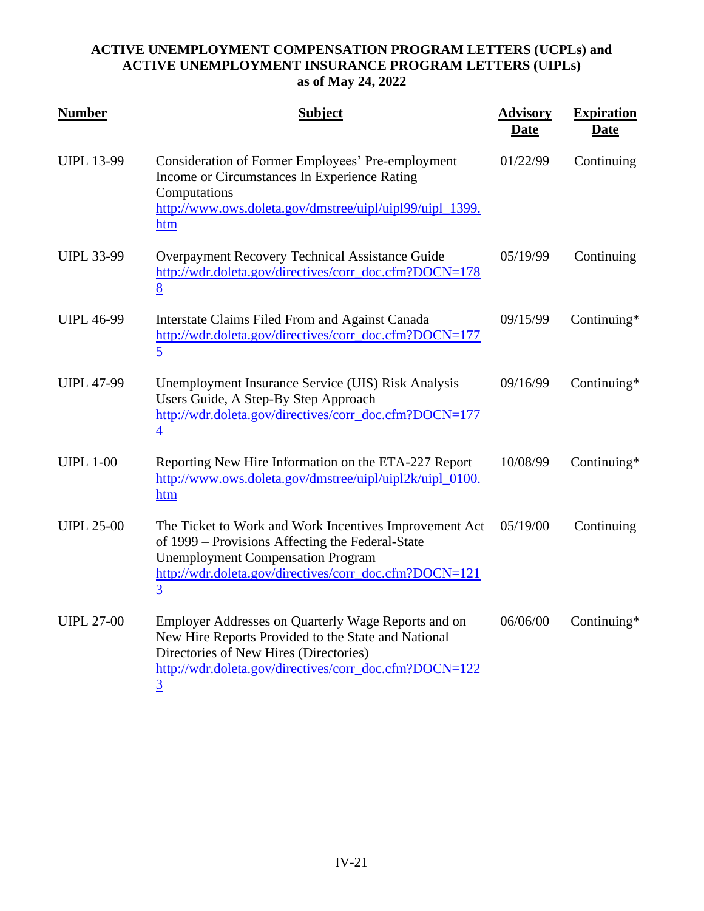| <b>Number</b>     | <b>Subject</b>                                                                                                                                                                                                                     | <b>Advisory</b><br><b>Date</b> | <b>Expiration</b><br><b>Date</b> |
|-------------------|------------------------------------------------------------------------------------------------------------------------------------------------------------------------------------------------------------------------------------|--------------------------------|----------------------------------|
| <b>UIPL 13-99</b> | Consideration of Former Employees' Pre-employment<br>Income or Circumstances In Experience Rating<br>Computations<br>http://www.ows.doleta.gov/dmstree/uipl/uipl99/uipl_1399.<br>htm                                               | 01/22/99                       | Continuing                       |
| <b>UIPL 33-99</b> | Overpayment Recovery Technical Assistance Guide<br>http://wdr.doleta.gov/directives/corr_doc.cfm?DOCN=178<br>8                                                                                                                     | 05/19/99                       | Continuing                       |
| <b>UIPL 46-99</b> | Interstate Claims Filed From and Against Canada<br>http://wdr.doleta.gov/directives/corr_doc.cfm?DOCN=177<br>$\overline{5}$                                                                                                        | 09/15/99                       | Continuing*                      |
| <b>UIPL 47-99</b> | Unemployment Insurance Service (UIS) Risk Analysis<br>Users Guide, A Step-By Step Approach<br>http://wdr.doleta.gov/directives/corr_doc.cfm?DOCN=177<br>$\overline{4}$                                                             | 09/16/99                       | Continuing*                      |
| <b>UIPL 1-00</b>  | Reporting New Hire Information on the ETA-227 Report<br>http://www.ows.doleta.gov/dmstree/uipl/uipl2k/uipl_0100.<br>htm                                                                                                            | 10/08/99                       | Continuing*                      |
| <b>UIPL 25-00</b> | The Ticket to Work and Work Incentives Improvement Act<br>of 1999 – Provisions Affecting the Federal-State<br><b>Unemployment Compensation Program</b><br>http://wdr.doleta.gov/directives/corr_doc.cfm?DOCN=121<br>$\overline{3}$ | 05/19/00                       | Continuing                       |
| <b>UIPL 27-00</b> | Employer Addresses on Quarterly Wage Reports and on<br>New Hire Reports Provided to the State and National<br>Directories of New Hires (Directories)<br>http://wdr.doleta.gov/directives/corr_doc.cfm?DOCN=122<br>$\overline{3}$   | 06/06/00                       | Continuing*                      |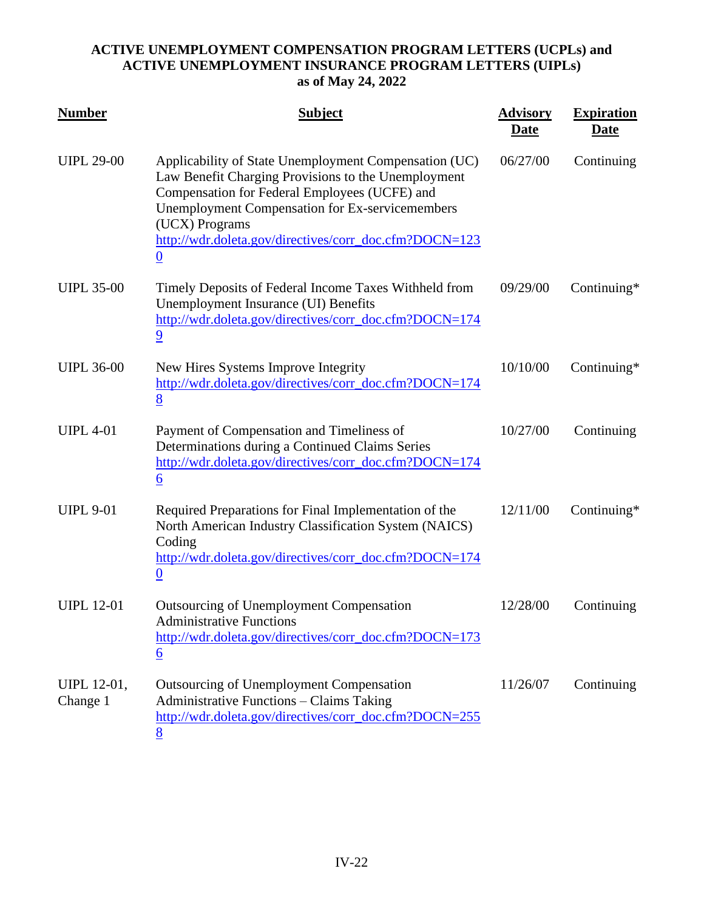| <b>Number</b>           | <b>Subject</b>                                                                                                                                                                                                                                                                                                  | <b>Advisory</b><br><u>Date</u> | <b>Expiration</b><br><b>Date</b> |
|-------------------------|-----------------------------------------------------------------------------------------------------------------------------------------------------------------------------------------------------------------------------------------------------------------------------------------------------------------|--------------------------------|----------------------------------|
| <b>UIPL 29-00</b>       | Applicability of State Unemployment Compensation (UC)<br>Law Benefit Charging Provisions to the Unemployment<br>Compensation for Federal Employees (UCFE) and<br><b>Unemployment Compensation for Ex-servicemembers</b><br>(UCX) Programs<br>http://wdr.doleta.gov/directives/corr_doc.cfm?DOCN=123<br>$\bf{0}$ | 06/27/00                       | Continuing                       |
| <b>UIPL 35-00</b>       | Timely Deposits of Federal Income Taxes Withheld from<br>Unemployment Insurance (UI) Benefits<br>http://wdr.doleta.gov/directives/corr_doc.cfm?DOCN=174<br>$\overline{9}$                                                                                                                                       | 09/29/00                       | Continuing*                      |
| <b>UIPL 36-00</b>       | New Hires Systems Improve Integrity<br>http://wdr.doleta.gov/directives/corr_doc.cfm?DOCN=174<br>8                                                                                                                                                                                                              | 10/10/00                       | Continuing*                      |
| <b>UIPL 4-01</b>        | Payment of Compensation and Timeliness of<br>Determinations during a Continued Claims Series<br>http://wdr.doleta.gov/directives/corr_doc.cfm?DOCN=174<br>$\underline{6}$                                                                                                                                       | 10/27/00                       | Continuing                       |
| <b>UIPL 9-01</b>        | Required Preparations for Final Implementation of the<br>North American Industry Classification System (NAICS)<br>Coding<br>http://wdr.doleta.gov/directives/corr_doc.cfm?DOCN=174<br>$\boldsymbol{0}$                                                                                                          | 12/11/00                       | Continuing*                      |
| <b>UIPL 12-01</b>       | <b>Outsourcing of Unemployment Compensation</b><br><b>Administrative Functions</b><br>http://wdr.doleta.gov/directives/corr_doc.cfm?DOCN=173<br>$\underline{6}$                                                                                                                                                 | 12/28/00                       | Continuing                       |
| UIPL 12-01,<br>Change 1 | Outsourcing of Unemployment Compensation<br><b>Administrative Functions - Claims Taking</b><br>http://wdr.doleta.gov/directives/corr_doc.cfm?DOCN=255<br>8                                                                                                                                                      | 11/26/07                       | Continuing                       |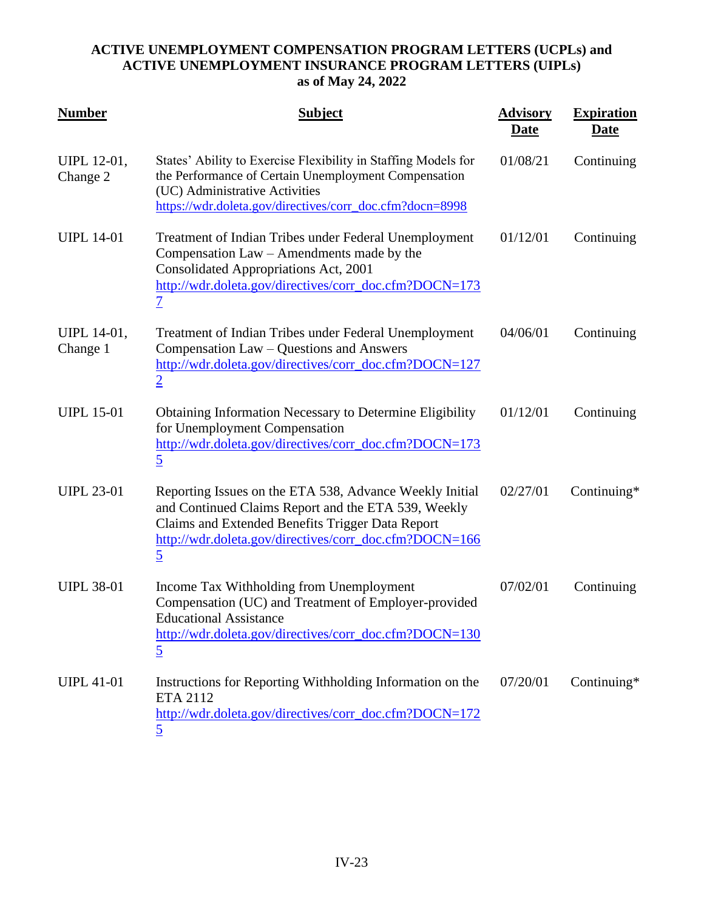| <b>Number</b>           | <b>Subject</b>                                                                                                                                                                                                                                 | <b>Advisory</b><br><u>Date</u> | <b>Expiration</b><br><u>Date</u> |
|-------------------------|------------------------------------------------------------------------------------------------------------------------------------------------------------------------------------------------------------------------------------------------|--------------------------------|----------------------------------|
| UIPL 12-01,<br>Change 2 | States' Ability to Exercise Flexibility in Staffing Models for<br>the Performance of Certain Unemployment Compensation<br>(UC) Administrative Activities<br>https://wdr.doleta.gov/directives/corr_doc.cfm?docn=8998                           | 01/08/21                       | Continuing                       |
| <b>UIPL 14-01</b>       | Treatment of Indian Tribes under Federal Unemployment<br>Compensation Law – Amendments made by the<br>Consolidated Appropriations Act, 2001<br>http://wdr.doleta.gov/directives/corr_doc.cfm?DOCN=173<br>$\overline{\mathcal{I}}$              | 01/12/01                       | Continuing                       |
| UIPL 14-01,<br>Change 1 | Treatment of Indian Tribes under Federal Unemployment<br>Compensation Law – Questions and Answers<br>http://wdr.doleta.gov/directives/corr_doc.cfm?DOCN=127<br>$\overline{2}$                                                                  | 04/06/01                       | Continuing                       |
| <b>UIPL 15-01</b>       | <b>Obtaining Information Necessary to Determine Eligibility</b><br>for Unemployment Compensation<br>http://wdr.doleta.gov/directives/corr_doc.cfm?DOCN=173<br>$\overline{5}$                                                                   | 01/12/01                       | Continuing                       |
| <b>UIPL 23-01</b>       | Reporting Issues on the ETA 538, Advance Weekly Initial<br>and Continued Claims Report and the ETA 539, Weekly<br>Claims and Extended Benefits Trigger Data Report<br>http://wdr.doleta.gov/directives/corr_doc.cfm?DOCN=166<br>$\overline{5}$ | 02/27/01                       | Continuing*                      |
| <b>UIPL 38-01</b>       | Income Tax Withholding from Unemployment<br>Compensation (UC) and Treatment of Employer-provided<br><b>Educational Assistance</b><br>http://wdr.doleta.gov/directives/corr_doc.cfm?DOCN=130<br>$\overline{5}$                                  | 07/02/01                       | Continuing                       |
| <b>UIPL 41-01</b>       | Instructions for Reporting Withholding Information on the<br>ETA 2112<br>http://wdr.doleta.gov/directives/corr_doc.cfm?DOCN=172<br>5                                                                                                           | 07/20/01                       | Continuing*                      |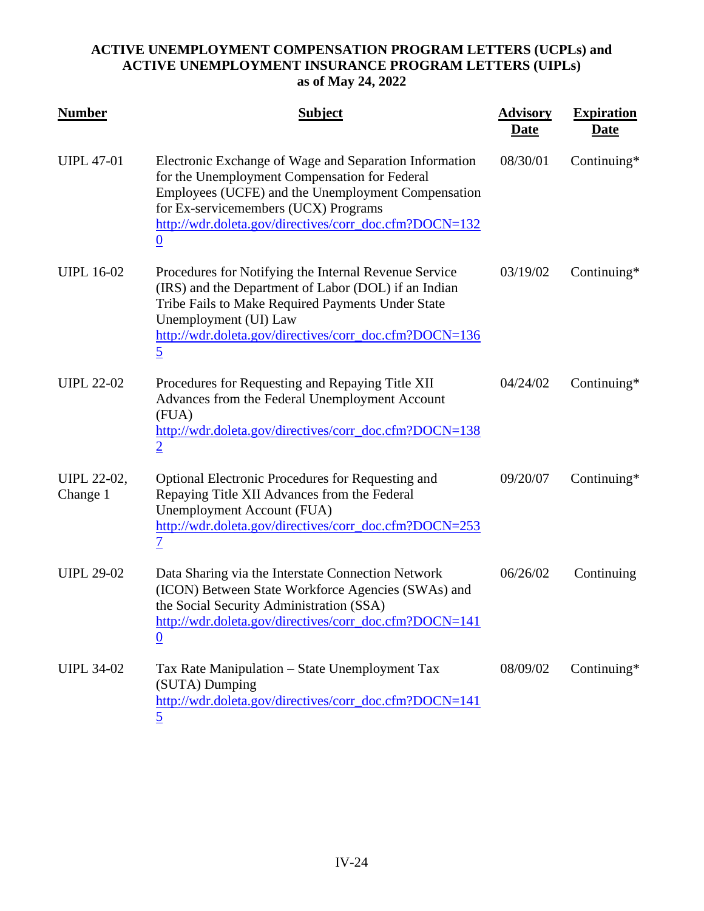| <b>Number</b>                  | <b>Subject</b>                                                                                                                                                                                                                                                          | <b>Advisory</b><br><u>Date</u> | <b>Expiration</b><br><u>Date</u> |
|--------------------------------|-------------------------------------------------------------------------------------------------------------------------------------------------------------------------------------------------------------------------------------------------------------------------|--------------------------------|----------------------------------|
| <b>UIPL 47-01</b>              | Electronic Exchange of Wage and Separation Information<br>for the Unemployment Compensation for Federal<br>Employees (UCFE) and the Unemployment Compensation<br>for Ex-servicemembers (UCX) Programs<br>http://wdr.doleta.gov/directives/corr_doc.cfm?DOCN=132<br>0    | 08/30/01                       | Continuing*                      |
| <b>UIPL 16-02</b>              | Procedures for Notifying the Internal Revenue Service<br>(IRS) and the Department of Labor (DOL) if an Indian<br>Tribe Fails to Make Required Payments Under State<br>Unemployment (UI) Law<br>http://wdr.doleta.gov/directives/corr_doc.cfm?DOCN=136<br>$\overline{5}$ | 03/19/02                       | Continuing $*$                   |
| <b>UIPL 22-02</b>              | Procedures for Requesting and Repaying Title XII<br>Advances from the Federal Unemployment Account<br>(FUA)<br>http://wdr.doleta.gov/directives/corr_doc.cfm?DOCN=138<br>$\overline{2}$                                                                                 | 04/24/02                       | Continuing*                      |
| <b>UIPL 22-02,</b><br>Change 1 | Optional Electronic Procedures for Requesting and<br>Repaying Title XII Advances from the Federal<br>Unemployment Account (FUA)<br>http://wdr.doleta.gov/directives/corr_doc.cfm?DOCN=253<br>$\overline{1}$                                                             | 09/20/07                       | Continuing $*$                   |
| <b>UIPL 29-02</b>              | Data Sharing via the Interstate Connection Network<br>(ICON) Between State Workforce Agencies (SWAs) and<br>the Social Security Administration (SSA)<br>http://wdr.doleta.gov/directives/corr_doc.cfm?DOCN=141<br>$\bf{0}$                                              | 06/26/02                       | Continuing                       |
| <b>UIPL 34-02</b>              | Tax Rate Manipulation – State Unemployment Tax<br>(SUTA) Dumping<br>http://wdr.doleta.gov/directives/corr_doc.cfm?DOCN=141<br>5                                                                                                                                         | 08/09/02                       | Continuing*                      |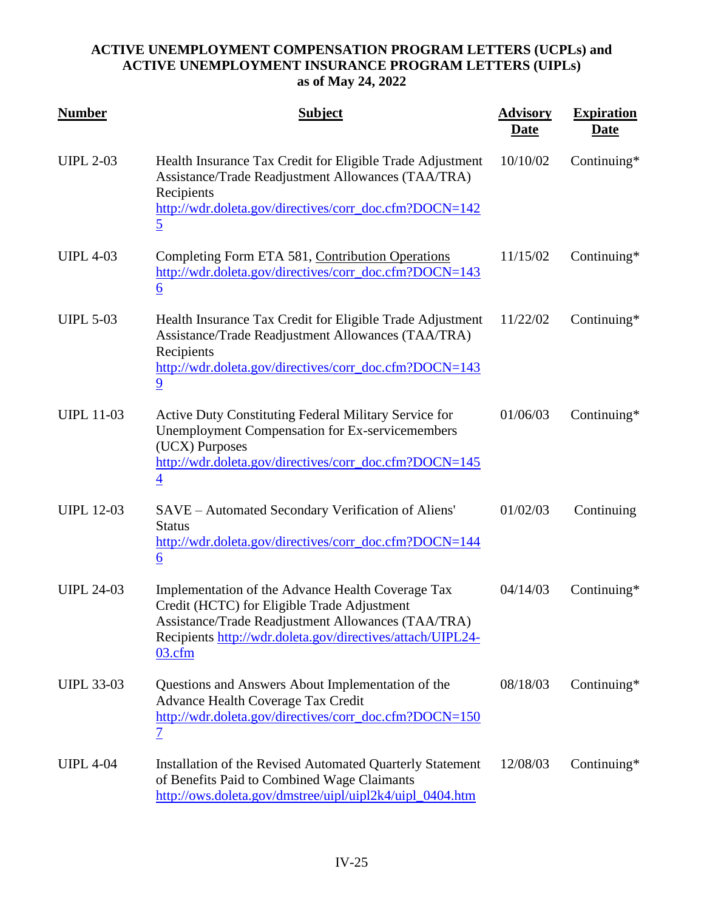| <b>Number</b>     | <b>Subject</b>                                                                                                                                                                                                                    | <b>Advisory</b><br><b>Date</b> | <b>Expiration</b><br><b>Date</b> |
|-------------------|-----------------------------------------------------------------------------------------------------------------------------------------------------------------------------------------------------------------------------------|--------------------------------|----------------------------------|
| <b>UIPL 2-03</b>  | Health Insurance Tax Credit for Eligible Trade Adjustment<br>Assistance/Trade Readjustment Allowances (TAA/TRA)<br>Recipients<br>http://wdr.doleta.gov/directives/corr_doc.cfm?DOCN=142<br>$\overline{5}$                         | 10/10/02                       | Continuing*                      |
| <b>UIPL 4-03</b>  | Completing Form ETA 581, Contribution Operations<br>http://wdr.doleta.gov/directives/corr_doc.cfm?DOCN=143<br>$\underline{6}$                                                                                                     | 11/15/02                       | Continuing*                      |
| <b>UIPL 5-03</b>  | Health Insurance Tax Credit for Eligible Trade Adjustment<br>Assistance/Trade Readjustment Allowances (TAA/TRA)<br>Recipients<br>http://wdr.doleta.gov/directives/corr_doc.cfm?DOCN=143<br>$\overline{9}$                         | 11/22/02                       | Continuing*                      |
| <b>UIPL 11-03</b> | Active Duty Constituting Federal Military Service for<br><b>Unemployment Compensation for Ex-servicemembers</b><br>(UCX) Purposes<br>http://wdr.doleta.gov/directives/corr_doc.cfm?DOCN=145<br>$\overline{4}$                     | 01/06/03                       | Continuing*                      |
| <b>UIPL 12-03</b> | SAVE - Automated Secondary Verification of Aliens'<br><b>Status</b><br>http://wdr.doleta.gov/directives/corr_doc.cfm?DOCN=144<br>$\underline{6}$                                                                                  | 01/02/03                       | Continuing                       |
| <b>UIPL 24-03</b> | Implementation of the Advance Health Coverage Tax<br>Credit (HCTC) for Eligible Trade Adjustment<br>Assistance/Trade Readjustment Allowances (TAA/TRA)<br>Recipients http://wdr.doleta.gov/directives/attach/UIPL24-<br>$03.c$ fm | 04/14/03                       | Continuing*                      |
| <b>UIPL 33-03</b> | Questions and Answers About Implementation of the<br>Advance Health Coverage Tax Credit<br>http://wdr.doleta.gov/directives/corr_doc.cfm?DOCN=150<br><u>7</u>                                                                     | 08/18/03                       | Continuing*                      |
| <b>UIPL 4-04</b>  | Installation of the Revised Automated Quarterly Statement<br>of Benefits Paid to Combined Wage Claimants<br>http://ows.doleta.gov/dmstree/uipl/uipl2k4/uipl_0404.htm                                                              | 12/08/03                       | Continuing*                      |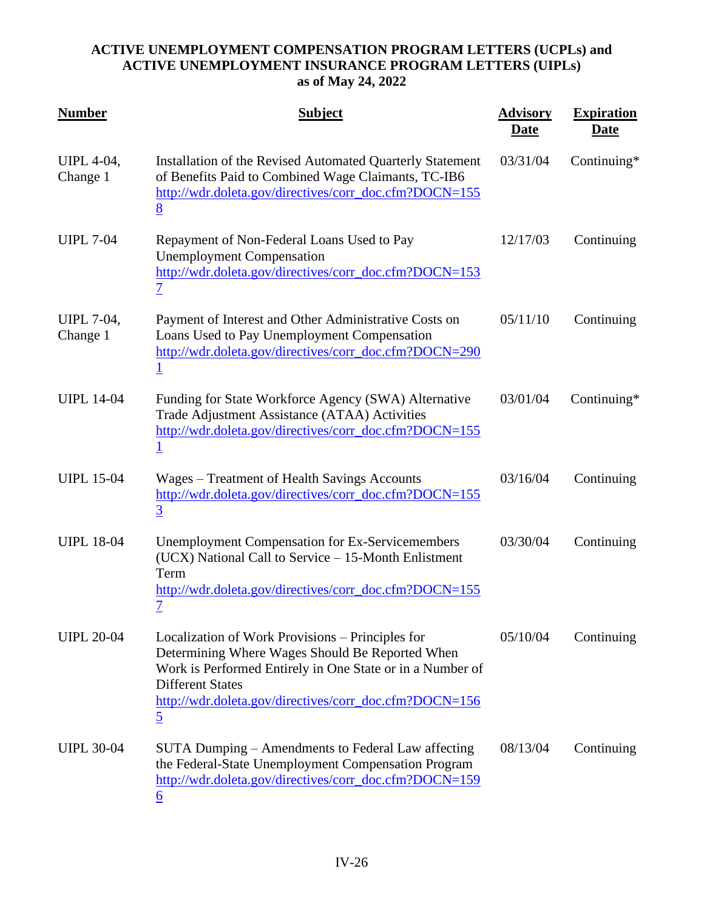| <b>Number</b>                 | <b>Subject</b>                                                                                                                                                                                                                                                          | <b>Advisory</b><br><u>Date</u> | <b>Expiration</b><br><u>Date</u> |
|-------------------------------|-------------------------------------------------------------------------------------------------------------------------------------------------------------------------------------------------------------------------------------------------------------------------|--------------------------------|----------------------------------|
| <b>UIPL 4-04,</b><br>Change 1 | Installation of the Revised Automated Quarterly Statement<br>of Benefits Paid to Combined Wage Claimants, TC-IB6<br>http://wdr.doleta.gov/directives/corr_doc.cfm?DOCN=155<br>8                                                                                         | 03/31/04                       | Continuing*                      |
| <b>UIPL 7-04</b>              | Repayment of Non-Federal Loans Used to Pay<br><b>Unemployment Compensation</b><br>http://wdr.doleta.gov/directives/corr_doc.cfm?DOCN=153<br><u>7</u>                                                                                                                    | 12/17/03                       | Continuing                       |
| <b>UIPL 7-04,</b><br>Change 1 | Payment of Interest and Other Administrative Costs on<br>Loans Used to Pay Unemployment Compensation<br>http://wdr.doleta.gov/directives/corr_doc.cfm?DOCN=290                                                                                                          | 05/11/10                       | Continuing                       |
| <b>UIPL 14-04</b>             | Funding for State Workforce Agency (SWA) Alternative<br>Trade Adjustment Assistance (ATAA) Activities<br>http://wdr.doleta.gov/directives/corr_doc.cfm?DOCN=155<br>$\mathbf 1$                                                                                          | 03/01/04                       | Continuing*                      |
| <b>UIPL 15-04</b>             | Wages – Treatment of Health Savings Accounts<br>http://wdr.doleta.gov/directives/corr_doc.cfm?DOCN=155<br>$\overline{3}$                                                                                                                                                | 03/16/04                       | Continuing                       |
| <b>UIPL 18-04</b>             | <b>Unemployment Compensation for Ex-Servicemembers</b><br>(UCX) National Call to Service - 15-Month Enlistment<br>Term<br>http://wdr.doleta.gov/directives/corr_doc.cfm?DOCN=155<br>$\overline{\mathcal{I}}$                                                            | 03/30/04                       | Continuing                       |
| <b>UIPL 20-04</b>             | Localization of Work Provisions – Principles for<br>Determining Where Wages Should Be Reported When<br>Work is Performed Entirely in One State or in a Number of<br><b>Different States</b><br>http://wdr.doleta.gov/directives/corr_doc.cfm?DOCN=156<br>$\overline{5}$ | 05/10/04                       | Continuing                       |
| <b>UIPL 30-04</b>             | SUTA Dumping – Amendments to Federal Law affecting<br>the Federal-State Unemployment Compensation Program<br>http://wdr.doleta.gov/directives/corr_doc.cfm?DOCN=159<br>$\underline{6}$                                                                                  | 08/13/04                       | Continuing                       |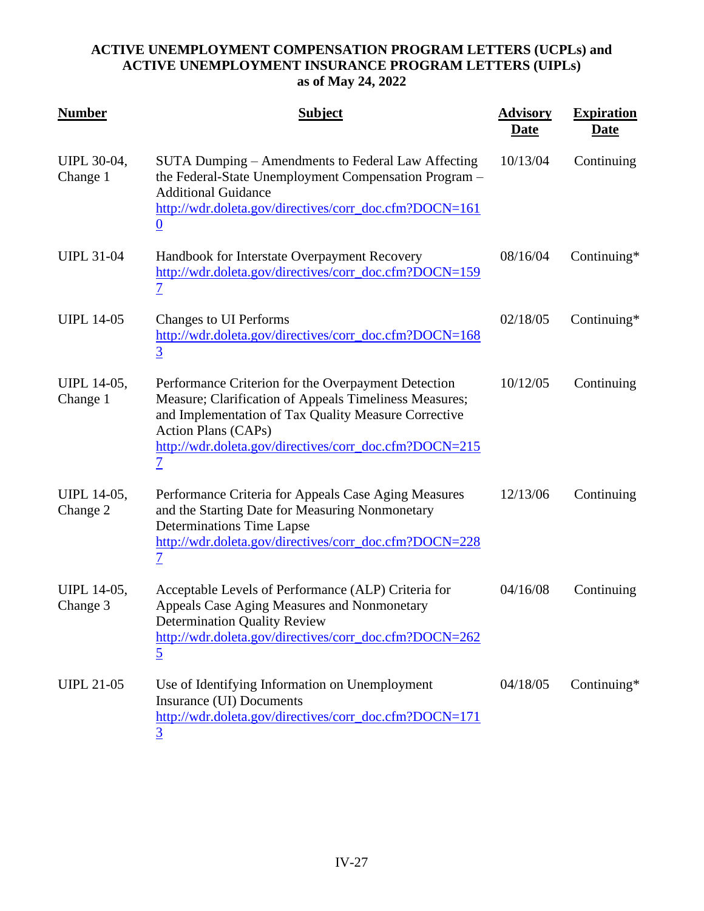| <b>Number</b>                  | <b>Subject</b>                                                                                                                                                                                                                                                     | <b>Advisory</b><br><u>Date</u> | <b>Expiration</b><br><u>Date</u> |
|--------------------------------|--------------------------------------------------------------------------------------------------------------------------------------------------------------------------------------------------------------------------------------------------------------------|--------------------------------|----------------------------------|
| <b>UIPL 30-04,</b><br>Change 1 | SUTA Dumping – Amendments to Federal Law Affecting<br>the Federal-State Unemployment Compensation Program -<br><b>Additional Guidance</b><br>http://wdr.doleta.gov/directives/corr_doc.cfm?DOCN=161<br>$\overline{0}$                                              | 10/13/04                       | Continuing                       |
| <b>UIPL 31-04</b>              | Handbook for Interstate Overpayment Recovery<br>http://wdr.doleta.gov/directives/corr_doc.cfm?DOCN=159<br><u>7</u>                                                                                                                                                 | 08/16/04                       | Continuing*                      |
| <b>UIPL 14-05</b>              | <b>Changes to UI Performs</b><br>http://wdr.doleta.gov/directives/corr_doc.cfm?DOCN=168<br>$\overline{3}$                                                                                                                                                          | 02/18/05                       | Continuing*                      |
| <b>UIPL 14-05,</b><br>Change 1 | Performance Criterion for the Overpayment Detection<br>Measure; Clarification of Appeals Timeliness Measures;<br>and Implementation of Tax Quality Measure Corrective<br><b>Action Plans (CAPs)</b><br>http://wdr.doleta.gov/directives/corr_doc.cfm?DOCN=215<br>7 | 10/12/05                       | Continuing                       |
| <b>UIPL 14-05,</b><br>Change 2 | Performance Criteria for Appeals Case Aging Measures<br>and the Starting Date for Measuring Nonmonetary<br>Determinations Time Lapse<br>http://wdr.doleta.gov/directives/corr_doc.cfm?DOCN=228<br>7                                                                | 12/13/06                       | Continuing                       |
| <b>UIPL 14-05,</b><br>Change 3 | Acceptable Levels of Performance (ALP) Criteria for<br>Appeals Case Aging Measures and Nonmonetary<br><b>Determination Quality Review</b><br>http://wdr.doleta.gov/directives/corr_doc.cfm?DOCN=262<br>$\overline{5}$                                              | 04/16/08                       | Continuing                       |
| <b>UIPL 21-05</b>              | Use of Identifying Information on Unemployment<br>Insurance (UI) Documents<br>http://wdr.doleta.gov/directives/corr_doc.cfm?DOCN=171<br>3                                                                                                                          | 04/18/05                       | Continuing*                      |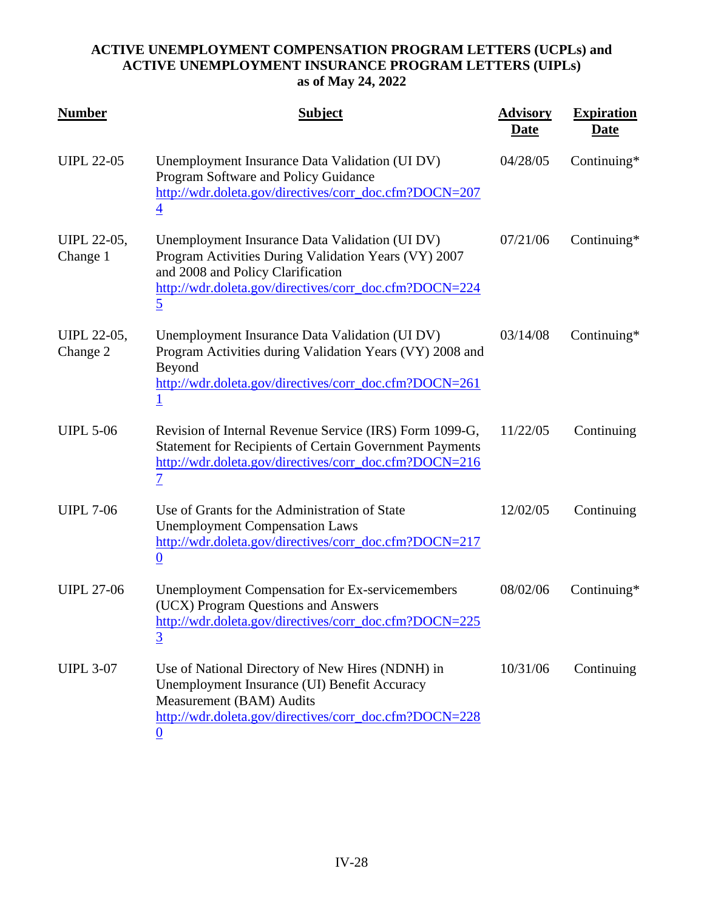| <b>Number</b>           | <b>Subject</b>                                                                                                                                                                                                          | <b>Advisory</b><br><u>Date</u> | <b>Expiration</b><br><b>Date</b> |
|-------------------------|-------------------------------------------------------------------------------------------------------------------------------------------------------------------------------------------------------------------------|--------------------------------|----------------------------------|
| <b>UIPL 22-05</b>       | Unemployment Insurance Data Validation (UI DV)<br>Program Software and Policy Guidance<br>http://wdr.doleta.gov/directives/corr_doc.cfm?DOCN=207<br>$\overline{4}$                                                      | 04/28/05                       | Continuing*                      |
| UIPL 22-05,<br>Change 1 | Unemployment Insurance Data Validation (UI DV)<br>Program Activities During Validation Years (VY) 2007<br>and 2008 and Policy Clarification<br>http://wdr.doleta.gov/directives/corr_doc.cfm?DOCN=224<br>$\overline{5}$ | 07/21/06                       | Continuing*                      |
| UIPL 22-05,<br>Change 2 | Unemployment Insurance Data Validation (UI DV)<br>Program Activities during Validation Years (VY) 2008 and<br>Beyond<br>http://wdr.doleta.gov/directives/corr_doc.cfm?DOCN=261<br><u>1</u>                              | 03/14/08                       | Continuing*                      |
| <b>UIPL 5-06</b>        | Revision of Internal Revenue Service (IRS) Form 1099-G,<br><b>Statement for Recipients of Certain Government Payments</b><br>http://wdr.doleta.gov/directives/corr_doc.cfm?DOCN=216<br>$\overline{\mathcal{I}}$         | 11/22/05                       | Continuing                       |
| <b>UIPL 7-06</b>        | Use of Grants for the Administration of State<br><b>Unemployment Compensation Laws</b><br>http://wdr.doleta.gov/directives/corr_doc.cfm?DOCN=217<br>$\boldsymbol{0}$                                                    | 12/02/05                       | Continuing                       |
| <b>UIPL 27-06</b>       | <b>Unemployment Compensation for Ex-servicemembers</b><br>(UCX) Program Questions and Answers<br>http://wdr.doleta.gov/directives/corr_doc.cfm?DOCN=225<br>$\overline{3}$                                               | 08/02/06                       | Continuing $*$                   |
| <b>UIPL 3-07</b>        | Use of National Directory of New Hires (NDNH) in<br>Unemployment Insurance (UI) Benefit Accuracy<br>Measurement (BAM) Audits<br>http://wdr.doleta.gov/directives/corr_doc.cfm?DOCN=228<br>0                             | 10/31/06                       | Continuing                       |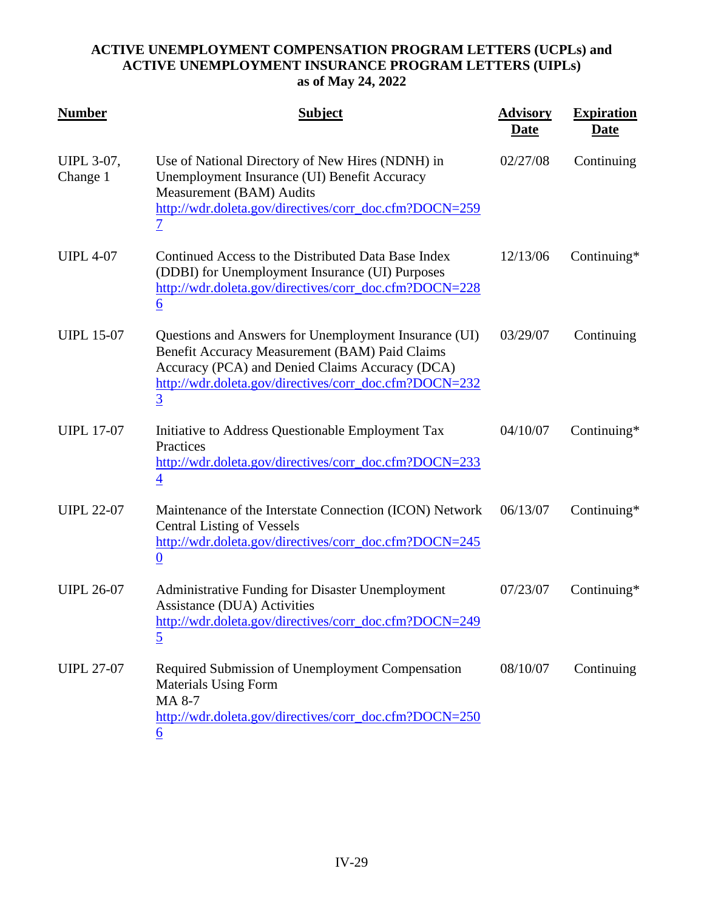| <b>Number</b>                 | <b>Subject</b>                                                                                                                                                                                                                         | <b>Advisory</b><br><u>Date</u> | <b>Expiration</b><br><b>Date</b> |
|-------------------------------|----------------------------------------------------------------------------------------------------------------------------------------------------------------------------------------------------------------------------------------|--------------------------------|----------------------------------|
| <b>UIPL 3-07,</b><br>Change 1 | Use of National Directory of New Hires (NDNH) in<br>Unemployment Insurance (UI) Benefit Accuracy<br>Measurement (BAM) Audits<br>http://wdr.doleta.gov/directives/corr_doc.cfm?DOCN=259<br>$\overline{\mathcal{I}}$                     | 02/27/08                       | Continuing                       |
| <b>UIPL 4-07</b>              | Continued Access to the Distributed Data Base Index<br>(DDBI) for Unemployment Insurance (UI) Purposes<br>http://wdr.doleta.gov/directives/corr_doc.cfm?DOCN=228<br>$\underline{6}$                                                    | 12/13/06                       | Continuing*                      |
| <b>UIPL 15-07</b>             | Questions and Answers for Unemployment Insurance (UI)<br>Benefit Accuracy Measurement (BAM) Paid Claims<br>Accuracy (PCA) and Denied Claims Accuracy (DCA)<br>http://wdr.doleta.gov/directives/corr_doc.cfm?DOCN=232<br>$\overline{3}$ | 03/29/07                       | Continuing                       |
| <b>UIPL 17-07</b>             | Initiative to Address Questionable Employment Tax<br>Practices<br>http://wdr.doleta.gov/directives/corr_doc.cfm?DOCN=233<br>$\overline{4}$                                                                                             | 04/10/07                       | Continuing $*$                   |
| <b>UIPL 22-07</b>             | Maintenance of the Interstate Connection (ICON) Network<br><b>Central Listing of Vessels</b><br>http://wdr.doleta.gov/directives/corr_doc.cfm?DOCN=245<br>$\bf{0}$                                                                     | 06/13/07                       | Continuing*                      |
| <b>UIPL 26-07</b>             | <b>Administrative Funding for Disaster Unemployment</b><br>Assistance (DUA) Activities<br>http://wdr.doleta.gov/directives/corr_doc.cfm?DOCN=249<br>$\overline{5}$                                                                     | 07/23/07                       | Continuing $*$                   |
| <b>UIPL 27-07</b>             | Required Submission of Unemployment Compensation<br><b>Materials Using Form</b><br>MA 8-7<br>http://wdr.doleta.gov/directives/corr_doc.cfm?DOCN=250<br>6                                                                               | 08/10/07                       | Continuing                       |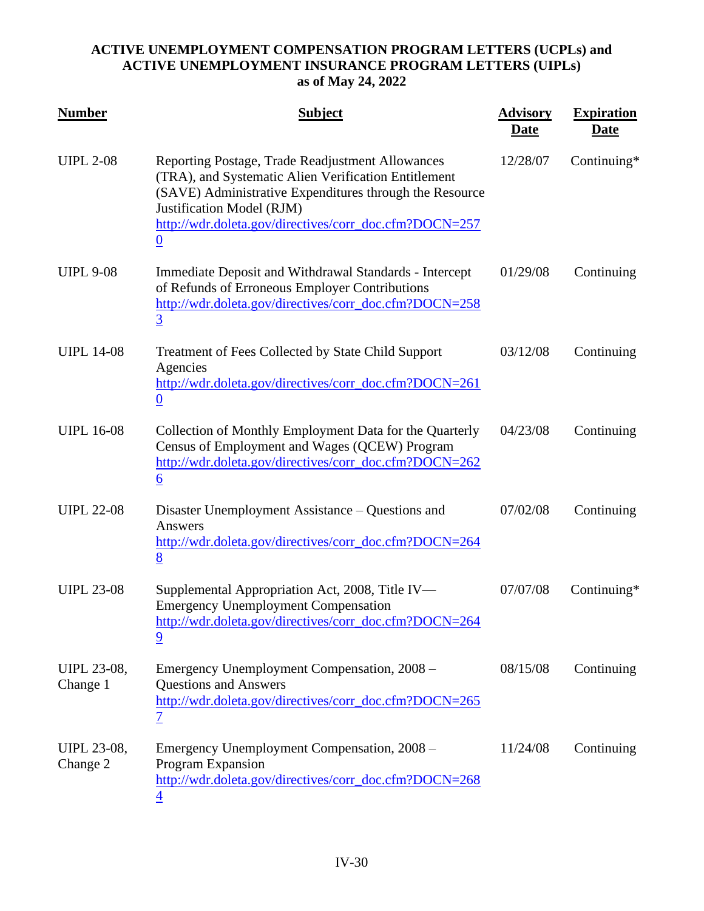| <b>Number</b>                  | <b>Subject</b>                                                                                                                                                                                                                                                                 | <b>Advisory</b><br>Date | <b>Expiration</b><br><u>Date</u> |
|--------------------------------|--------------------------------------------------------------------------------------------------------------------------------------------------------------------------------------------------------------------------------------------------------------------------------|-------------------------|----------------------------------|
| <b>UIPL 2-08</b>               | Reporting Postage, Trade Readjustment Allowances<br>(TRA), and Systematic Alien Verification Entitlement<br>(SAVE) Administrative Expenditures through the Resource<br>Justification Model (RJM)<br>http://wdr.doleta.gov/directives/corr_doc.cfm?DOCN=257<br>$\boldsymbol{0}$ | 12/28/07                | Continuing*                      |
| <b>UIPL 9-08</b>               | Immediate Deposit and Withdrawal Standards - Intercept<br>of Refunds of Erroneous Employer Contributions<br>http://wdr.doleta.gov/directives/corr_doc.cfm?DOCN=258<br>$\overline{3}$                                                                                           | 01/29/08                | Continuing                       |
| <b>UIPL 14-08</b>              | Treatment of Fees Collected by State Child Support<br>Agencies<br>http://wdr.doleta.gov/directives/corr_doc.cfm?DOCN=261<br>$\underline{0}$                                                                                                                                    | 03/12/08                | Continuing                       |
| <b>UIPL 16-08</b>              | Collection of Monthly Employment Data for the Quarterly<br>Census of Employment and Wages (QCEW) Program<br>http://wdr.doleta.gov/directives/corr_doc.cfm?DOCN=262<br>$\underline{6}$                                                                                          | 04/23/08                | Continuing                       |
| <b>UIPL 22-08</b>              | Disaster Unemployment Assistance – Questions and<br>Answers<br>http://wdr.doleta.gov/directives/corr_doc.cfm?DOCN=264<br>8                                                                                                                                                     | 07/02/08                | Continuing                       |
| <b>UIPL 23-08</b>              | Supplemental Appropriation Act, 2008, Title IV-<br><b>Emergency Unemployment Compensation</b><br>http://wdr.doleta.gov/directives/corr_doc.cfm?DOCN=264<br><u>9</u>                                                                                                            | 07/07/08                | Continuing*                      |
| <b>UIPL 23-08,</b><br>Change 1 | Emergency Unemployment Compensation, 2008 -<br><b>Questions and Answers</b><br>http://wdr.doleta.gov/directives/corr_doc.cfm?DOCN=265<br><u>7</u>                                                                                                                              | 08/15/08                | Continuing                       |
| <b>UIPL 23-08,</b><br>Change 2 | Emergency Unemployment Compensation, 2008 –<br>Program Expansion<br>http://wdr.doleta.gov/directives/corr_doc.cfm?DOCN=268<br>$\overline{\mathcal{A}}$                                                                                                                         | 11/24/08                | Continuing                       |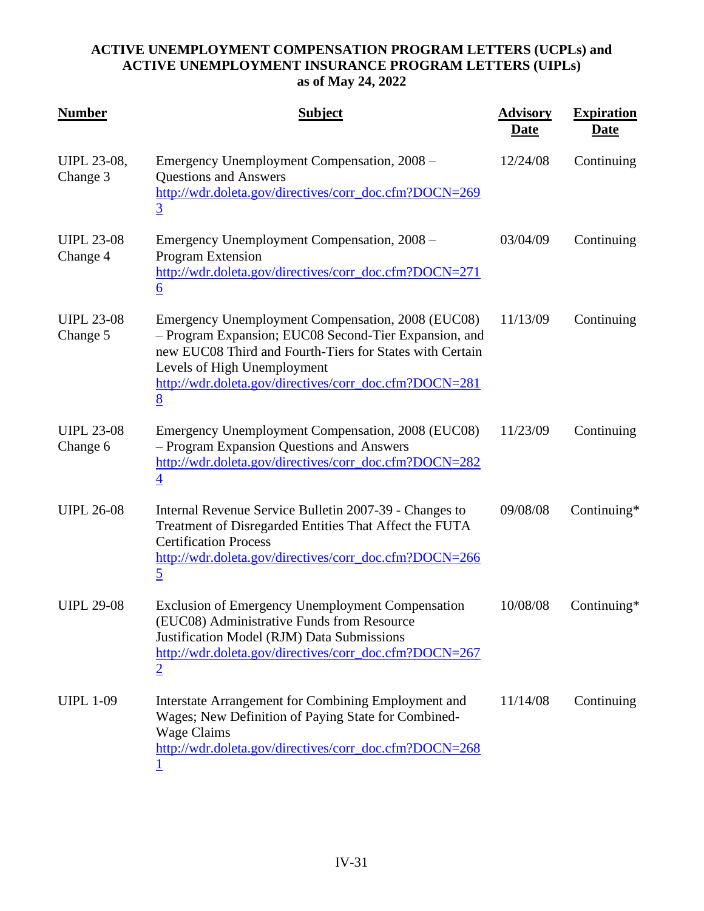| <b>Number</b>                  | <b>Subject</b>                                                                                                                                                                                                                                                       | <b>Advisory</b><br><u>Date</u> | <b>Expiration</b><br><u>Date</u> |
|--------------------------------|----------------------------------------------------------------------------------------------------------------------------------------------------------------------------------------------------------------------------------------------------------------------|--------------------------------|----------------------------------|
| <b>UIPL 23-08,</b><br>Change 3 | Emergency Unemployment Compensation, 2008 -<br><b>Questions and Answers</b><br>http://wdr.doleta.gov/directives/corr_doc.cfm?DOCN=269<br>$\overline{3}$                                                                                                              | 12/24/08                       | Continuing                       |
| <b>UIPL 23-08</b><br>Change 4  | Emergency Unemployment Compensation, 2008 -<br><b>Program Extension</b><br>http://wdr.doleta.gov/directives/corr_doc.cfm?DOCN=271<br>$\underline{6}$                                                                                                                 | 03/04/09                       | Continuing                       |
| <b>UIPL 23-08</b><br>Change 5  | Emergency Unemployment Compensation, 2008 (EUC08)<br>- Program Expansion; EUC08 Second-Tier Expansion, and<br>new EUC08 Third and Fourth-Tiers for States with Certain<br>Levels of High Unemployment<br>http://wdr.doleta.gov/directives/corr_doc.cfm?DOCN=281<br>8 | 11/13/09                       | Continuing                       |
| <b>UIPL 23-08</b><br>Change 6  | Emergency Unemployment Compensation, 2008 (EUC08)<br>- Program Expansion Questions and Answers<br>http://wdr.doleta.gov/directives/corr_doc.cfm?DOCN=282<br>$\overline{4}$                                                                                           | 11/23/09                       | Continuing                       |
| <b>UIPL 26-08</b>              | Internal Revenue Service Bulletin 2007-39 - Changes to<br>Treatment of Disregarded Entities That Affect the FUTA<br><b>Certification Process</b><br>http://wdr.doleta.gov/directives/corr_doc.cfm?DOCN=266<br>$\overline{5}$                                         | 09/08/08                       | Continuing*                      |
| <b>UIPL 29-08</b>              | <b>Exclusion of Emergency Unemployment Compensation</b><br>(EUC08) Administrative Funds from Resource<br>Justification Model (RJM) Data Submissions<br>http://wdr.doleta.gov/directives/corr_doc.cfm?DOCN=267<br>$\overline{2}$                                      | 10/08/08                       | Continuing*                      |
| <b>UIPL 1-09</b>               | Interstate Arrangement for Combining Employment and<br>Wages; New Definition of Paying State for Combined-<br><b>Wage Claims</b><br>http://wdr.doleta.gov/directives/corr_doc.cfm?DOCN=268                                                                           | 11/14/08                       | Continuing                       |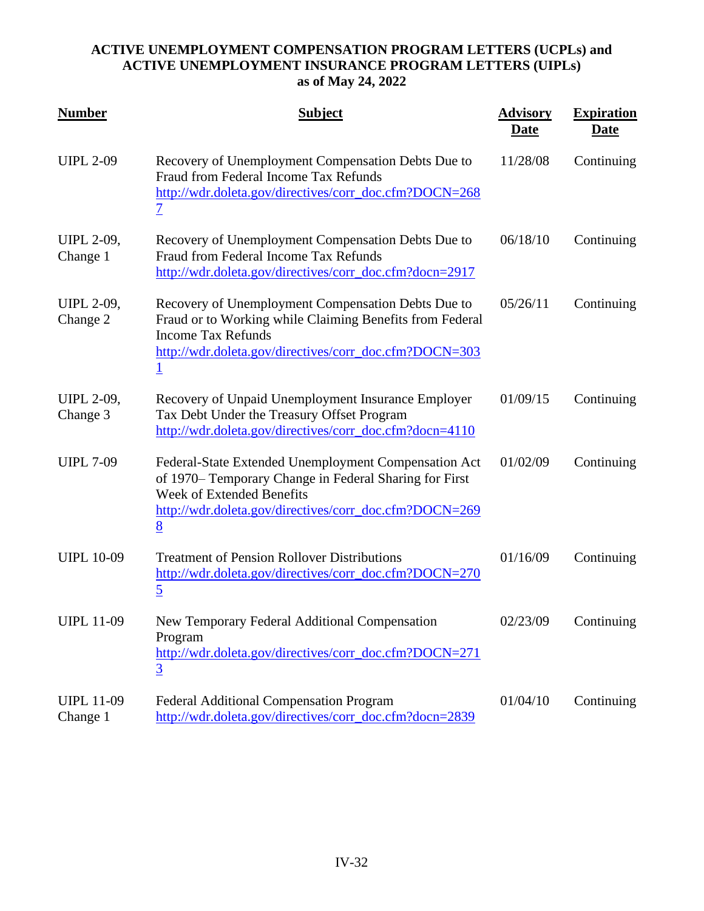| <b>Number</b>                 | <b>Subject</b>                                                                                                                                                                                                        | <b>Advisory</b><br><b>Date</b> | <b>Expiration</b><br><u>Date</u> |
|-------------------------------|-----------------------------------------------------------------------------------------------------------------------------------------------------------------------------------------------------------------------|--------------------------------|----------------------------------|
| <b>UIPL 2-09</b>              | Recovery of Unemployment Compensation Debts Due to<br>Fraud from Federal Income Tax Refunds<br>http://wdr.doleta.gov/directives/corr_doc.cfm?DOCN=268<br>$\overline{\mathcal{I}}$                                     | 11/28/08                       | Continuing                       |
| <b>UIPL 2-09,</b><br>Change 1 | Recovery of Unemployment Compensation Debts Due to<br>Fraud from Federal Income Tax Refunds<br>http://wdr.doleta.gov/directives/corr_doc.cfm?docn=2917                                                                | 06/18/10                       | Continuing                       |
| <b>UIPL 2-09,</b><br>Change 2 | Recovery of Unemployment Compensation Debts Due to<br>Fraud or to Working while Claiming Benefits from Federal<br><b>Income Tax Refunds</b><br>http://wdr.doleta.gov/directives/corr_doc.cfm?DOCN=303<br>$\mathbf{1}$ | 05/26/11                       | Continuing                       |
| <b>UIPL 2-09,</b><br>Change 3 | Recovery of Unpaid Unemployment Insurance Employer<br>Tax Debt Under the Treasury Offset Program<br>http://wdr.doleta.gov/directives/corr_doc.cfm?docn=4110                                                           | 01/09/15                       | Continuing                       |
| <b>UIPL 7-09</b>              | Federal-State Extended Unemployment Compensation Act<br>of 1970– Temporary Change in Federal Sharing for First<br><b>Week of Extended Benefits</b><br>http://wdr.doleta.gov/directives/corr_doc.cfm?DOCN=269<br>8     | 01/02/09                       | Continuing                       |
| <b>UIPL 10-09</b>             | <b>Treatment of Pension Rollover Distributions</b><br>http://wdr.doleta.gov/directives/corr_doc.cfm?DOCN=270<br>$\overline{5}$                                                                                        | 01/16/09                       | Continuing                       |
| <b>UIPL 11-09</b>             | New Temporary Federal Additional Compensation<br>Program<br>http://wdr.doleta.gov/directives/corr_doc.cfm?DOCN=271<br>$\overline{3}$                                                                                  | 02/23/09                       | Continuing                       |
| <b>UIPL 11-09</b><br>Change 1 | <b>Federal Additional Compensation Program</b><br>http://wdr.doleta.gov/directives/corr_doc.cfm?docn=2839                                                                                                             | 01/04/10                       | Continuing                       |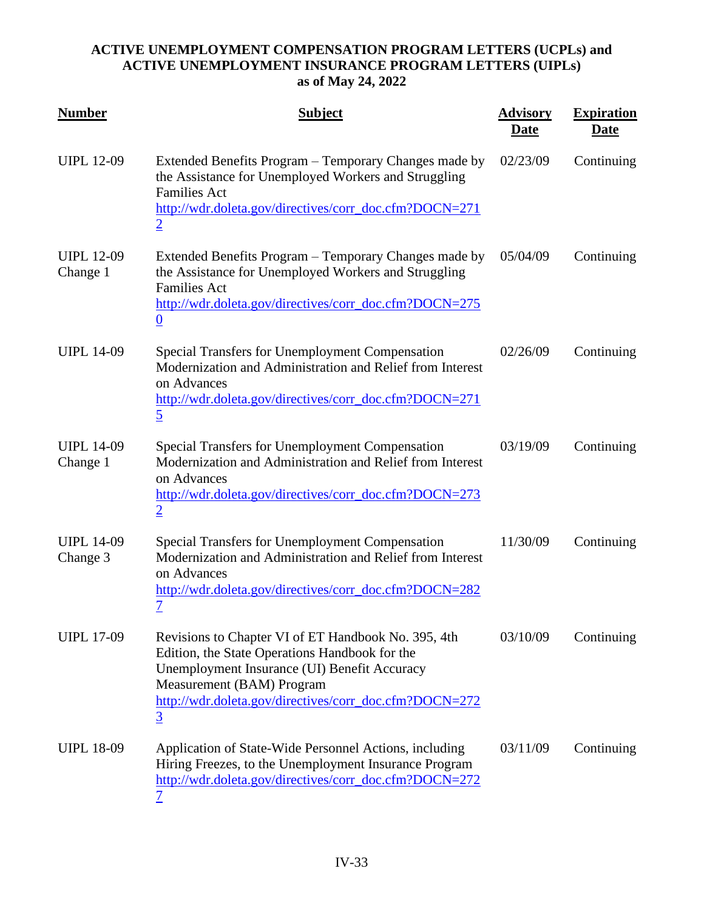| <b>Number</b>                 | <b>Subject</b>                                                                                                                                                                                                                                                 | <b>Advisory</b><br><u>Date</u> | <b>Expiration</b><br><u>Date</u> |
|-------------------------------|----------------------------------------------------------------------------------------------------------------------------------------------------------------------------------------------------------------------------------------------------------------|--------------------------------|----------------------------------|
| <b>UIPL 12-09</b>             | Extended Benefits Program – Temporary Changes made by<br>the Assistance for Unemployed Workers and Struggling<br><b>Families Act</b><br>http://wdr.doleta.gov/directives/corr_doc.cfm?DOCN=271<br>$\overline{2}$                                               | 02/23/09                       | Continuing                       |
| <b>UIPL 12-09</b><br>Change 1 | Extended Benefits Program – Temporary Changes made by<br>the Assistance for Unemployed Workers and Struggling<br><b>Families Act</b><br>http://wdr.doleta.gov/directives/corr_doc.cfm?DOCN=275<br>$\underline{0}$                                              | 05/04/09                       | Continuing                       |
| <b>UIPL 14-09</b>             | <b>Special Transfers for Unemployment Compensation</b><br>Modernization and Administration and Relief from Interest<br>on Advances<br>http://wdr.doleta.gov/directives/corr_doc.cfm?DOCN=271<br>$\overline{5}$                                                 | 02/26/09                       | Continuing                       |
| <b>UIPL 14-09</b><br>Change 1 | Special Transfers for Unemployment Compensation<br>Modernization and Administration and Relief from Interest<br>on Advances<br>http://wdr.doleta.gov/directives/corr_doc.cfm?DOCN=273<br>$\overline{2}$                                                        | 03/19/09                       | Continuing                       |
| <b>UIPL 14-09</b><br>Change 3 | <b>Special Transfers for Unemployment Compensation</b><br>Modernization and Administration and Relief from Interest<br>on Advances<br>http://wdr.doleta.gov/directives/corr_doc.cfm?DOCN=282<br>$\overline{\mathcal{I}}$                                       | 11/30/09                       | Continuing                       |
| <b>UIPL 17-09</b>             | Revisions to Chapter VI of ET Handbook No. 395, 4th<br>Edition, the State Operations Handbook for the<br>Unemployment Insurance (UI) Benefit Accuracy<br>Measurement (BAM) Program<br>http://wdr.doleta.gov/directives/corr_doc.cfm?DOCN=272<br>$\overline{3}$ | 03/10/09                       | Continuing                       |
| <b>UIPL 18-09</b>             | Application of State-Wide Personnel Actions, including<br>Hiring Freezes, to the Unemployment Insurance Program<br>http://wdr.doleta.gov/directives/corr_doc.cfm?DOCN=272<br>$\overline{\mathcal{I}}$                                                          | 03/11/09                       | Continuing                       |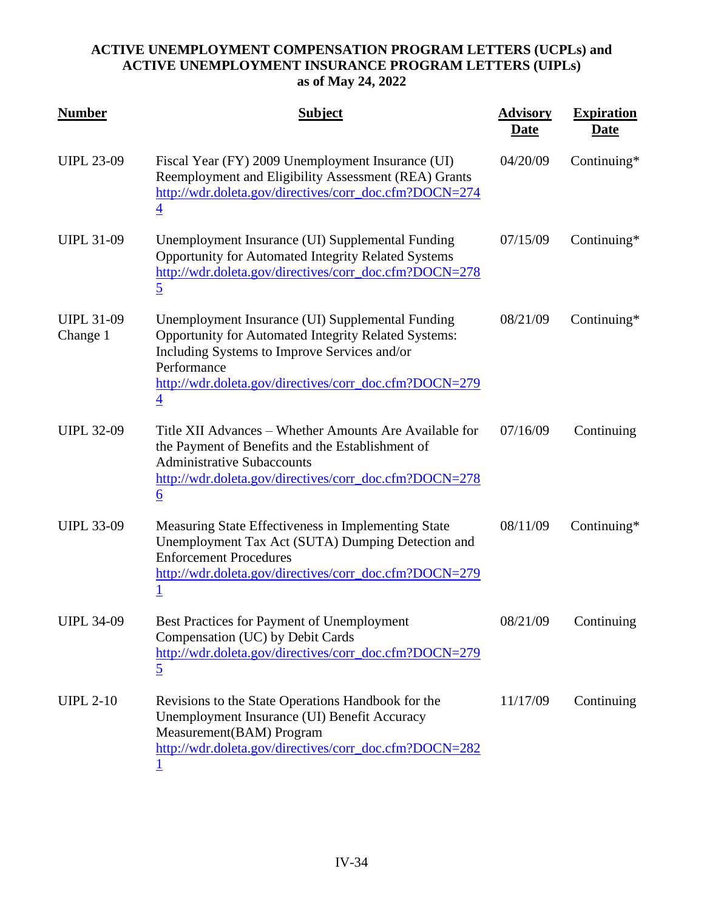| <b>Number</b>                 | <b>Subject</b>                                                                                                                                                                                                                                      | <b>Advisory</b><br><u>Date</u> | <b>Expiration</b><br><u>Date</u> |
|-------------------------------|-----------------------------------------------------------------------------------------------------------------------------------------------------------------------------------------------------------------------------------------------------|--------------------------------|----------------------------------|
| <b>UIPL 23-09</b>             | Fiscal Year (FY) 2009 Unemployment Insurance (UI)<br>Reemployment and Eligibility Assessment (REA) Grants<br>http://wdr.doleta.gov/directives/corr_doc.cfm?DOCN=274<br>$\overline{4}$                                                               | 04/20/09                       | Continuing*                      |
| <b>UIPL 31-09</b>             | Unemployment Insurance (UI) Supplemental Funding<br><b>Opportunity for Automated Integrity Related Systems</b><br>http://wdr.doleta.gov/directives/corr_doc.cfm?DOCN=278<br>$\overline{5}$                                                          | 07/15/09                       | Continuing*                      |
| <b>UIPL 31-09</b><br>Change 1 | Unemployment Insurance (UI) Supplemental Funding<br>Opportunity for Automated Integrity Related Systems:<br>Including Systems to Improve Services and/or<br>Performance<br>http://wdr.doleta.gov/directives/corr_doc.cfm?DOCN=279<br>$\overline{4}$ | 08/21/09                       | Continuing*                      |
| <b>UIPL 32-09</b>             | Title XII Advances – Whether Amounts Are Available for<br>the Payment of Benefits and the Establishment of<br><b>Administrative Subaccounts</b><br>http://wdr.doleta.gov/directives/corr_doc.cfm?DOCN=278<br>$\underline{6}$                        | 07/16/09                       | Continuing                       |
| <b>UIPL 33-09</b>             | Measuring State Effectiveness in Implementing State<br>Unemployment Tax Act (SUTA) Dumping Detection and<br><b>Enforcement Procedures</b><br>http://wdr.doleta.gov/directives/corr_doc.cfm?DOCN=279                                                 | 08/11/09                       | Continuing $*$                   |
| <b>UIPL 34-09</b>             | Best Practices for Payment of Unemployment<br>Compensation (UC) by Debit Cards<br>http://wdr.doleta.gov/directives/corr_doc.cfm?DOCN=279<br>$\overline{5}$                                                                                          | 08/21/09                       | Continuing                       |
| <b>UIPL 2-10</b>              | Revisions to the State Operations Handbook for the<br>Unemployment Insurance (UI) Benefit Accuracy<br>Measurement(BAM) Program<br>http://wdr.doleta.gov/directives/corr_doc.cfm?DOCN=282                                                            | 11/17/09                       | Continuing                       |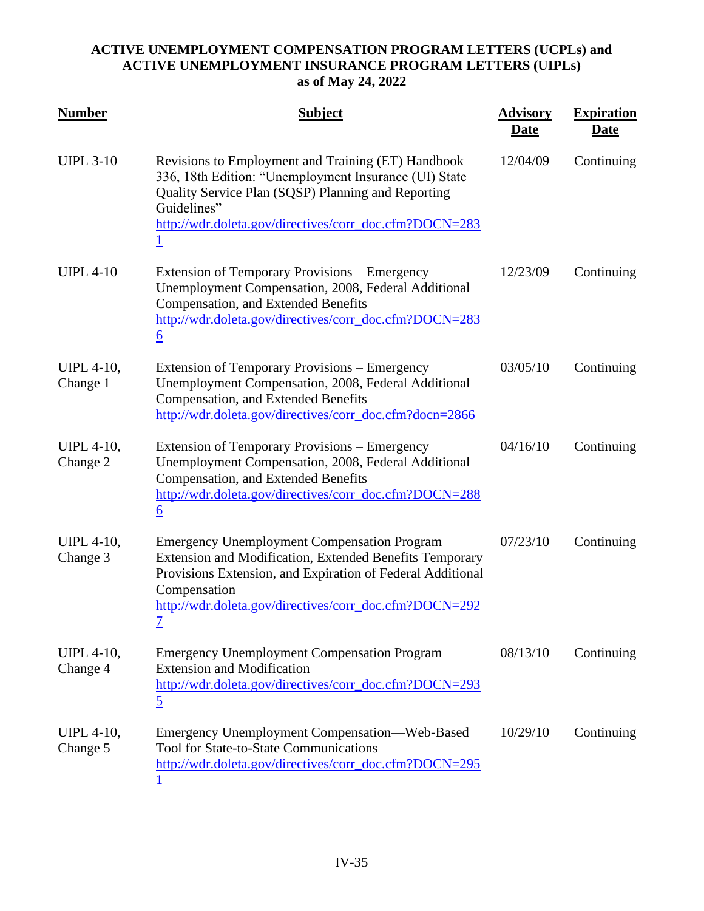| <b>Number</b>                 | <b>Subject</b>                                                                                                                                                                                                                                                           | <b>Advisory</b><br><u>Date</u> | <b>Expiration</b><br><u>Date</u> |
|-------------------------------|--------------------------------------------------------------------------------------------------------------------------------------------------------------------------------------------------------------------------------------------------------------------------|--------------------------------|----------------------------------|
| <b>UIPL 3-10</b>              | Revisions to Employment and Training (ET) Handbook<br>336, 18th Edition: "Unemployment Insurance (UI) State<br>Quality Service Plan (SQSP) Planning and Reporting<br>Guidelines"<br>http://wdr.doleta.gov/directives/corr_doc.cfm?DOCN=283<br>$\mathbf{1}$               | 12/04/09                       | Continuing                       |
| <b>UIPL 4-10</b>              | Extension of Temporary Provisions – Emergency<br>Unemployment Compensation, 2008, Federal Additional<br>Compensation, and Extended Benefits<br>http://wdr.doleta.gov/directives/corr_doc.cfm?DOCN=283<br>$\underline{6}$                                                 | 12/23/09                       | Continuing                       |
| <b>UIPL 4-10,</b><br>Change 1 | Extension of Temporary Provisions – Emergency<br>Unemployment Compensation, 2008, Federal Additional<br>Compensation, and Extended Benefits<br>http://wdr.doleta.gov/directives/corr_doc.cfm?docn=2866                                                                   | 03/05/10                       | Continuing                       |
| <b>UIPL 4-10,</b><br>Change 2 | Extension of Temporary Provisions – Emergency<br>Unemployment Compensation, 2008, Federal Additional<br>Compensation, and Extended Benefits<br>http://wdr.doleta.gov/directives/corr_doc.cfm?DOCN=288<br>$\underline{6}$                                                 | 04/16/10                       | Continuing                       |
| <b>UIPL 4-10,</b><br>Change 3 | <b>Emergency Unemployment Compensation Program</b><br><b>Extension and Modification, Extended Benefits Temporary</b><br>Provisions Extension, and Expiration of Federal Additional<br>Compensation<br>http://wdr.doleta.gov/directives/corr_doc.cfm?DOCN=292<br><u>7</u> | 07/23/10                       | Continuing                       |
| <b>UIPL</b> 4-10,<br>Change 4 | <b>Emergency Unemployment Compensation Program</b><br><b>Extension and Modification</b><br>http://wdr.doleta.gov/directives/corr_doc.cfm?DOCN=293<br>$\overline{5}$                                                                                                      | 08/13/10                       | Continuing                       |
| <b>UIPL 4-10,</b><br>Change 5 | Emergency Unemployment Compensation—Web-Based<br><b>Tool for State-to-State Communications</b><br>http://wdr.doleta.gov/directives/corr_doc.cfm?DOCN=295                                                                                                                 | 10/29/10                       | Continuing                       |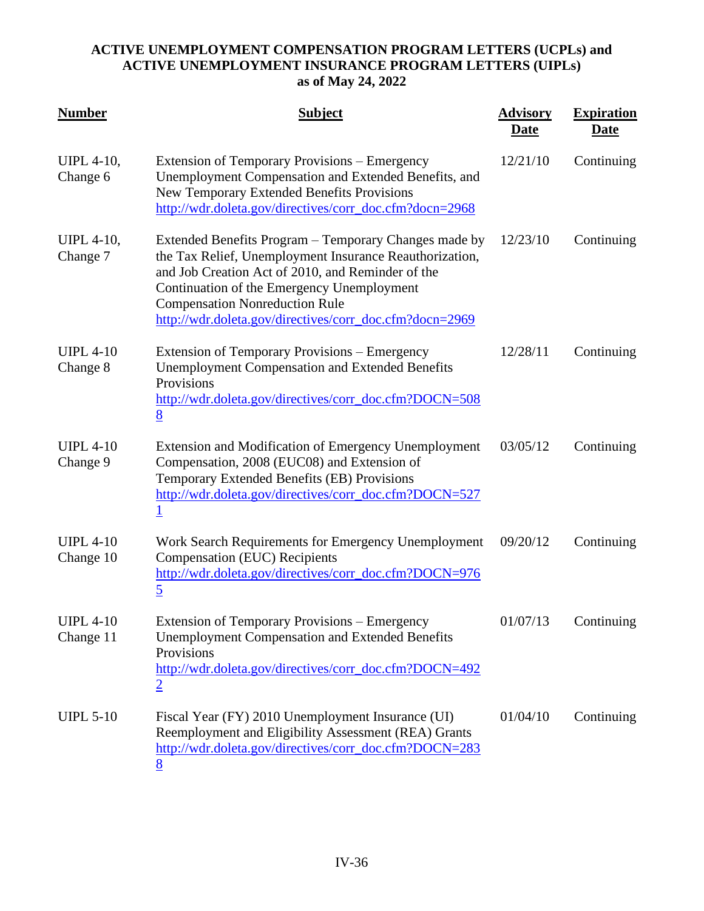| <b>Number</b>                 | <b>Subject</b>                                                                                                                                                                                                                                                                                                          | <b>Advisory</b><br><u>Date</u> | <b>Expiration</b><br><u>Date</u> |
|-------------------------------|-------------------------------------------------------------------------------------------------------------------------------------------------------------------------------------------------------------------------------------------------------------------------------------------------------------------------|--------------------------------|----------------------------------|
| <b>UIPL 4-10,</b><br>Change 6 | Extension of Temporary Provisions – Emergency<br>Unemployment Compensation and Extended Benefits, and<br>New Temporary Extended Benefits Provisions<br>http://wdr.doleta.gov/directives/corr_doc.cfm?docn=2968                                                                                                          | 12/21/10                       | Continuing                       |
| <b>UIPL 4-10,</b><br>Change 7 | Extended Benefits Program – Temporary Changes made by<br>the Tax Relief, Unemployment Insurance Reauthorization,<br>and Job Creation Act of 2010, and Reminder of the<br>Continuation of the Emergency Unemployment<br><b>Compensation Nonreduction Rule</b><br>http://wdr.doleta.gov/directives/corr_doc.cfm?docn=2969 | 12/23/10                       | Continuing                       |
| <b>UIPL 4-10</b><br>Change 8  | Extension of Temporary Provisions – Emergency<br><b>Unemployment Compensation and Extended Benefits</b><br>Provisions<br>http://wdr.doleta.gov/directives/corr_doc.cfm?DOCN=508<br>8                                                                                                                                    | 12/28/11                       | Continuing                       |
| <b>UIPL 4-10</b><br>Change 9  | <b>Extension and Modification of Emergency Unemployment</b><br>Compensation, 2008 (EUC08) and Extension of<br>Temporary Extended Benefits (EB) Provisions<br>http://wdr.doleta.gov/directives/corr_doc.cfm?DOCN=527<br>$\underline{1}$                                                                                  | 03/05/12                       | Continuing                       |
| <b>UIPL 4-10</b><br>Change 10 | Work Search Requirements for Emergency Unemployment<br>Compensation (EUC) Recipients<br>http://wdr.doleta.gov/directives/corr_doc.cfm?DOCN=976<br>$\overline{5}$                                                                                                                                                        | 09/20/12                       | Continuing                       |
| <b>UIPL 4-10</b><br>Change 11 | <b>Extension of Temporary Provisions – Emergency</b><br><b>Unemployment Compensation and Extended Benefits</b><br>Provisions<br>http://wdr.doleta.gov/directives/corr_doc.cfm?DOCN=492<br>$\overline{2}$                                                                                                                | 01/07/13                       | Continuing                       |
| <b>UIPL 5-10</b>              | Fiscal Year (FY) 2010 Unemployment Insurance (UI)<br>Reemployment and Eligibility Assessment (REA) Grants<br>http://wdr.doleta.gov/directives/corr_doc.cfm?DOCN=283<br>8                                                                                                                                                | 01/04/10                       | Continuing                       |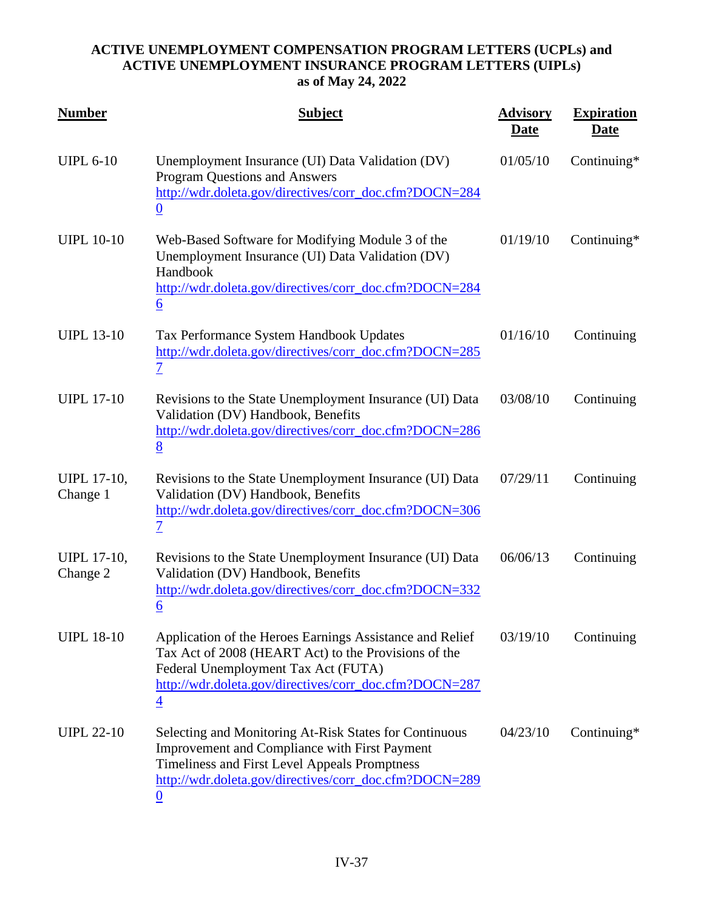| <b>Number</b>                  | <b>Subject</b>                                                                                                                                                                                                                      | <b>Advisory</b><br><u>Date</u> | <b>Expiration</b><br><u>Date</u> |
|--------------------------------|-------------------------------------------------------------------------------------------------------------------------------------------------------------------------------------------------------------------------------------|--------------------------------|----------------------------------|
| <b>UIPL 6-10</b>               | Unemployment Insurance (UI) Data Validation (DV)<br>Program Questions and Answers<br>http://wdr.doleta.gov/directives/corr_doc.cfm?DOCN=284<br>$\underline{0}$                                                                      | 01/05/10                       | Continuing*                      |
| <b>UIPL 10-10</b>              | Web-Based Software for Modifying Module 3 of the<br>Unemployment Insurance (UI) Data Validation (DV)<br>Handbook<br>http://wdr.doleta.gov/directives/corr_doc.cfm?DOCN=284<br>$\underline{6}$                                       | 01/19/10                       | Continuing*                      |
| <b>UIPL 13-10</b>              | Tax Performance System Handbook Updates<br>http://wdr.doleta.gov/directives/corr_doc.cfm?DOCN=285<br>$\overline{1}$                                                                                                                 | 01/16/10                       | Continuing                       |
| <b>UIPL 17-10</b>              | Revisions to the State Unemployment Insurance (UI) Data<br>Validation (DV) Handbook, Benefits<br>http://wdr.doleta.gov/directives/corr_doc.cfm?DOCN=286<br>8                                                                        | 03/08/10                       | Continuing                       |
| <b>UIPL 17-10,</b><br>Change 1 | Revisions to the State Unemployment Insurance (UI) Data<br>Validation (DV) Handbook, Benefits<br>http://wdr.doleta.gov/directives/corr_doc.cfm?DOCN=306<br>$\overline{1}$                                                           | 07/29/11                       | Continuing                       |
| <b>UIPL 17-10,</b><br>Change 2 | Revisions to the State Unemployment Insurance (UI) Data<br>Validation (DV) Handbook, Benefits<br>http://wdr.doleta.gov/directives/corr_doc.cfm?DOCN=332<br>$\underline{6}$                                                          | 06/06/13                       | Continuing                       |
| <b>UIPL 18-10</b>              | Application of the Heroes Earnings Assistance and Relief<br>Tax Act of 2008 (HEART Act) to the Provisions of the<br>Federal Unemployment Tax Act (FUTA)<br>http://wdr.doleta.gov/directives/corr_doc.cfm?DOCN=287<br>$\overline{4}$ | 03/19/10                       | Continuing                       |
| <b>UIPL 22-10</b>              | Selecting and Monitoring At-Risk States for Continuous<br>Improvement and Compliance with First Payment<br>Timeliness and First Level Appeals Promptness<br>http://wdr.doleta.gov/directives/corr_doc.cfm?DOCN=289<br>$\bf{0}$      | 04/23/10                       | Continuing*                      |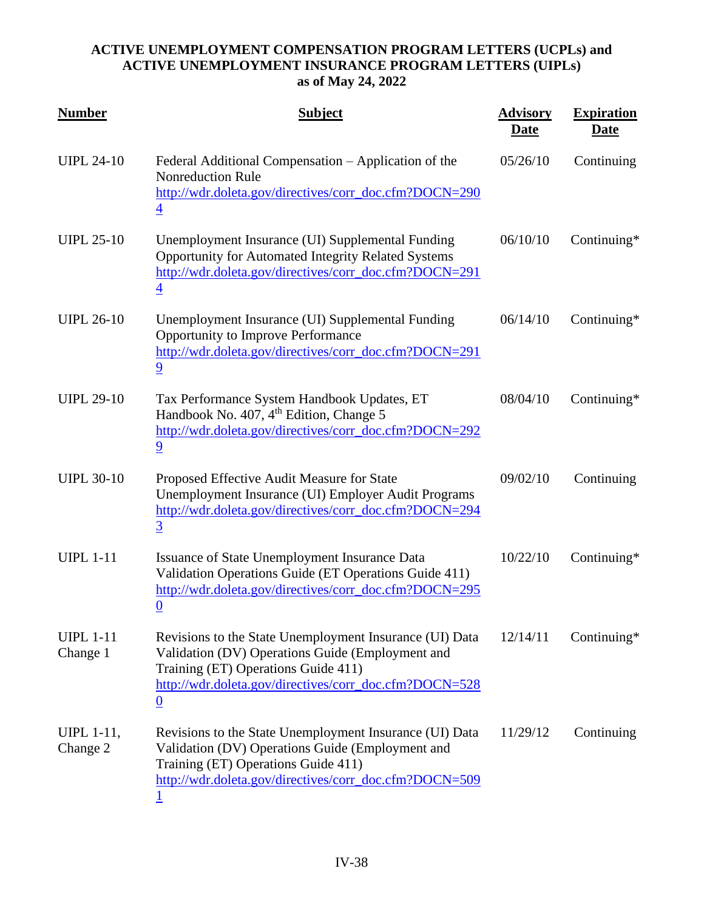| <b>Number</b>                 | <b>Subject</b>                                                                                                                                                                                                                  | <b>Advisory</b><br><b>Date</b> | <b>Expiration</b><br><b>Date</b> |
|-------------------------------|---------------------------------------------------------------------------------------------------------------------------------------------------------------------------------------------------------------------------------|--------------------------------|----------------------------------|
| <b>UIPL 24-10</b>             | Federal Additional Compensation – Application of the<br><b>Nonreduction Rule</b><br>http://wdr.doleta.gov/directives/corr_doc.cfm?DOCN=290<br>$\overline{4}$                                                                    | 05/26/10                       | Continuing                       |
| <b>UIPL 25-10</b>             | Unemployment Insurance (UI) Supplemental Funding<br>Opportunity for Automated Integrity Related Systems<br>http://wdr.doleta.gov/directives/corr_doc.cfm?DOCN=291<br>4                                                          | 06/10/10                       | Continuing*                      |
| <b>UIPL 26-10</b>             | Unemployment Insurance (UI) Supplemental Funding<br>Opportunity to Improve Performance<br>http://wdr.doleta.gov/directives/corr_doc.cfm?DOCN=291<br>$\overline{9}$                                                              | 06/14/10                       | Continuing*                      |
| <b>UIPL 29-10</b>             | Tax Performance System Handbook Updates, ET<br>Handbook No. 407, 4 <sup>th</sup> Edition, Change 5<br>http://wdr.doleta.gov/directives/corr_doc.cfm?DOCN=292<br>$\overline{9}$                                                  | 08/04/10                       | Continuing*                      |
| <b>UIPL 30-10</b>             | Proposed Effective Audit Measure for State<br>Unemployment Insurance (UI) Employer Audit Programs<br>http://wdr.doleta.gov/directives/corr_doc.cfm?DOCN=294<br>$\overline{3}$                                                   | 09/02/10                       | Continuing                       |
| <b>UIPL 1-11</b>              | Issuance of State Unemployment Insurance Data<br>Validation Operations Guide (ET Operations Guide 411)<br>http://wdr.doleta.gov/directives/corr_doc.cfm?DOCN=295<br>$\overline{0}$                                              | 10/22/10                       | Continuing*                      |
| <b>UIPL 1-11</b><br>Change 1  | Revisions to the State Unemployment Insurance (UI) Data<br>Validation (DV) Operations Guide (Employment and<br>Training (ET) Operations Guide 411)<br>http://wdr.doleta.gov/directives/corr_doc.cfm?DOCN=528<br>$\underline{0}$ | 12/14/11                       | Continuing*                      |
| <b>UIPL 1-11,</b><br>Change 2 | Revisions to the State Unemployment Insurance (UI) Data<br>Validation (DV) Operations Guide (Employment and<br>Training (ET) Operations Guide 411)<br>http://wdr.doleta.gov/directives/corr_doc.cfm?DOCN=509                    | 11/29/12                       | Continuing                       |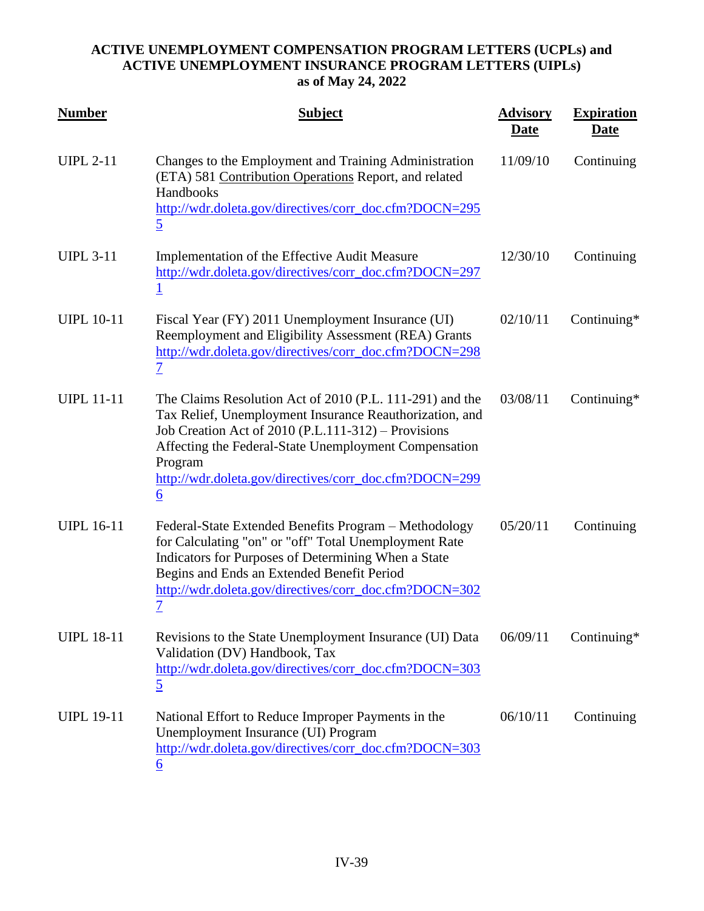| <b>Number</b>     | <b>Subject</b>                                                                                                                                                                                                                                                                                                              | <b>Advisory</b><br><u>Date</u> | <b>Expiration</b><br><u>Date</u> |
|-------------------|-----------------------------------------------------------------------------------------------------------------------------------------------------------------------------------------------------------------------------------------------------------------------------------------------------------------------------|--------------------------------|----------------------------------|
| <b>UIPL 2-11</b>  | Changes to the Employment and Training Administration<br>(ETA) 581 Contribution Operations Report, and related<br>Handbooks<br>http://wdr.doleta.gov/directives/corr_doc.cfm?DOCN=295<br>$\overline{5}$                                                                                                                     | 11/09/10                       | Continuing                       |
| <b>UIPL 3-11</b>  | Implementation of the Effective Audit Measure<br>http://wdr.doleta.gov/directives/corr_doc.cfm?DOCN=297                                                                                                                                                                                                                     | 12/30/10                       | Continuing                       |
| <b>UIPL 10-11</b> | Fiscal Year (FY) 2011 Unemployment Insurance (UI)<br>Reemployment and Eligibility Assessment (REA) Grants<br>http://wdr.doleta.gov/directives/corr_doc.cfm?DOCN=298<br>$\mathcal I$                                                                                                                                         | 02/10/11                       | Continuing $*$                   |
| <b>UIPL 11-11</b> | The Claims Resolution Act of 2010 (P.L. 111-291) and the<br>Tax Relief, Unemployment Insurance Reauthorization, and<br>Job Creation Act of 2010 (P.L.111-312) – Provisions<br>Affecting the Federal-State Unemployment Compensation<br>Program<br>http://wdr.doleta.gov/directives/corr_doc.cfm?DOCN=299<br>$\underline{6}$ | 03/08/11                       | Continuing*                      |
| <b>UIPL 16-11</b> | Federal-State Extended Benefits Program - Methodology<br>for Calculating "on" or "off" Total Unemployment Rate<br>Indicators for Purposes of Determining When a State<br>Begins and Ends an Extended Benefit Period<br>http://wdr.doleta.gov/directives/corr_doc.cfm?DOCN=302<br><u>7</u>                                   | 05/20/11                       | Continuing                       |
| <b>UIPL 18-11</b> | Revisions to the State Unemployment Insurance (UI) Data<br>Validation (DV) Handbook, Tax<br>http://wdr.doleta.gov/directives/corr_doc.cfm?DOCN=303<br>$\overline{5}$                                                                                                                                                        | 06/09/11                       | Continuing*                      |
| <b>UIPL 19-11</b> | National Effort to Reduce Improper Payments in the<br>Unemployment Insurance (UI) Program<br>http://wdr.doleta.gov/directives/corr_doc.cfm?DOCN=303<br>6                                                                                                                                                                    | 06/10/11                       | Continuing                       |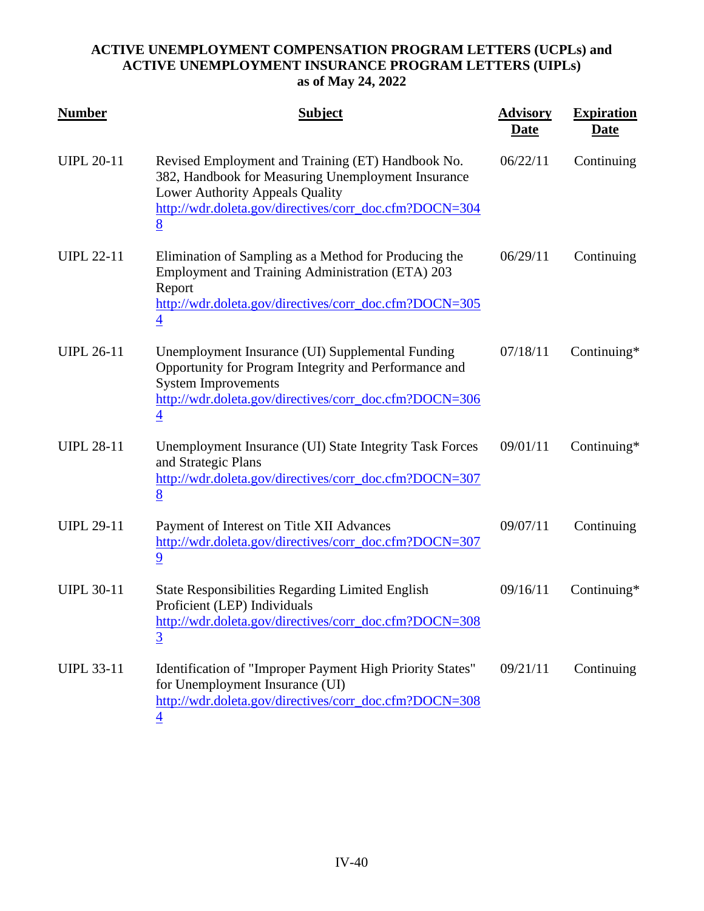| <b>Number</b>     | <b>Subject</b>                                                                                                                                                                                                      | <b>Advisory</b><br><u>Date</u> | <b>Expiration</b><br><u>Date</u> |
|-------------------|---------------------------------------------------------------------------------------------------------------------------------------------------------------------------------------------------------------------|--------------------------------|----------------------------------|
| <b>UIPL 20-11</b> | Revised Employment and Training (ET) Handbook No.<br>382, Handbook for Measuring Unemployment Insurance<br>Lower Authority Appeals Quality<br>http://wdr.doleta.gov/directives/corr_doc.cfm?DOCN=304<br>8           | 06/22/11                       | Continuing                       |
| <b>UIPL 22-11</b> | Elimination of Sampling as a Method for Producing the<br>Employment and Training Administration (ETA) 203<br>Report<br>http://wdr.doleta.gov/directives/corr_doc.cfm?DOCN=305<br>$\overline{4}$                     | 06/29/11                       | Continuing                       |
| <b>UIPL 26-11</b> | Unemployment Insurance (UI) Supplemental Funding<br>Opportunity for Program Integrity and Performance and<br><b>System Improvements</b><br>http://wdr.doleta.gov/directives/corr_doc.cfm?DOCN=306<br>$\overline{4}$ | 07/18/11                       | Continuing*                      |
| <b>UIPL 28-11</b> | Unemployment Insurance (UI) State Integrity Task Forces<br>and Strategic Plans<br>http://wdr.doleta.gov/directives/corr_doc.cfm?DOCN=307<br>8                                                                       | 09/01/11                       | Continuing*                      |
| <b>UIPL 29-11</b> | Payment of Interest on Title XII Advances<br>http://wdr.doleta.gov/directives/corr_doc.cfm?DOCN=307<br>$\overline{9}$                                                                                               | 09/07/11                       | Continuing                       |
| <b>UIPL 30-11</b> | <b>State Responsibilities Regarding Limited English</b><br>Proficient (LEP) Individuals<br>http://wdr.doleta.gov/directives/corr_doc.cfm?DOCN=308<br>$\overline{3}$                                                 | 09/16/11                       | Continuing*                      |
| <b>UIPL 33-11</b> | Identification of "Improper Payment High Priority States"<br>for Unemployment Insurance (UI)<br>http://wdr.doleta.gov/directives/corr_doc.cfm?DOCN=308<br>$\overline{\mathcal{A}}$                                  | 09/21/11                       | Continuing                       |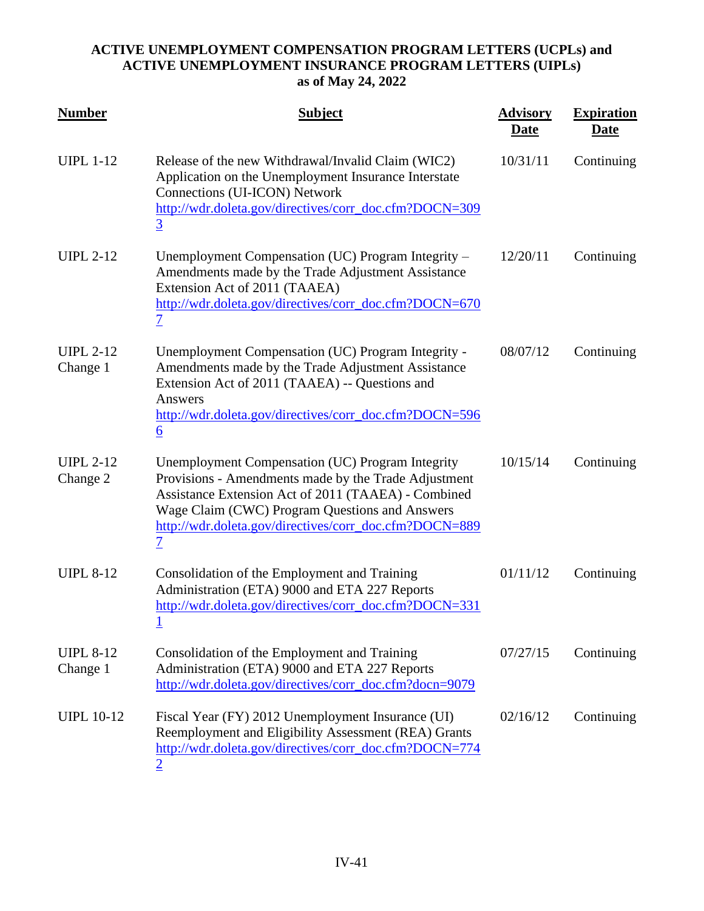| <b>Number</b>                | <b>Subject</b>                                                                                                                                                                                                                                                                                | <b>Advisory</b><br><b>Date</b> | <b>Expiration</b><br><b>Date</b> |
|------------------------------|-----------------------------------------------------------------------------------------------------------------------------------------------------------------------------------------------------------------------------------------------------------------------------------------------|--------------------------------|----------------------------------|
| <b>UIPL 1-12</b>             | Release of the new Withdrawal/Invalid Claim (WIC2)<br>Application on the Unemployment Insurance Interstate<br>Connections (UI-ICON) Network<br>http://wdr.doleta.gov/directives/corr_doc.cfm?DOCN=309<br>$\overline{3}$                                                                       | 10/31/11                       | Continuing                       |
| <b>UIPL 2-12</b>             | Unemployment Compensation (UC) Program Integrity -<br>Amendments made by the Trade Adjustment Assistance<br>Extension Act of 2011 (TAAEA)<br>http://wdr.doleta.gov/directives/corr_doc.cfm?DOCN=670<br>$\overline{1}$                                                                         | 12/20/11                       | Continuing                       |
| <b>UIPL 2-12</b><br>Change 1 | Unemployment Compensation (UC) Program Integrity -<br>Amendments made by the Trade Adjustment Assistance<br>Extension Act of 2011 (TAAEA) -- Questions and<br>Answers<br>http://wdr.doleta.gov/directives/corr_doc.cfm?DOCN=596<br>$6 \overline{6}$                                           | 08/07/12                       | Continuing                       |
| <b>UIPL 2-12</b><br>Change 2 | Unemployment Compensation (UC) Program Integrity<br>Provisions - Amendments made by the Trade Adjustment<br>Assistance Extension Act of 2011 (TAAEA) - Combined<br>Wage Claim (CWC) Program Questions and Answers<br>http://wdr.doleta.gov/directives/corr_doc.cfm?DOCN=889<br>$\overline{1}$ | 10/15/14                       | Continuing                       |
| <b>UIPL 8-12</b>             | Consolidation of the Employment and Training<br>Administration (ETA) 9000 and ETA 227 Reports<br>http://wdr.doleta.gov/directives/corr_doc.cfm?DOCN=331<br><u>1</u>                                                                                                                           | 01/11/12                       | Continuing                       |
| <b>UIPL 8-12</b><br>Change 1 | Consolidation of the Employment and Training<br>Administration (ETA) 9000 and ETA 227 Reports<br>http://wdr.doleta.gov/directives/corr_doc.cfm?docn=9079                                                                                                                                      | 07/27/15                       | Continuing                       |
| <b>UIPL 10-12</b>            | Fiscal Year (FY) 2012 Unemployment Insurance (UI)<br>Reemployment and Eligibility Assessment (REA) Grants<br>http://wdr.doleta.gov/directives/corr_doc.cfm?DOCN=774<br>2                                                                                                                      | 02/16/12                       | Continuing                       |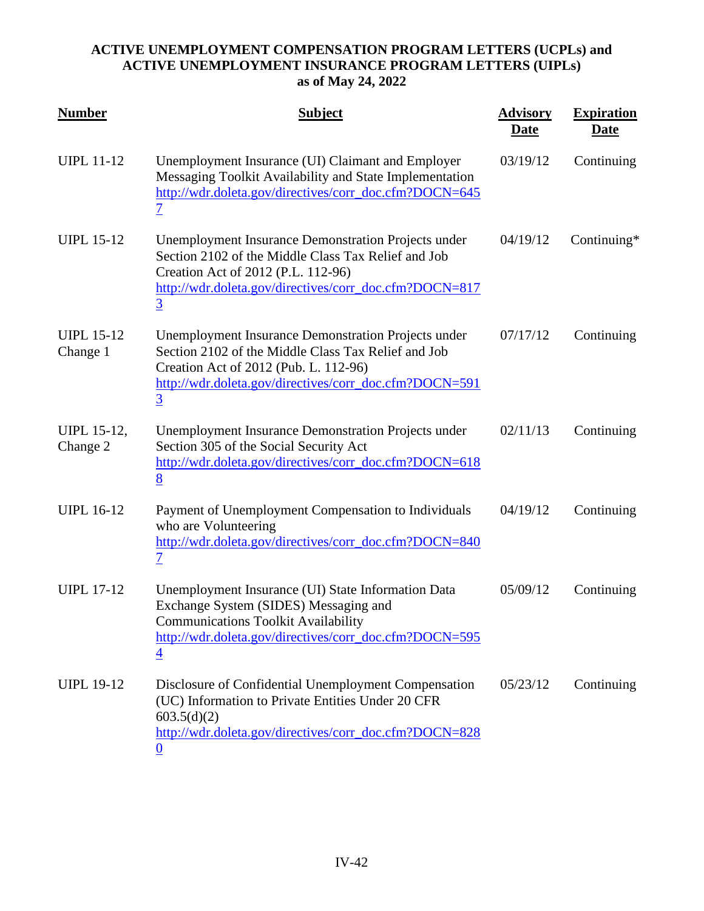| <b>Number</b>                  | <b>Subject</b>                                                                                                                                                                                                                         | <b>Advisory</b><br><u>Date</u> | <b>Expiration</b><br><u>Date</u> |
|--------------------------------|----------------------------------------------------------------------------------------------------------------------------------------------------------------------------------------------------------------------------------------|--------------------------------|----------------------------------|
| <b>UIPL 11-12</b>              | Unemployment Insurance (UI) Claimant and Employer<br>Messaging Toolkit Availability and State Implementation<br>http://wdr.doleta.gov/directives/corr_doc.cfm?DOCN=645<br>$\overline{\mathcal{I}}$                                     | 03/19/12                       | Continuing                       |
| <b>UIPL 15-12</b>              | <b>Unemployment Insurance Demonstration Projects under</b><br>Section 2102 of the Middle Class Tax Relief and Job<br>Creation Act of 2012 (P.L. 112-96)<br>http://wdr.doleta.gov/directives/corr_doc.cfm?DOCN=817<br>$\overline{3}$    | 04/19/12                       | Continuing*                      |
| <b>UIPL 15-12</b><br>Change 1  | <b>Unemployment Insurance Demonstration Projects under</b><br>Section 2102 of the Middle Class Tax Relief and Job<br>Creation Act of 2012 (Pub. L. 112-96)<br>http://wdr.doleta.gov/directives/corr_doc.cfm?DOCN=591<br>$\overline{3}$ | 07/17/12                       | Continuing                       |
| <b>UIPL 15-12,</b><br>Change 2 | <b>Unemployment Insurance Demonstration Projects under</b><br>Section 305 of the Social Security Act<br>http://wdr.doleta.gov/directives/corr_doc.cfm?DOCN=618<br>8                                                                    | 02/11/13                       | Continuing                       |
| <b>UIPL 16-12</b>              | Payment of Unemployment Compensation to Individuals<br>who are Volunteering<br>http://wdr.doleta.gov/directives/corr_doc.cfm?DOCN=840<br>$\overline{\mathcal{I}}$                                                                      | 04/19/12                       | Continuing                       |
| <b>UIPL 17-12</b>              | Unemployment Insurance (UI) State Information Data<br>Exchange System (SIDES) Messaging and<br><b>Communications Toolkit Availability</b><br>http://wdr.doleta.gov/directives/corr_doc.cfm?DOCN=595<br>$\overline{4}$                  | 05/09/12                       | Continuing                       |
| <b>UIPL 19-12</b>              | Disclosure of Confidential Unemployment Compensation<br>(UC) Information to Private Entities Under 20 CFR<br>603.5(d)(2)<br>http://wdr.doleta.gov/directives/corr_doc.cfm?DOCN=828<br>$\bf{0}$                                         | 05/23/12                       | Continuing                       |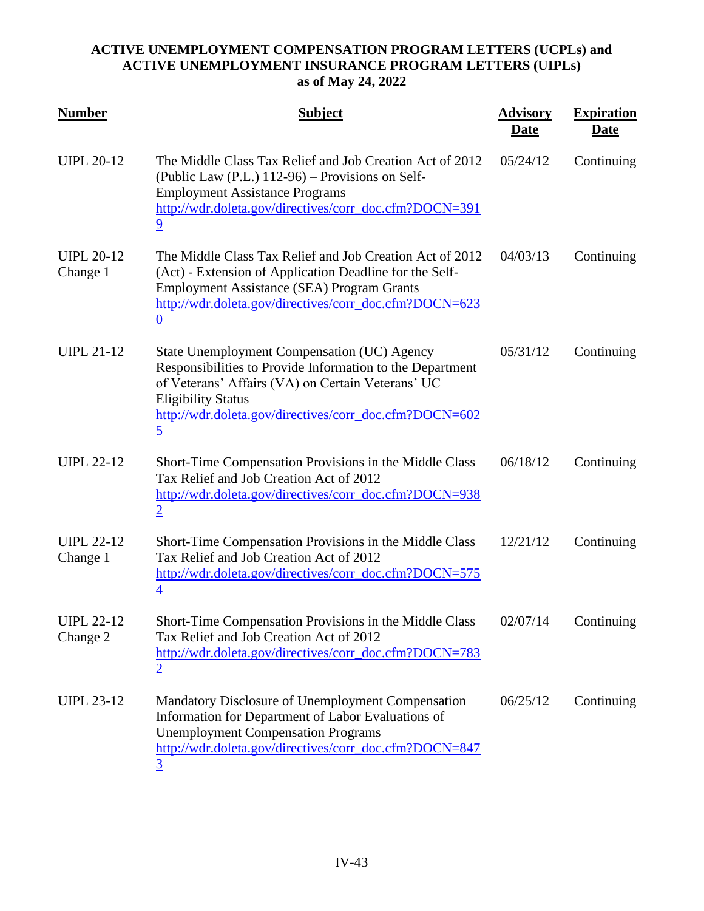| <b>Number</b>                 | <b>Subject</b>                                                                                                                                                                                                                                                         | <b>Advisory</b><br><b>Date</b> | <b>Expiration</b><br><u>Date</u> |
|-------------------------------|------------------------------------------------------------------------------------------------------------------------------------------------------------------------------------------------------------------------------------------------------------------------|--------------------------------|----------------------------------|
| <b>UIPL 20-12</b>             | The Middle Class Tax Relief and Job Creation Act of 2012<br>(Public Law (P.L.) 112-96) – Provisions on Self-<br><b>Employment Assistance Programs</b><br>http://wdr.doleta.gov/directives/corr_doc.cfm?DOCN=391<br>9                                                   | 05/24/12                       | Continuing                       |
| <b>UIPL 20-12</b><br>Change 1 | The Middle Class Tax Relief and Job Creation Act of 2012<br>(Act) - Extension of Application Deadline for the Self-<br><b>Employment Assistance (SEA) Program Grants</b><br>http://wdr.doleta.gov/directives/corr_doc.cfm?DOCN=623<br>$\overline{0}$                   | 04/03/13                       | Continuing                       |
| <b>UIPL 21-12</b>             | State Unemployment Compensation (UC) Agency<br>Responsibilities to Provide Information to the Department<br>of Veterans' Affairs (VA) on Certain Veterans' UC<br><b>Eligibility Status</b><br>http://wdr.doleta.gov/directives/corr_doc.cfm?DOCN=602<br>$\overline{5}$ | 05/31/12                       | Continuing                       |
| <b>UIPL 22-12</b>             | Short-Time Compensation Provisions in the Middle Class<br>Tax Relief and Job Creation Act of 2012<br>http://wdr.doleta.gov/directives/corr_doc.cfm?DOCN=938<br>$\overline{2}$                                                                                          | 06/18/12                       | Continuing                       |
| <b>UIPL 22-12</b><br>Change 1 | Short-Time Compensation Provisions in the Middle Class<br>Tax Relief and Job Creation Act of 2012<br>http://wdr.doleta.gov/directives/corr_doc.cfm?DOCN=575<br>$\overline{4}$                                                                                          | 12/21/12                       | Continuing                       |
| <b>UIPL 22-12</b><br>Change 2 | Short-Time Compensation Provisions in the Middle Class<br>Tax Relief and Job Creation Act of 2012<br>http://wdr.doleta.gov/directives/corr_doc.cfm?DOCN=783<br>$\overline{2}$                                                                                          | 02/07/14                       | Continuing                       |
| <b>UIPL 23-12</b>             | Mandatory Disclosure of Unemployment Compensation<br>Information for Department of Labor Evaluations of<br><b>Unemployment Compensation Programs</b><br>http://wdr.doleta.gov/directives/corr_doc.cfm?DOCN=847<br>$\overline{3}$                                       | 06/25/12                       | Continuing                       |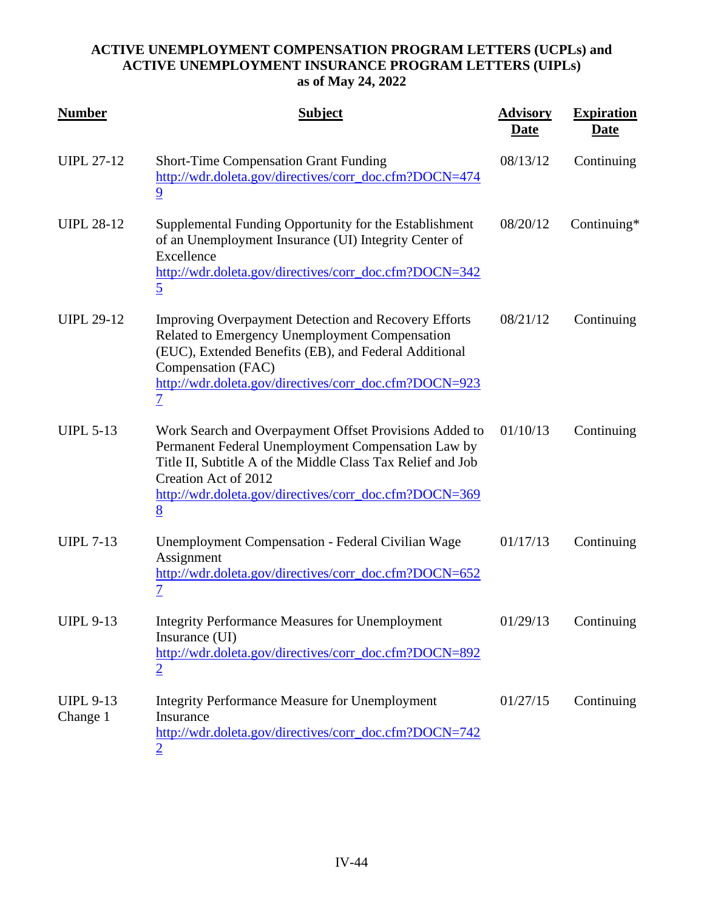| <b>Number</b>                | <b>Subject</b>                                                                                                                                                                                                                                                           | <b>Advisory</b><br><u>Date</u> | <b>Expiration</b><br><u>Date</u> |
|------------------------------|--------------------------------------------------------------------------------------------------------------------------------------------------------------------------------------------------------------------------------------------------------------------------|--------------------------------|----------------------------------|
| <b>UIPL 27-12</b>            | <b>Short-Time Compensation Grant Funding</b><br>http://wdr.doleta.gov/directives/corr_doc.cfm?DOCN=474<br>$\overline{9}$                                                                                                                                                 | 08/13/12                       | Continuing                       |
| <b>UIPL 28-12</b>            | Supplemental Funding Opportunity for the Establishment<br>of an Unemployment Insurance (UI) Integrity Center of<br>Excellence<br>http://wdr.doleta.gov/directives/corr_doc.cfm?DOCN=342<br>$\overline{5}$                                                                | 08/20/12                       | Continuing*                      |
| <b>UIPL 29-12</b>            | <b>Improving Overpayment Detection and Recovery Efforts</b><br>Related to Emergency Unemployment Compensation<br>(EUC), Extended Benefits (EB), and Federal Additional<br>Compensation (FAC)<br>http://wdr.doleta.gov/directives/corr_doc.cfm?DOCN=923<br>$\overline{1}$ | 08/21/12                       | Continuing                       |
| <b>UIPL 5-13</b>             | Work Search and Overpayment Offset Provisions Added to<br>Permanent Federal Unemployment Compensation Law by<br>Title II, Subtitle A of the Middle Class Tax Relief and Job<br>Creation Act of 2012<br>http://wdr.doleta.gov/directives/corr_doc.cfm?DOCN=369<br>8       | 01/10/13                       | Continuing                       |
| <b>UIPL 7-13</b>             | Unemployment Compensation - Federal Civilian Wage<br>Assignment<br>http://wdr.doleta.gov/directives/corr_doc.cfm?DOCN=652<br>$\overline{1}$                                                                                                                              | 01/17/13                       | Continuing                       |
| <b>UIPL 9-13</b>             | <b>Integrity Performance Measures for Unemployment</b><br>Insurance (UI)<br>http://wdr.doleta.gov/directives/corr_doc.cfm?DOCN=892<br>$\overline{2}$                                                                                                                     | 01/29/13                       | Continuing                       |
| <b>UIPL 9-13</b><br>Change 1 | <b>Integrity Performance Measure for Unemployment</b><br>Insurance<br>http://wdr.doleta.gov/directives/corr_doc.cfm?DOCN=742<br>$\overline{2}$                                                                                                                           | 01/27/15                       | Continuing                       |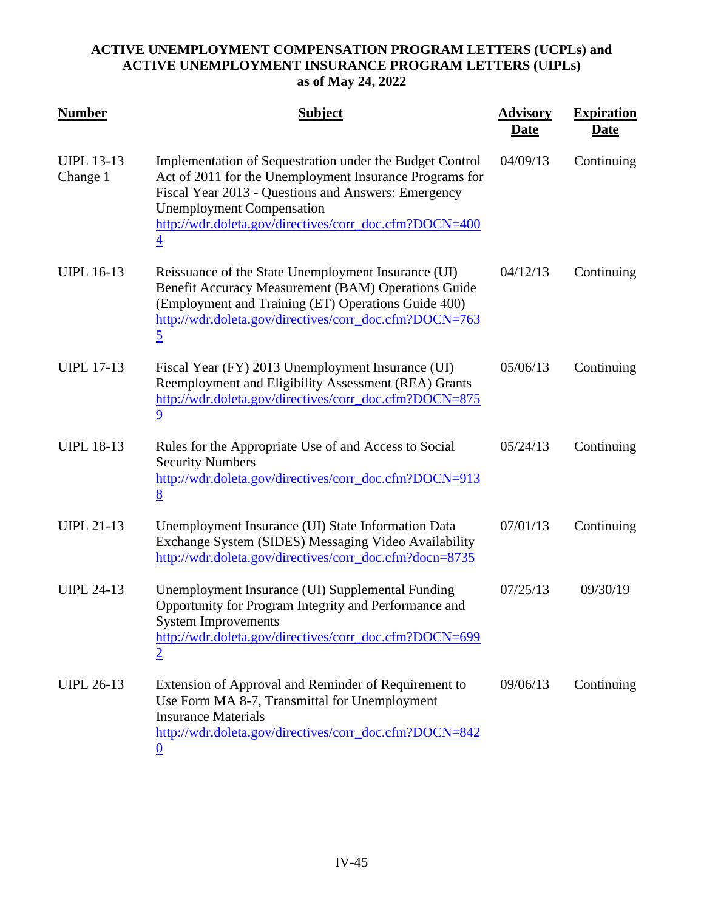| <b>Number</b>                 | <b>Subject</b>                                                                                                                                                                                                                                                                             | <b>Advisory</b><br><u>Date</u> | <b>Expiration</b><br><u>Date</u> |
|-------------------------------|--------------------------------------------------------------------------------------------------------------------------------------------------------------------------------------------------------------------------------------------------------------------------------------------|--------------------------------|----------------------------------|
| <b>UIPL 13-13</b><br>Change 1 | Implementation of Sequestration under the Budget Control<br>Act of 2011 for the Unemployment Insurance Programs for<br>Fiscal Year 2013 - Questions and Answers: Emergency<br><b>Unemployment Compensation</b><br>http://wdr.doleta.gov/directives/corr_doc.cfm?DOCN=400<br>$\overline{4}$ | 04/09/13                       | Continuing                       |
| <b>UIPL 16-13</b>             | Reissuance of the State Unemployment Insurance (UI)<br>Benefit Accuracy Measurement (BAM) Operations Guide<br>(Employment and Training (ET) Operations Guide 400)<br>http://wdr.doleta.gov/directives/corr_doc.cfm?DOCN=763<br>$\overline{5}$                                              | 04/12/13                       | Continuing                       |
| <b>UIPL 17-13</b>             | Fiscal Year (FY) 2013 Unemployment Insurance (UI)<br>Reemployment and Eligibility Assessment (REA) Grants<br>http://wdr.doleta.gov/directives/corr_doc.cfm?DOCN=875<br>$\overline{9}$                                                                                                      | 05/06/13                       | Continuing                       |
| <b>UIPL 18-13</b>             | Rules for the Appropriate Use of and Access to Social<br><b>Security Numbers</b><br>http://wdr.doleta.gov/directives/corr_doc.cfm?DOCN=913<br>8                                                                                                                                            | 05/24/13                       | Continuing                       |
| <b>UIPL 21-13</b>             | Unemployment Insurance (UI) State Information Data<br>Exchange System (SIDES) Messaging Video Availability<br>http://wdr.doleta.gov/directives/corr_doc.cfm?docn=8735                                                                                                                      | 07/01/13                       | Continuing                       |
| <b>UIPL 24-13</b>             | Unemployment Insurance (UI) Supplemental Funding<br>Opportunity for Program Integrity and Performance and<br><b>System Improvements</b><br>http://wdr.doleta.gov/directives/corr_doc.cfm?DOCN=699<br>$\overline{2}$                                                                        | 07/25/13                       | 09/30/19                         |
| <b>UIPL 26-13</b>             | Extension of Approval and Reminder of Requirement to<br>Use Form MA 8-7, Transmittal for Unemployment<br><b>Insurance Materials</b><br>http://wdr.doleta.gov/directives/corr_doc.cfm?DOCN=842<br>$\bf{0}$                                                                                  | 09/06/13                       | Continuing                       |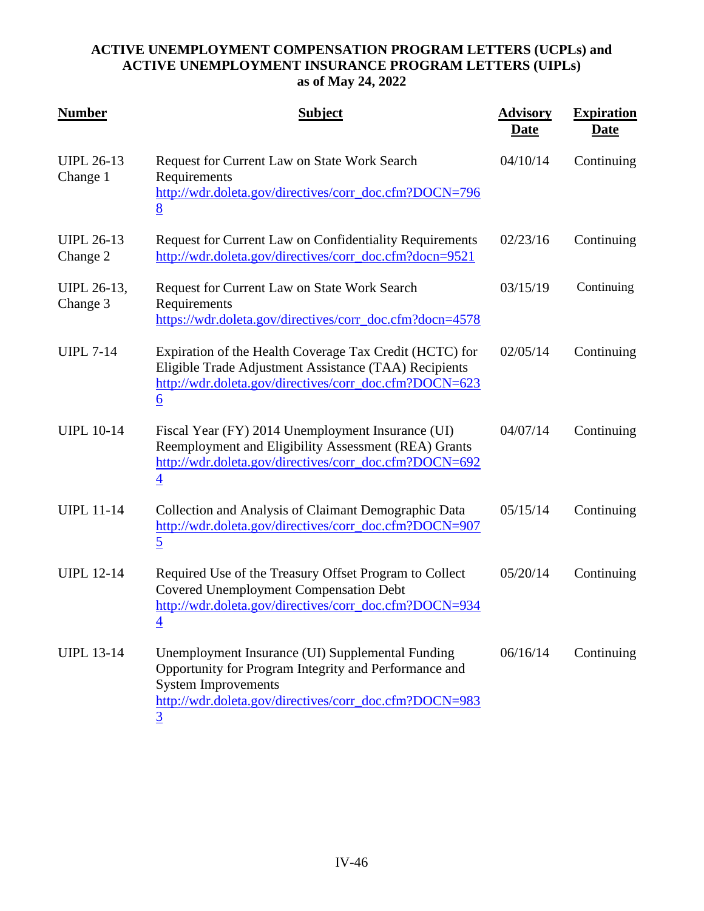| <b>Number</b>                 | <b>Subject</b>                                                                                                                                                                                         | <b>Advisory</b><br><b>Date</b> | <b>Expiration</b><br><u>Date</u> |
|-------------------------------|--------------------------------------------------------------------------------------------------------------------------------------------------------------------------------------------------------|--------------------------------|----------------------------------|
| <b>UIPL 26-13</b><br>Change 1 | Request for Current Law on State Work Search<br>Requirements<br>http://wdr.doleta.gov/directives/corr_doc.cfm?DOCN=796<br>8                                                                            | 04/10/14                       | Continuing                       |
| <b>UIPL 26-13</b><br>Change 2 | Request for Current Law on Confidentiality Requirements<br>http://wdr.doleta.gov/directives/corr_doc.cfm?docn=9521                                                                                     | 02/23/16                       | Continuing                       |
| UIPL 26-13,<br>Change 3       | Request for Current Law on State Work Search<br>Requirements<br>https://wdr.doleta.gov/directives/corr_doc.cfm?docn=4578                                                                               | 03/15/19                       | Continuing                       |
| <b>UIPL 7-14</b>              | Expiration of the Health Coverage Tax Credit (HCTC) for<br>Eligible Trade Adjustment Assistance (TAA) Recipients<br>http://wdr.doleta.gov/directives/corr_doc.cfm?DOCN=623<br>6                        | 02/05/14                       | Continuing                       |
| <b>UIPL 10-14</b>             | Fiscal Year (FY) 2014 Unemployment Insurance (UI)<br>Reemployment and Eligibility Assessment (REA) Grants<br>http://wdr.doleta.gov/directives/corr_doc.cfm?DOCN=692<br>4                               | 04/07/14                       | Continuing                       |
| <b>UIPL 11-14</b>             | Collection and Analysis of Claimant Demographic Data<br>http://wdr.doleta.gov/directives/corr_doc.cfm?DOCN=907<br>$\overline{5}$                                                                       | 05/15/14                       | Continuing                       |
| <b>UIPL 12-14</b>             | Required Use of the Treasury Offset Program to Collect<br><b>Covered Unemployment Compensation Debt</b><br>http://wdr.doleta.gov/directives/corr_doc.cfm?DOCN=934<br>$\overline{4}$                    | 05/20/14                       | Continuing                       |
| <b>UIPL 13-14</b>             | Unemployment Insurance (UI) Supplemental Funding<br>Opportunity for Program Integrity and Performance and<br><b>System Improvements</b><br>http://wdr.doleta.gov/directives/corr_doc.cfm?DOCN=983<br>3 | 06/16/14                       | Continuing                       |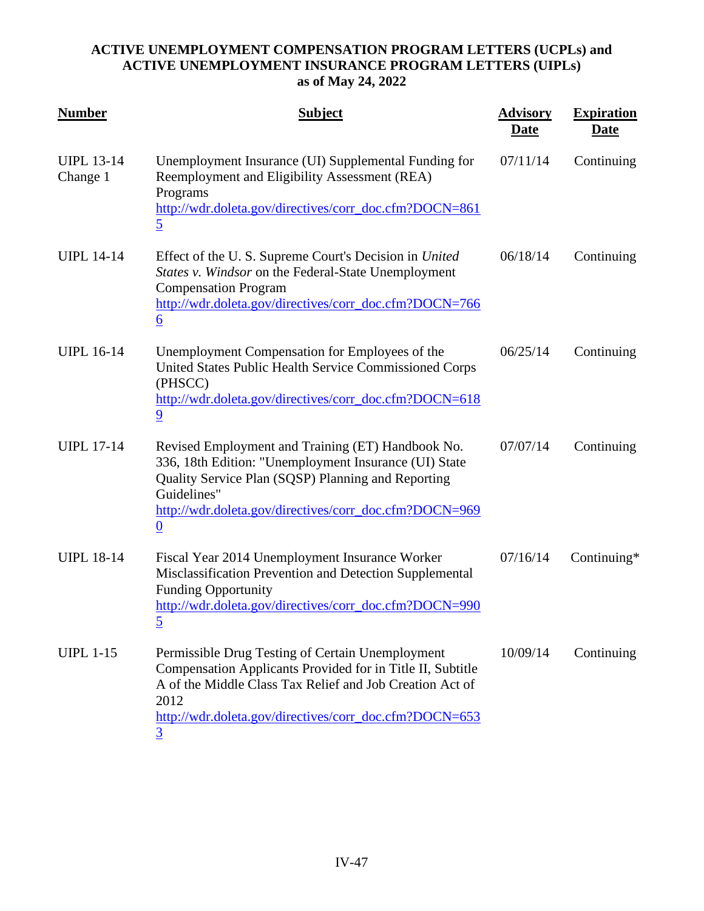| <b>Number</b>                 | <b>Subject</b>                                                                                                                                                                                                                                                 | <b>Advisory</b><br><u>Date</u> | <b>Expiration</b><br><u>Date</u> |
|-------------------------------|----------------------------------------------------------------------------------------------------------------------------------------------------------------------------------------------------------------------------------------------------------------|--------------------------------|----------------------------------|
| <b>UIPL 13-14</b><br>Change 1 | Unemployment Insurance (UI) Supplemental Funding for<br>Reemployment and Eligibility Assessment (REA)<br>Programs<br>http://wdr.doleta.gov/directives/corr_doc.cfm?DOCN=861<br>$\overline{5}$                                                                  | 07/11/14                       | Continuing                       |
| <b>UIPL 14-14</b>             | Effect of the U.S. Supreme Court's Decision in United<br>States v. Windsor on the Federal-State Unemployment<br><b>Compensation Program</b><br>http://wdr.doleta.gov/directives/corr_doc.cfm?DOCN=766<br>$\underline{6}$                                       | 06/18/14                       | Continuing                       |
| <b>UIPL 16-14</b>             | Unemployment Compensation for Employees of the<br>United States Public Health Service Commissioned Corps<br>(PHSCC)<br>http://wdr.doleta.gov/directives/corr_doc.cfm?DOCN=618<br>$\overline{9}$                                                                | 06/25/14                       | Continuing                       |
| <b>UIPL 17-14</b>             | Revised Employment and Training (ET) Handbook No.<br>336, 18th Edition: "Unemployment Insurance (UI) State<br>Quality Service Plan (SQSP) Planning and Reporting<br>Guidelines"<br>http://wdr.doleta.gov/directives/corr_doc.cfm?DOCN=969<br>$\boldsymbol{0}$  | 07/07/14                       | Continuing                       |
| <b>UIPL 18-14</b>             | Fiscal Year 2014 Unemployment Insurance Worker<br>Misclassification Prevention and Detection Supplemental<br><b>Funding Opportunity</b><br>http://wdr.doleta.gov/directives/corr_doc.cfm?DOCN=990<br><u>5</u>                                                  | 07/16/14                       | Continuing*                      |
| <b>UIPL 1-15</b>              | Permissible Drug Testing of Certain Unemployment<br>Compensation Applicants Provided for in Title II, Subtitle<br>A of the Middle Class Tax Relief and Job Creation Act of<br>2012<br>http://wdr.doleta.gov/directives/corr_doc.cfm?DOCN=653<br>$\overline{3}$ | 10/09/14                       | Continuing                       |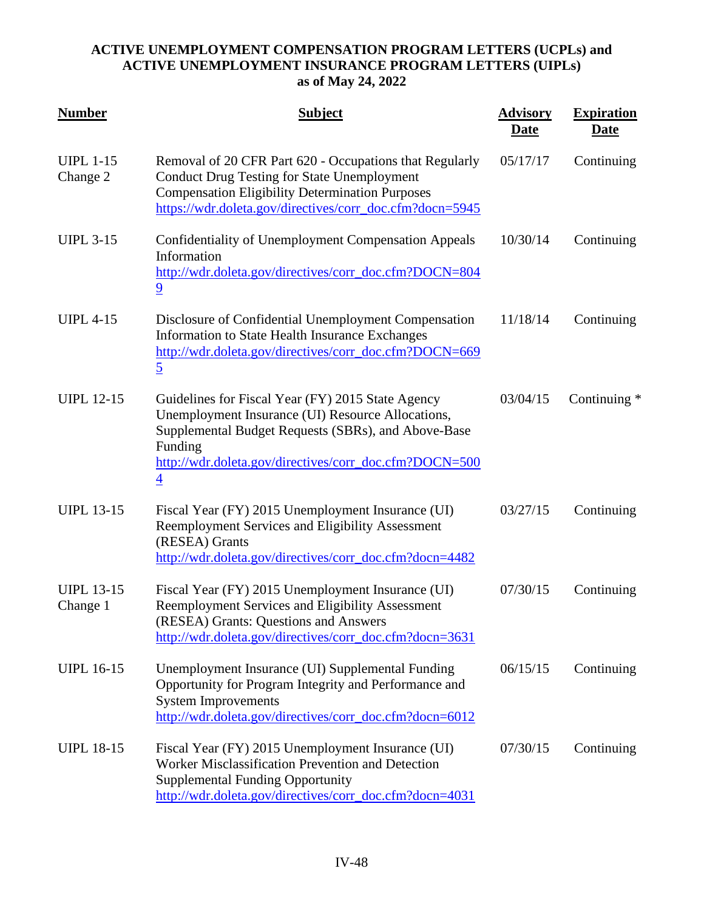| <b>Number</b>                 | <b>Subject</b>                                                                                                                                                                                                                                       | <b>Advisory</b><br>Date | <b>Expiration</b><br><u>Date</u> |
|-------------------------------|------------------------------------------------------------------------------------------------------------------------------------------------------------------------------------------------------------------------------------------------------|-------------------------|----------------------------------|
| <b>UIPL 1-15</b><br>Change 2  | Removal of 20 CFR Part 620 - Occupations that Regularly<br><b>Conduct Drug Testing for State Unemployment</b><br><b>Compensation Eligibility Determination Purposes</b><br>https://wdr.doleta.gov/directives/corr_doc.cfm?docn=5945                  | 05/17/17                | Continuing                       |
| <b>UIPL 3-15</b>              | <b>Confidentiality of Unemployment Compensation Appeals</b><br>Information<br>http://wdr.doleta.gov/directives/corr_doc.cfm?DOCN=804<br>$\overline{9}$                                                                                               | 10/30/14                | Continuing                       |
| <b>UIPL 4-15</b>              | Disclosure of Confidential Unemployment Compensation<br>Information to State Health Insurance Exchanges<br>http://wdr.doleta.gov/directives/corr_doc.cfm?DOCN=669<br>$\overline{5}$                                                                  | 11/18/14                | Continuing                       |
| <b>UIPL 12-15</b>             | Guidelines for Fiscal Year (FY) 2015 State Agency<br>Unemployment Insurance (UI) Resource Allocations,<br>Supplemental Budget Requests (SBRs), and Above-Base<br>Funding<br>http://wdr.doleta.gov/directives/corr_doc.cfm?DOCN=500<br>$\overline{4}$ | 03/04/15                | Continuing *                     |
| <b>UIPL 13-15</b>             | Fiscal Year (FY) 2015 Unemployment Insurance (UI)<br>Reemployment Services and Eligibility Assessment<br>(RESEA) Grants<br>http://wdr.doleta.gov/directives/corr_doc.cfm?docn=4482                                                                   | 03/27/15                | Continuing                       |
| <b>UIPL 13-15</b><br>Change 1 | Fiscal Year (FY) 2015 Unemployment Insurance (UI)<br>Reemployment Services and Eligibility Assessment<br>(RESEA) Grants: Questions and Answers<br>http://wdr.doleta.gov/directives/corr_doc.cfm?docn=3631                                            | 07/30/15                | Continuing                       |
| <b>UIPL 16-15</b>             | Unemployment Insurance (UI) Supplemental Funding<br>Opportunity for Program Integrity and Performance and<br><b>System Improvements</b><br>http://wdr.doleta.gov/directives/corr_doc.cfm?docn=6012                                                   | 06/15/15                | Continuing                       |
| <b>UIPL 18-15</b>             | Fiscal Year (FY) 2015 Unemployment Insurance (UI)<br>Worker Misclassification Prevention and Detection<br><b>Supplemental Funding Opportunity</b><br>http://wdr.doleta.gov/directives/corr_doc.cfm?docn=4031                                         | 07/30/15                | Continuing                       |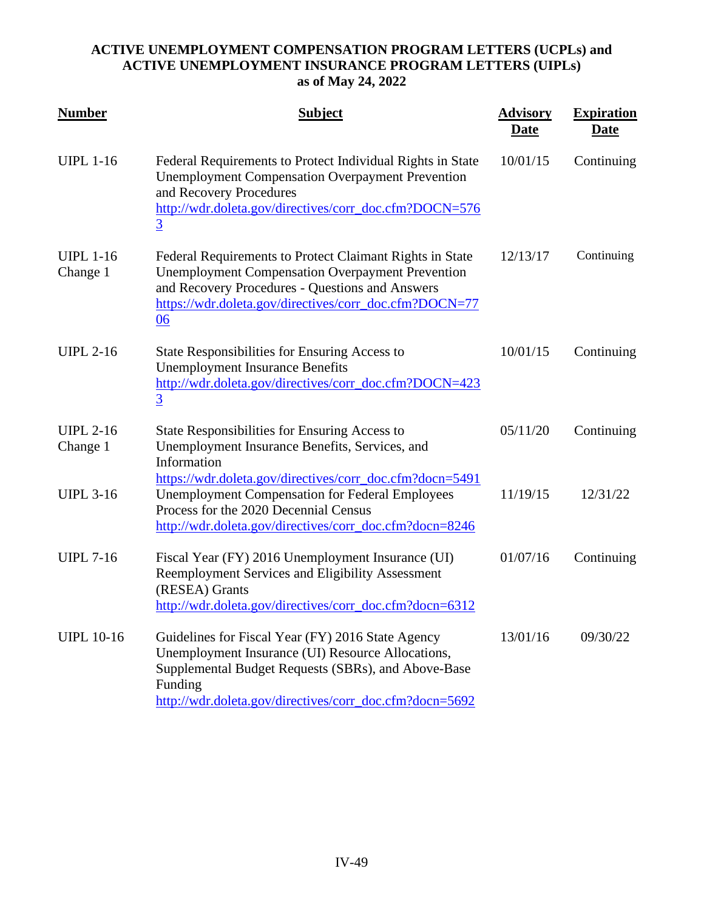| <b>Number</b>                | <b>Subject</b>                                                                                                                                                                                                                         | <b>Advisory</b><br><u>Date</u> | <b>Expiration</b><br><u>Date</u> |
|------------------------------|----------------------------------------------------------------------------------------------------------------------------------------------------------------------------------------------------------------------------------------|--------------------------------|----------------------------------|
| <b>UIPL 1-16</b>             | Federal Requirements to Protect Individual Rights in State<br><b>Unemployment Compensation Overpayment Prevention</b><br>and Recovery Procedures<br>http://wdr.doleta.gov/directives/corr_doc.cfm?DOCN=576<br>$\overline{3}$           | 10/01/15                       | Continuing                       |
| <b>UIPL 1-16</b><br>Change 1 | Federal Requirements to Protect Claimant Rights in State<br><b>Unemployment Compensation Overpayment Prevention</b><br>and Recovery Procedures - Questions and Answers<br>https://wdr.doleta.gov/directives/corr_doc.cfm?DOCN=77<br>06 | 12/13/17                       | Continuing                       |
| <b>UIPL 2-16</b>             | State Responsibilities for Ensuring Access to<br><b>Unemployment Insurance Benefits</b><br>http://wdr.doleta.gov/directives/corr_doc.cfm?DOCN=423<br>$\overline{3}$                                                                    | 10/01/15                       | Continuing                       |
| <b>UIPL 2-16</b><br>Change 1 | State Responsibilities for Ensuring Access to<br>Unemployment Insurance Benefits, Services, and<br>Information<br>https://wdr.doleta.gov/directives/corr_doc.cfm?docn=5491                                                             | 05/11/20                       | Continuing                       |
| <b>UIPL 3-16</b>             | <b>Unemployment Compensation for Federal Employees</b><br>Process for the 2020 Decennial Census<br>http://wdr.doleta.gov/directives/corr_doc.cfm?docn=8246                                                                             | 11/19/15                       | 12/31/22                         |
| <b>UIPL 7-16</b>             | Fiscal Year (FY) 2016 Unemployment Insurance (UI)<br>Reemployment Services and Eligibility Assessment<br>(RESEA) Grants<br>http://wdr.doleta.gov/directives/corr_doc.cfm?docn=6312                                                     | 01/07/16                       | Continuing                       |
| <b>UIPL 10-16</b>            | Guidelines for Fiscal Year (FY) 2016 State Agency<br>Unemployment Insurance (UI) Resource Allocations,<br>Supplemental Budget Requests (SBRs), and Above-Base<br>Funding<br>http://wdr.doleta.gov/directives/corr_doc.cfm?docn=5692    | 13/01/16                       | 09/30/22                         |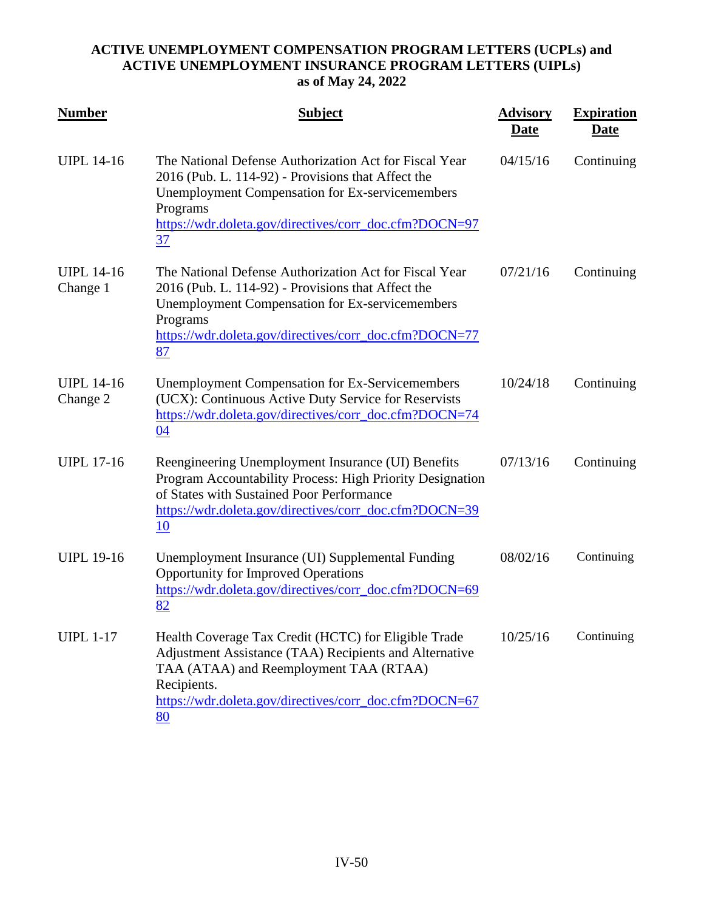| <b>Number</b>                 | <b>Subject</b>                                                                                                                                                                                                                                     | <b>Advisory</b><br><b>Date</b> | <b>Expiration</b><br><u>Date</u> |
|-------------------------------|----------------------------------------------------------------------------------------------------------------------------------------------------------------------------------------------------------------------------------------------------|--------------------------------|----------------------------------|
| <b>UIPL 14-16</b>             | The National Defense Authorization Act for Fiscal Year<br>2016 (Pub. L. 114-92) - Provisions that Affect the<br><b>Unemployment Compensation for Ex-servicemembers</b><br>Programs<br>https://wdr.doleta.gov/directives/corr_doc.cfm?DOCN=97<br>37 | 04/15/16                       | Continuing                       |
| <b>UIPL 14-16</b><br>Change 1 | The National Defense Authorization Act for Fiscal Year<br>2016 (Pub. L. 114-92) - Provisions that Affect the<br><b>Unemployment Compensation for Ex-servicemembers</b><br>Programs<br>https://wdr.doleta.gov/directives/corr_doc.cfm?DOCN=77<br>87 | 07/21/16                       | Continuing                       |
| <b>UIPL 14-16</b><br>Change 2 | <b>Unemployment Compensation for Ex-Servicemembers</b><br>(UCX): Continuous Active Duty Service for Reservists<br>https://wdr.doleta.gov/directives/corr_doc.cfm?DOCN=74<br>04                                                                     | 10/24/18                       | Continuing                       |
| <b>UIPL 17-16</b>             | Reengineering Unemployment Insurance (UI) Benefits<br>Program Accountability Process: High Priority Designation<br>of States with Sustained Poor Performance<br>https://wdr.doleta.gov/directives/corr_doc.cfm?DOCN=39<br>10                       | 07/13/16                       | Continuing                       |
| <b>UIPL 19-16</b>             | Unemployment Insurance (UI) Supplemental Funding<br><b>Opportunity for Improved Operations</b><br>https://wdr.doleta.gov/directives/corr_doc.cfm?DOCN=69<br>82                                                                                     | 08/02/16                       | Continuing                       |
| <b>UIPL 1-17</b>              | Health Coverage Tax Credit (HCTC) for Eligible Trade<br>Adjustment Assistance (TAA) Recipients and Alternative<br>TAA (ATAA) and Reemployment TAA (RTAA)<br>Recipients.<br>https://wdr.doleta.gov/directives/corr_doc.cfm?DOCN=67<br>80            | 10/25/16                       | Continuing                       |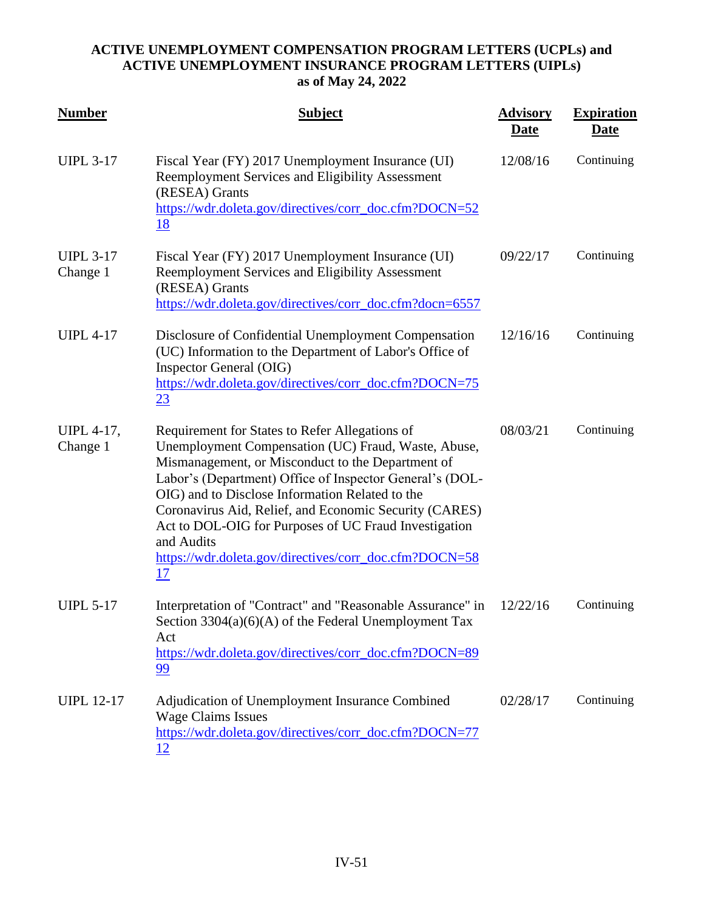| <b>Number</b>                 | <b>Subject</b>                                                                                                                                                                                                                                                                                                                                                                                                                                                             | <b>Advisory</b><br><u>Date</u> | <b>Expiration</b><br><u>Date</u> |
|-------------------------------|----------------------------------------------------------------------------------------------------------------------------------------------------------------------------------------------------------------------------------------------------------------------------------------------------------------------------------------------------------------------------------------------------------------------------------------------------------------------------|--------------------------------|----------------------------------|
| <b>UIPL 3-17</b>              | Fiscal Year (FY) 2017 Unemployment Insurance (UI)<br>Reemployment Services and Eligibility Assessment<br>(RESEA) Grants<br>https://wdr.doleta.gov/directives/corr_doc.cfm?DOCN=52<br><u>18</u>                                                                                                                                                                                                                                                                             | 12/08/16                       | Continuing                       |
| <b>UIPL 3-17</b><br>Change 1  | Fiscal Year (FY) 2017 Unemployment Insurance (UI)<br>Reemployment Services and Eligibility Assessment<br>(RESEA) Grants<br>https://wdr.doleta.gov/directives/corr_doc.cfm?docn=6557                                                                                                                                                                                                                                                                                        | 09/22/17                       | Continuing                       |
| <b>UIPL 4-17</b>              | Disclosure of Confidential Unemployment Compensation<br>(UC) Information to the Department of Labor's Office of<br><b>Inspector General (OIG)</b><br>https://wdr.doleta.gov/directives/corr_doc.cfm?DOCN=75<br>23                                                                                                                                                                                                                                                          | 12/16/16                       | Continuing                       |
| <b>UIPL 4-17,</b><br>Change 1 | Requirement for States to Refer Allegations of<br>Unemployment Compensation (UC) Fraud, Waste, Abuse,<br>Mismanagement, or Misconduct to the Department of<br>Labor's (Department) Office of Inspector General's (DOL-<br>OIG) and to Disclose Information Related to the<br>Coronavirus Aid, Relief, and Economic Security (CARES)<br>Act to DOL-OIG for Purposes of UC Fraud Investigation<br>and Audits<br>https://wdr.doleta.gov/directives/corr_doc.cfm?DOCN=58<br>17 | 08/03/21                       | Continuing                       |
| <b>UIPL 5-17</b>              | Interpretation of "Contract" and "Reasonable Assurance" in<br>Section 3304(a)(6)(A) of the Federal Unemployment Tax<br>Act<br>https://wdr.doleta.gov/directives/corr_doc.cfm?DOCN=89<br><u>99</u>                                                                                                                                                                                                                                                                          | 12/22/16                       | Continuing                       |
| <b>UIPL 12-17</b>             | Adjudication of Unemployment Insurance Combined<br><b>Wage Claims Issues</b><br>https://wdr.doleta.gov/directives/corr_doc.cfm?DOCN=77<br><u>12</u>                                                                                                                                                                                                                                                                                                                        | 02/28/17                       | Continuing                       |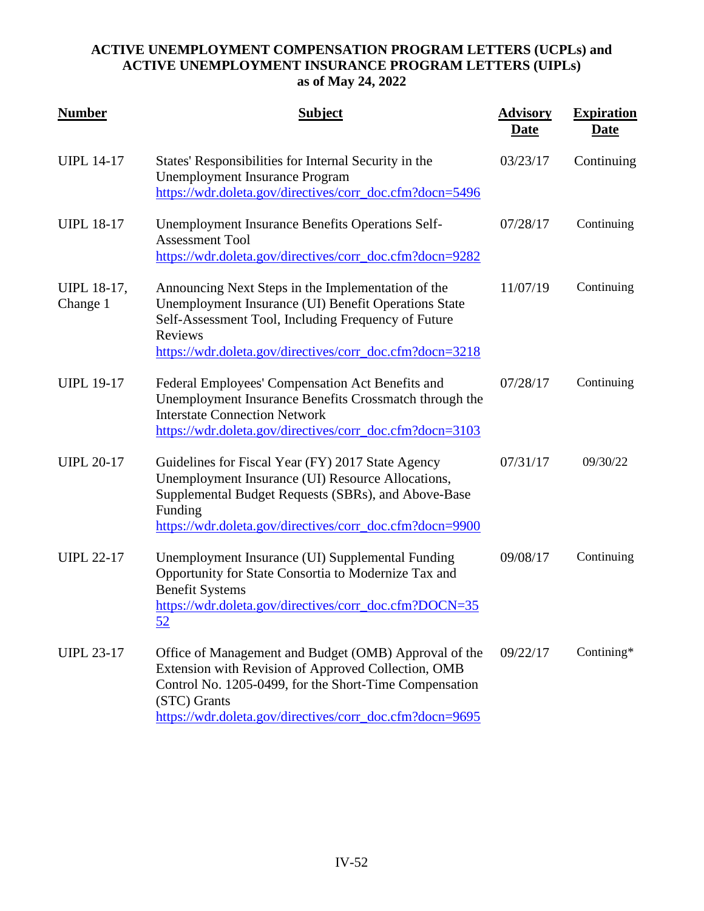| <b>Number</b>           | <b>Subject</b>                                                                                                                                                                                                                                     | <b>Advisory</b><br>Date | <b>Expiration</b><br><b>Date</b> |
|-------------------------|----------------------------------------------------------------------------------------------------------------------------------------------------------------------------------------------------------------------------------------------------|-------------------------|----------------------------------|
| <b>UIPL 14-17</b>       | States' Responsibilities for Internal Security in the<br><b>Unemployment Insurance Program</b><br>https://wdr.doleta.gov/directives/corr_doc.cfm?docn=5496                                                                                         | 03/23/17                | Continuing                       |
| <b>UIPL 18-17</b>       | <b>Unemployment Insurance Benefits Operations Self-</b><br><b>Assessment Tool</b><br>https://wdr.doleta.gov/directives/corr_doc.cfm?docn=9282                                                                                                      | 07/28/17                | Continuing                       |
| UIPL 18-17,<br>Change 1 | Announcing Next Steps in the Implementation of the<br>Unemployment Insurance (UI) Benefit Operations State<br>Self-Assessment Tool, Including Frequency of Future<br>Reviews<br>https://wdr.doleta.gov/directives/corr_doc.cfm?docn=3218           | 11/07/19                | Continuing                       |
| <b>UIPL 19-17</b>       | Federal Employees' Compensation Act Benefits and<br>Unemployment Insurance Benefits Crossmatch through the<br><b>Interstate Connection Network</b><br>https://wdr.doleta.gov/directives/corr_doc.cfm?docn=3103                                     | 07/28/17                | Continuing                       |
| <b>UIPL 20-17</b>       | Guidelines for Fiscal Year (FY) 2017 State Agency<br>Unemployment Insurance (UI) Resource Allocations,<br>Supplemental Budget Requests (SBRs), and Above-Base<br>Funding<br>https://wdr.doleta.gov/directives/corr_doc.cfm?docn=9900               | 07/31/17                | 09/30/22                         |
| <b>UIPL 22-17</b>       | Unemployment Insurance (UI) Supplemental Funding<br>Opportunity for State Consortia to Modernize Tax and<br><b>Benefit Systems</b><br>https://wdr.doleta.gov/directives/corr_doc.cfm?DOCN=35<br><u>52</u>                                          | 09/08/17                | Continuing                       |
| <b>UIPL 23-17</b>       | Office of Management and Budget (OMB) Approval of the<br>Extension with Revision of Approved Collection, OMB<br>Control No. 1205-0499, for the Short-Time Compensation<br>(STC) Grants<br>https://wdr.doleta.gov/directives/corr_doc.cfm?docn=9695 | 09/22/17                | Contining*                       |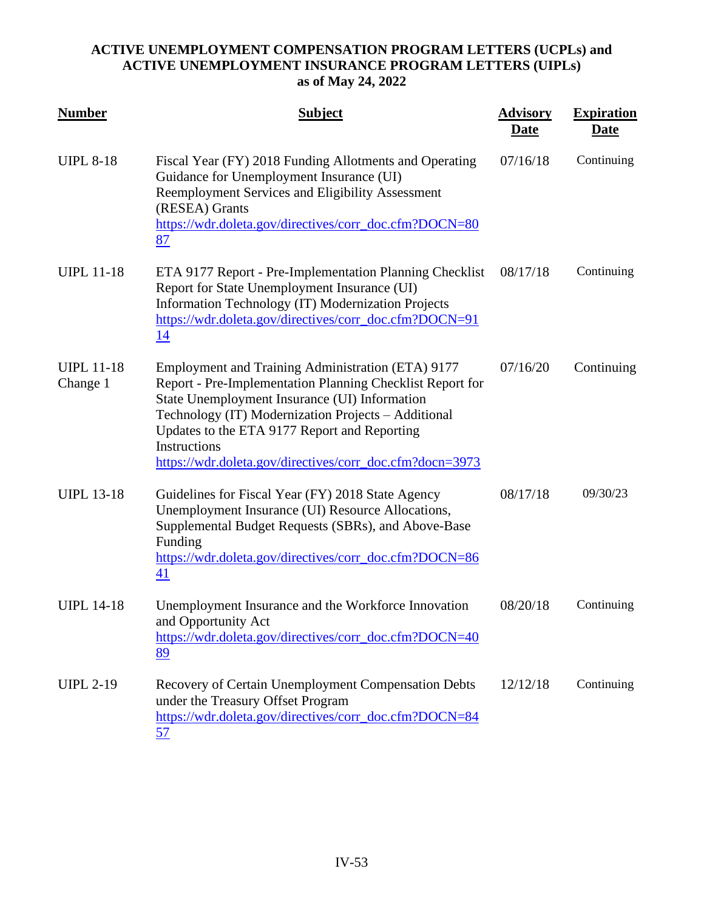| <b>Number</b>                 | <b>Subject</b>                                                                                                                                                                                                                                                                                                                                     | <b>Advisory</b><br><b>Date</b> | <b>Expiration</b><br><u>Date</u> |
|-------------------------------|----------------------------------------------------------------------------------------------------------------------------------------------------------------------------------------------------------------------------------------------------------------------------------------------------------------------------------------------------|--------------------------------|----------------------------------|
| <b>UIPL 8-18</b>              | Fiscal Year (FY) 2018 Funding Allotments and Operating<br>Guidance for Unemployment Insurance (UI)<br>Reemployment Services and Eligibility Assessment<br>(RESEA) Grants<br>https://wdr.doleta.gov/directives/corr_doc.cfm?DOCN=80<br>87                                                                                                           | 07/16/18                       | Continuing                       |
| <b>UIPL 11-18</b>             | ETA 9177 Report - Pre-Implementation Planning Checklist<br>Report for State Unemployment Insurance (UI)<br>Information Technology (IT) Modernization Projects<br>https://wdr.doleta.gov/directives/corr_doc.cfm?DOCN=91<br>14                                                                                                                      | 08/17/18                       | Continuing                       |
| <b>UIPL 11-18</b><br>Change 1 | Employment and Training Administration (ETA) 9177<br>Report - Pre-Implementation Planning Checklist Report for<br>State Unemployment Insurance (UI) Information<br>Technology (IT) Modernization Projects - Additional<br>Updates to the ETA 9177 Report and Reporting<br>Instructions<br>https://wdr.doleta.gov/directives/corr_doc.cfm?docn=3973 | 07/16/20                       | Continuing                       |
| <b>UIPL 13-18</b>             | Guidelines for Fiscal Year (FY) 2018 State Agency<br>Unemployment Insurance (UI) Resource Allocations,<br>Supplemental Budget Requests (SBRs), and Above-Base<br>Funding<br>https://wdr.doleta.gov/directives/corr_doc.cfm?DOCN=86<br>41                                                                                                           | 08/17/18                       | 09/30/23                         |
| <b>UIPL 14-18</b>             | Unemployment Insurance and the Workforce Innovation<br>and Opportunity Act<br>https://wdr.doleta.gov/directives/corr_doc.cfm?DOCN=40<br>89                                                                                                                                                                                                         | 08/20/18                       | Continuing                       |
| <b>UIPL 2-19</b>              | <b>Recovery of Certain Unemployment Compensation Debts</b><br>under the Treasury Offset Program<br>https://wdr.doleta.gov/directives/corr_doc.cfm?DOCN=84<br>57                                                                                                                                                                                    | 12/12/18                       | Continuing                       |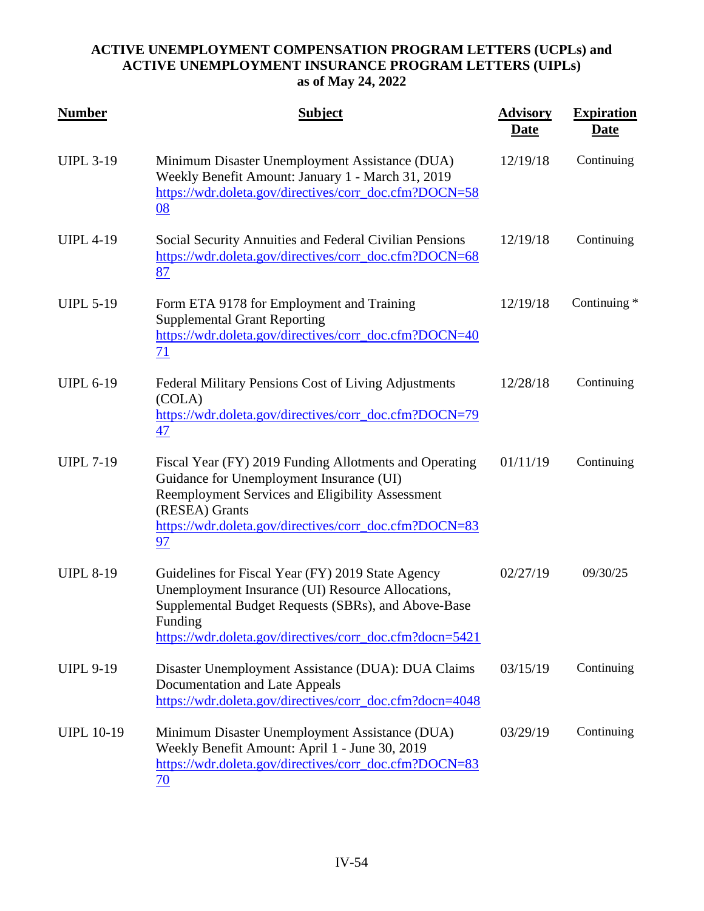| <b>Number</b>     | <b>Subject</b>                                                                                                                                                                                                                           | <b>Advisory</b><br><u>Date</u> | <b>Expiration</b><br><u>Date</u> |
|-------------------|------------------------------------------------------------------------------------------------------------------------------------------------------------------------------------------------------------------------------------------|--------------------------------|----------------------------------|
| <b>UIPL 3-19</b>  | Minimum Disaster Unemployment Assistance (DUA)<br>Weekly Benefit Amount: January 1 - March 31, 2019<br>https://wdr.doleta.gov/directives/corr_doc.cfm?DOCN=58<br>08                                                                      | 12/19/18                       | Continuing                       |
| <b>UIPL 4-19</b>  | Social Security Annuities and Federal Civilian Pensions<br>https://wdr.doleta.gov/directives/corr_doc.cfm?DOCN=68<br>87                                                                                                                  | 12/19/18                       | Continuing                       |
| <b>UIPL 5-19</b>  | Form ETA 9178 for Employment and Training<br><b>Supplemental Grant Reporting</b><br>https://wdr.doleta.gov/directives/corr_doc.cfm?DOCN=40<br>71                                                                                         | 12/19/18                       | Continuing *                     |
| <b>UIPL 6-19</b>  | Federal Military Pensions Cost of Living Adjustments<br>(COLA)<br>https://wdr.doleta.gov/directives/corr_doc.cfm?DOCN=79<br>47                                                                                                           | 12/28/18                       | Continuing                       |
| <b>UIPL 7-19</b>  | Fiscal Year (FY) 2019 Funding Allotments and Operating<br>Guidance for Unemployment Insurance (UI)<br>Reemployment Services and Eligibility Assessment<br>(RESEA) Grants<br>https://wdr.doleta.gov/directives/corr_doc.cfm?DOCN=83<br>97 | 01/11/19                       | Continuing                       |
| <b>UIPL 8-19</b>  | Guidelines for Fiscal Year (FY) 2019 State Agency<br>Unemployment Insurance (UI) Resource Allocations,<br>Supplemental Budget Requests (SBRs), and Above-Base<br>Funding<br>https://wdr.doleta.gov/directives/corr_doc.cfm?docn=5421     | 02/27/19                       | 09/30/25                         |
| <b>UIPL 9-19</b>  | Disaster Unemployment Assistance (DUA): DUA Claims<br>Documentation and Late Appeals<br>https://wdr.doleta.gov/directives/corr_doc.cfm?docn=4048                                                                                         | 03/15/19                       | Continuing                       |
| <b>UIPL 10-19</b> | Minimum Disaster Unemployment Assistance (DUA)<br>Weekly Benefit Amount: April 1 - June 30, 2019<br>https://wdr.doleta.gov/directives/corr_doc.cfm?DOCN=83<br>70                                                                         | 03/29/19                       | Continuing                       |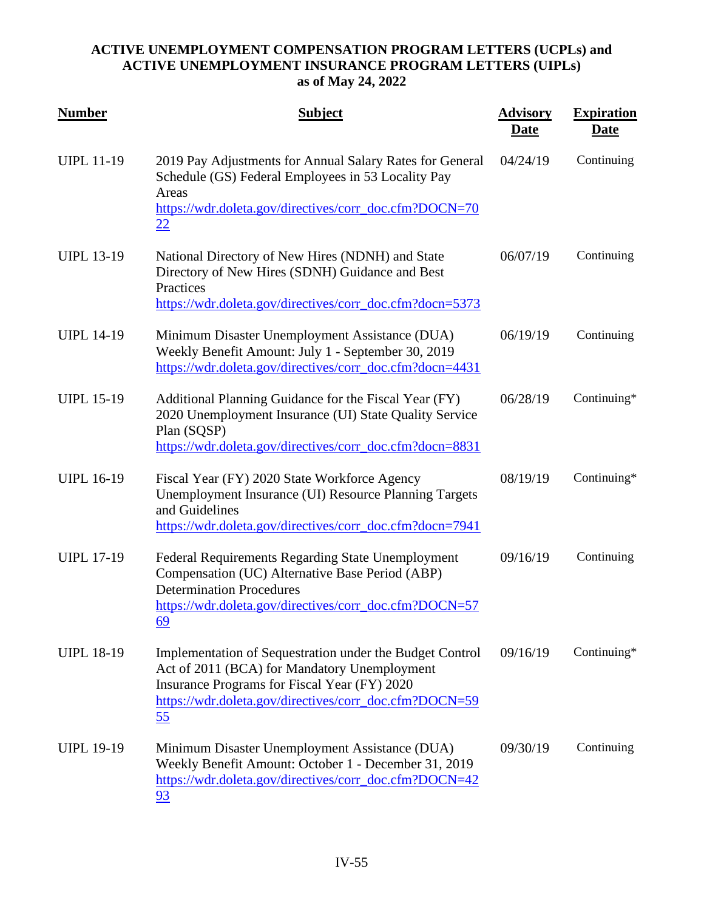| <b>Number</b>     | <b>Subject</b>                                                                                                                                                                                                                  | <b>Advisory</b><br><u>Date</u> | <b>Expiration</b><br><u>Date</u> |
|-------------------|---------------------------------------------------------------------------------------------------------------------------------------------------------------------------------------------------------------------------------|--------------------------------|----------------------------------|
| <b>UIPL 11-19</b> | 2019 Pay Adjustments for Annual Salary Rates for General<br>Schedule (GS) Federal Employees in 53 Locality Pay<br>Areas<br>https://wdr.doleta.gov/directives/corr_doc.cfm?DOCN=70<br>22                                         | 04/24/19                       | Continuing                       |
| <b>UIPL 13-19</b> | National Directory of New Hires (NDNH) and State<br>Directory of New Hires (SDNH) Guidance and Best<br>Practices<br>https://wdr.doleta.gov/directives/corr_doc.cfm?docn=5373                                                    | 06/07/19                       | Continuing                       |
| <b>UIPL 14-19</b> | Minimum Disaster Unemployment Assistance (DUA)<br>Weekly Benefit Amount: July 1 - September 30, 2019<br>https://wdr.doleta.gov/directives/corr_doc.cfm?docn=4431                                                                | 06/19/19                       | Continuing                       |
| <b>UIPL 15-19</b> | Additional Planning Guidance for the Fiscal Year (FY)<br>2020 Unemployment Insurance (UI) State Quality Service<br>Plan (SQSP)<br>https://wdr.doleta.gov/directives/corr_doc.cfm?docn=8831                                      | 06/28/19                       | Continuing*                      |
| <b>UIPL 16-19</b> | Fiscal Year (FY) 2020 State Workforce Agency<br>Unemployment Insurance (UI) Resource Planning Targets<br>and Guidelines<br>https://wdr.doleta.gov/directives/corr_doc.cfm?docn=7941                                             | 08/19/19                       | Continuing*                      |
| <b>UIPL 17-19</b> | <b>Federal Requirements Regarding State Unemployment</b><br>Compensation (UC) Alternative Base Period (ABP)<br><b>Determination Procedures</b><br>https://wdr.doleta.gov/directives/corr_doc.cfm?DOCN=57<br><u>69</u>           | 09/16/19                       | Continuing                       |
| <b>UIPL 18-19</b> | Implementation of Sequestration under the Budget Control<br>Act of 2011 (BCA) for Mandatory Unemployment<br>Insurance Programs for Fiscal Year (FY) 2020<br>https://wdr.doleta.gov/directives/corr_doc.cfm?DOCN=59<br><u>55</u> | 09/16/19                       | Continuing*                      |
| <b>UIPL 19-19</b> | Minimum Disaster Unemployment Assistance (DUA)<br>Weekly Benefit Amount: October 1 - December 31, 2019<br>https://wdr.doleta.gov/directives/corr_doc.cfm?DOCN=42<br>93                                                          | 09/30/19                       | Continuing                       |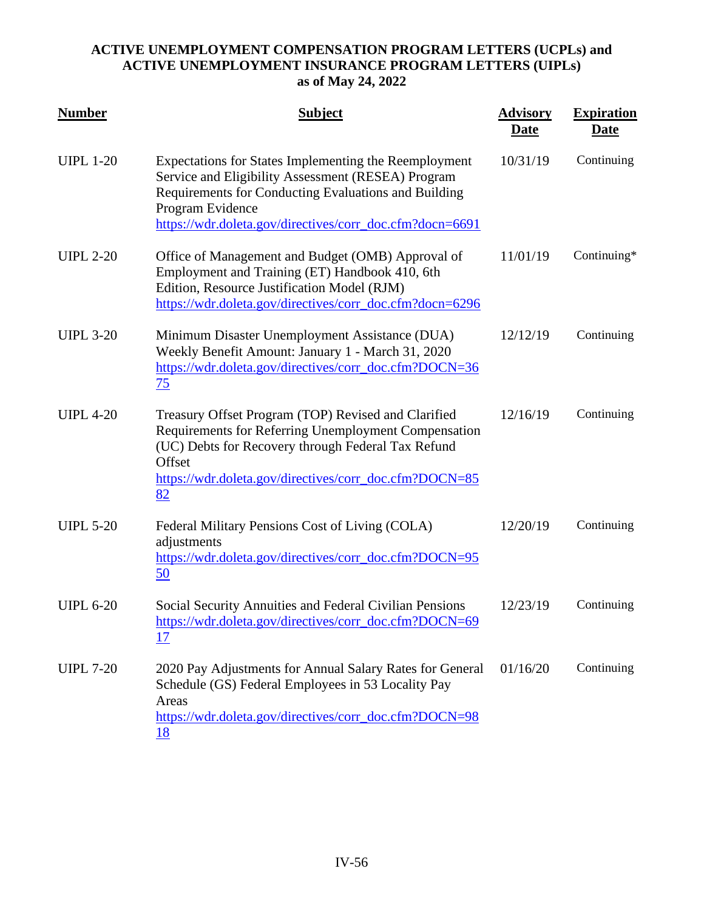| <b>Number</b>    | <b>Subject</b>                                                                                                                                                                                                                                      | <b>Advisory</b><br><b>Date</b> | <b>Expiration</b><br><u>Date</u> |
|------------------|-----------------------------------------------------------------------------------------------------------------------------------------------------------------------------------------------------------------------------------------------------|--------------------------------|----------------------------------|
| <b>UIPL 1-20</b> | Expectations for States Implementing the Reemployment<br>Service and Eligibility Assessment (RESEA) Program<br>Requirements for Conducting Evaluations and Building<br>Program Evidence<br>https://wdr.doleta.gov/directives/corr_doc.cfm?docn=6691 | 10/31/19                       | Continuing                       |
| <b>UIPL 2-20</b> | Office of Management and Budget (OMB) Approval of<br>Employment and Training (ET) Handbook 410, 6th<br>Edition, Resource Justification Model (RJM)<br>https://wdr.doleta.gov/directives/corr_doc.cfm?docn=6296                                      | 11/01/19                       | Continuing*                      |
| <b>UIPL 3-20</b> | Minimum Disaster Unemployment Assistance (DUA)<br>Weekly Benefit Amount: January 1 - March 31, 2020<br>https://wdr.doleta.gov/directives/corr_doc.cfm?DOCN=36<br>75                                                                                 | 12/12/19                       | Continuing                       |
| <b>UIPL 4-20</b> | Treasury Offset Program (TOP) Revised and Clarified<br>Requirements for Referring Unemployment Compensation<br>(UC) Debts for Recovery through Federal Tax Refund<br>Offset<br>https://wdr.doleta.gov/directives/corr_doc.cfm?DOCN=85<br>82         | 12/16/19                       | Continuing                       |
| <b>UIPL 5-20</b> | Federal Military Pensions Cost of Living (COLA)<br>adjustments<br>https://wdr.doleta.gov/directives/corr_doc.cfm?DOCN=95<br>50                                                                                                                      | 12/20/19                       | Continuing                       |
| <b>UIPL 6-20</b> | Social Security Annuities and Federal Civilian Pensions<br>https://wdr.doleta.gov/directives/corr_doc.cfm?DOCN=69<br>17                                                                                                                             | 12/23/19                       | Continuing                       |
| <b>UIPL 7-20</b> | 2020 Pay Adjustments for Annual Salary Rates for General<br>Schedule (GS) Federal Employees in 53 Locality Pay<br>Areas<br>https://wdr.doleta.gov/directives/corr_doc.cfm?DOCN=98<br>18                                                             | 01/16/20                       | Continuing                       |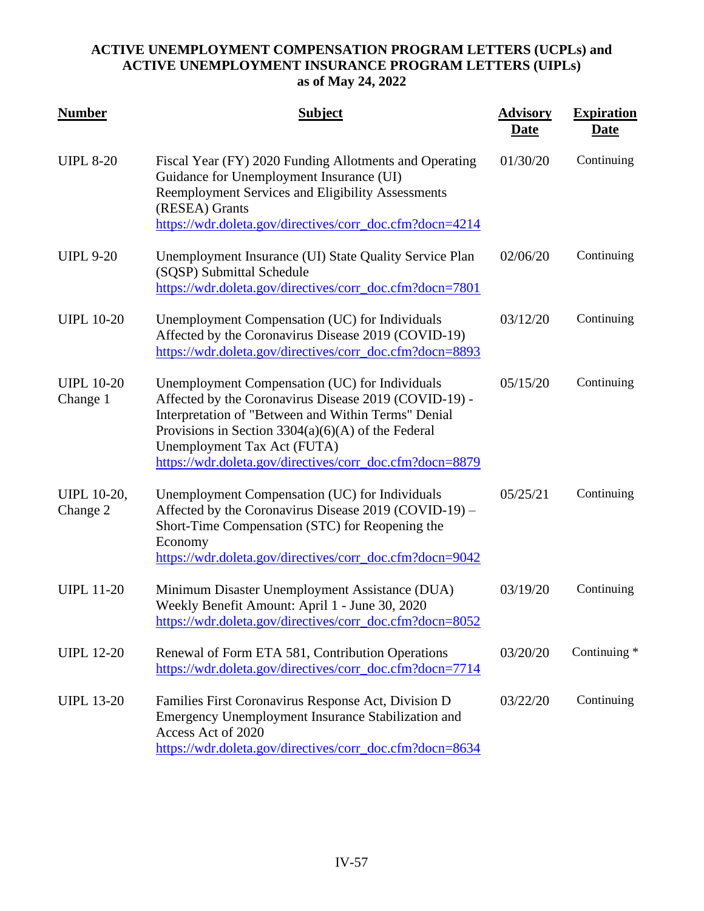| <b>Number</b>                  | <b>Subject</b>                                                                                                                                                                                                                                                                                                    | <b>Advisory</b><br>Date | <b>Expiration</b><br><b>Date</b> |
|--------------------------------|-------------------------------------------------------------------------------------------------------------------------------------------------------------------------------------------------------------------------------------------------------------------------------------------------------------------|-------------------------|----------------------------------|
| <b>UIPL 8-20</b>               | Fiscal Year (FY) 2020 Funding Allotments and Operating<br>Guidance for Unemployment Insurance (UI)<br>Reemployment Services and Eligibility Assessments<br>(RESEA) Grants<br>https://wdr.doleta.gov/directives/corr_doc.cfm?docn=4214                                                                             | 01/30/20                | Continuing                       |
| <b>UIPL 9-20</b>               | Unemployment Insurance (UI) State Quality Service Plan<br>(SQSP) Submittal Schedule<br>https://wdr.doleta.gov/directives/corr_doc.cfm?docn=7801                                                                                                                                                                   | 02/06/20                | Continuing                       |
| <b>UIPL 10-20</b>              | Unemployment Compensation (UC) for Individuals<br>Affected by the Coronavirus Disease 2019 (COVID-19)<br>https://wdr.doleta.gov/directives/corr_doc.cfm?docn=8893                                                                                                                                                 | 03/12/20                | Continuing                       |
| <b>UIPL 10-20</b><br>Change 1  | Unemployment Compensation (UC) for Individuals<br>Affected by the Coronavirus Disease 2019 (COVID-19) -<br>Interpretation of "Between and Within Terms" Denial<br>Provisions in Section $3304(a)(6)(A)$ of the Federal<br>Unemployment Tax Act (FUTA)<br>https://wdr.doleta.gov/directives/corr_doc.cfm?docn=8879 | 05/15/20                | Continuing                       |
| <b>UIPL 10-20,</b><br>Change 2 | Unemployment Compensation (UC) for Individuals<br>Affected by the Coronavirus Disease 2019 (COVID-19) –<br>Short-Time Compensation (STC) for Reopening the<br>Economy<br>https://wdr.doleta.gov/directives/corr_doc.cfm?docn=9042                                                                                 | 05/25/21                | Continuing                       |
| <b>UIPL 11-20</b>              | Minimum Disaster Unemployment Assistance (DUA)<br>Weekly Benefit Amount: April 1 - June 30, 2020<br>https://wdr.doleta.gov/directives/corr_doc.cfm?docn=8052                                                                                                                                                      | 03/19/20                | Continuing                       |
| <b>UIPL 12-20</b>              | Renewal of Form ETA 581, Contribution Operations<br>https://wdr.doleta.gov/directives/corr_doc.cfm?docn=7714                                                                                                                                                                                                      | 03/20/20                | Continuing *                     |
| <b>UIPL 13-20</b>              | Families First Coronavirus Response Act, Division D<br>Emergency Unemployment Insurance Stabilization and<br>Access Act of 2020<br>https://wdr.doleta.gov/directives/corr_doc.cfm?docn=8634                                                                                                                       | 03/22/20                | Continuing                       |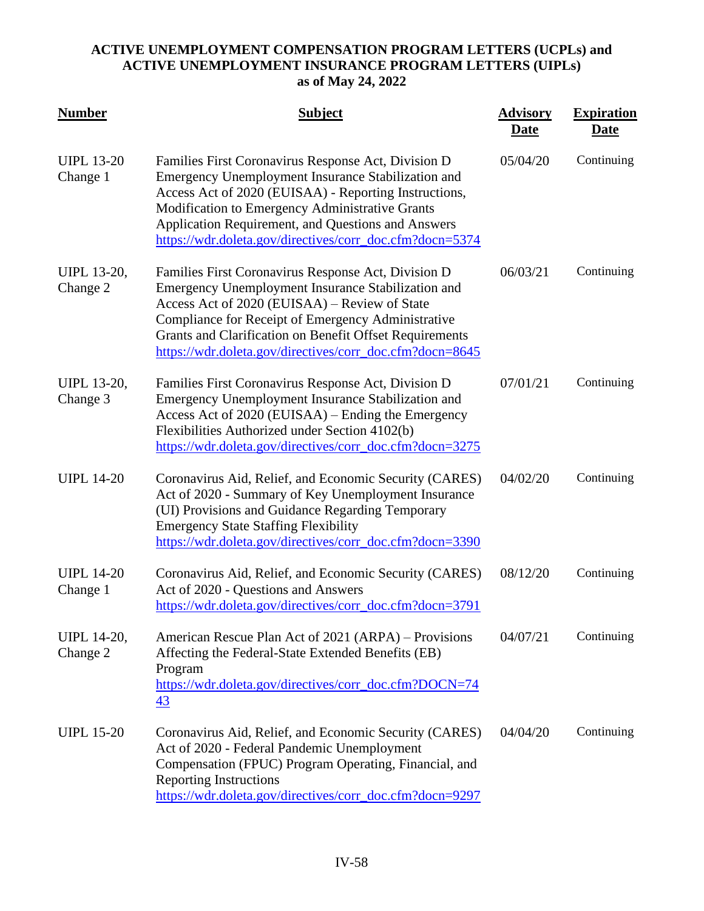| <b>Number</b>                  | <b>Subject</b>                                                                                                                                                                                                                                                                                                                          | <b>Advisory</b><br>Date | <b>Expiration</b><br><b>Date</b> |
|--------------------------------|-----------------------------------------------------------------------------------------------------------------------------------------------------------------------------------------------------------------------------------------------------------------------------------------------------------------------------------------|-------------------------|----------------------------------|
| <b>UIPL 13-20</b><br>Change 1  | Families First Coronavirus Response Act, Division D<br>Emergency Unemployment Insurance Stabilization and<br>Access Act of 2020 (EUISAA) - Reporting Instructions,<br>Modification to Emergency Administrative Grants<br>Application Requirement, and Questions and Answers<br>https://wdr.doleta.gov/directives/corr_doc.cfm?docn=5374 | 05/04/20                | Continuing                       |
| UIPL 13-20,<br>Change 2        | Families First Coronavirus Response Act, Division D<br>Emergency Unemployment Insurance Stabilization and<br>Access Act of 2020 (EUISAA) – Review of State<br>Compliance for Receipt of Emergency Administrative<br>Grants and Clarification on Benefit Offset Requirements<br>https://wdr.doleta.gov/directives/corr_doc.cfm?docn=8645 | 06/03/21                | Continuing                       |
| <b>UIPL 13-20,</b><br>Change 3 | Families First Coronavirus Response Act, Division D<br>Emergency Unemployment Insurance Stabilization and<br>Access Act of 2020 (EUISAA) – Ending the Emergency<br>Flexibilities Authorized under Section 4102(b)<br>https://wdr.doleta.gov/directives/corr_doc.cfm?docn=3275                                                           | 07/01/21                | Continuing                       |
| <b>UIPL 14-20</b>              | Coronavirus Aid, Relief, and Economic Security (CARES)<br>Act of 2020 - Summary of Key Unemployment Insurance<br>(UI) Provisions and Guidance Regarding Temporary<br><b>Emergency State Staffing Flexibility</b><br>https://wdr.doleta.gov/directives/corr_doc.cfm?docn=3390                                                            | 04/02/20                | Continuing                       |
| <b>UIPL 14-20</b><br>Change 1  | Coronavirus Aid, Relief, and Economic Security (CARES)<br>Act of 2020 - Questions and Answers<br>https://wdr.doleta.gov/directives/corr_doc.cfm?docn=3791                                                                                                                                                                               | 08/12/20                | Continuing                       |
| UIPL 14-20,<br>Change 2        | American Rescue Plan Act of 2021 (ARPA) – Provisions<br>Affecting the Federal-State Extended Benefits (EB)<br>Program<br>https://wdr.doleta.gov/directives/corr_doc.cfm?DOCN=74<br>43                                                                                                                                                   | 04/07/21                | Continuing                       |
| <b>UIPL 15-20</b>              | Coronavirus Aid, Relief, and Economic Security (CARES)<br>Act of 2020 - Federal Pandemic Unemployment<br>Compensation (FPUC) Program Operating, Financial, and<br><b>Reporting Instructions</b><br>https://wdr.doleta.gov/directives/corr_doc.cfm?docn=9297                                                                             | 04/04/20                | Continuing                       |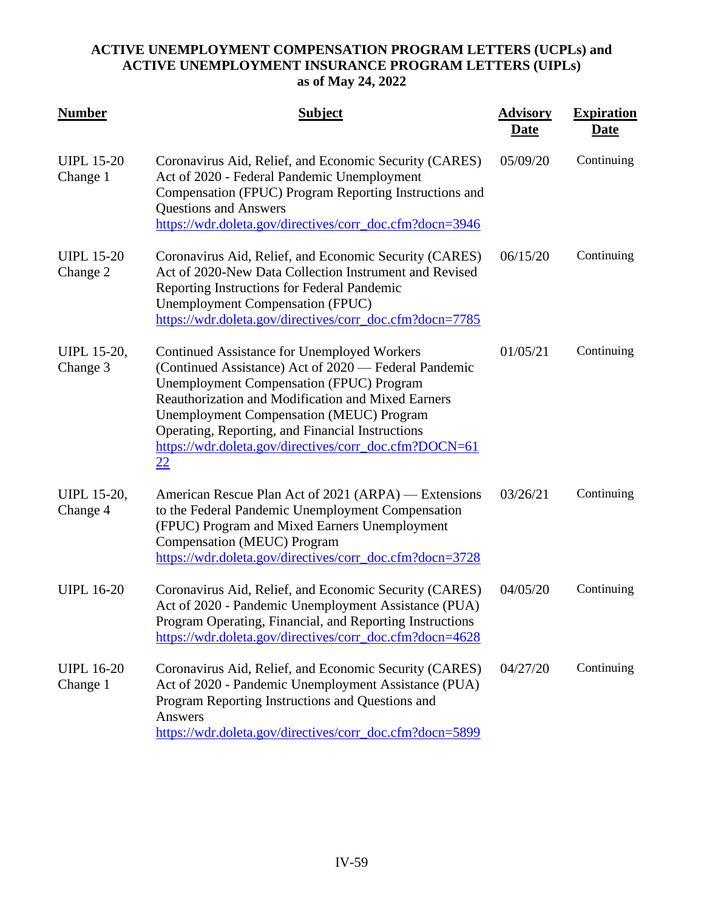| <b>Number</b>                  | <b>Subject</b>                                                                                                                                                                                                                                                                                                                                                                              | <b>Advisory</b><br><u>Date</u> | <b>Expiration</b><br><u>Date</u> |
|--------------------------------|---------------------------------------------------------------------------------------------------------------------------------------------------------------------------------------------------------------------------------------------------------------------------------------------------------------------------------------------------------------------------------------------|--------------------------------|----------------------------------|
| <b>UIPL 15-20</b><br>Change 1  | Coronavirus Aid, Relief, and Economic Security (CARES)<br>Act of 2020 - Federal Pandemic Unemployment<br>Compensation (FPUC) Program Reporting Instructions and<br><b>Questions and Answers</b><br>https://wdr.doleta.gov/directives/corr_doc.cfm?docn=3946                                                                                                                                 | 05/09/20                       | Continuing                       |
| <b>UIPL 15-20</b><br>Change 2  | Coronavirus Aid, Relief, and Economic Security (CARES)<br>Act of 2020-New Data Collection Instrument and Revised<br>Reporting Instructions for Federal Pandemic<br><b>Unemployment Compensation (FPUC)</b><br>https://wdr.doleta.gov/directives/corr_doc.cfm?docn=7785                                                                                                                      | 06/15/20                       | Continuing                       |
| <b>UIPL 15-20,</b><br>Change 3 | <b>Continued Assistance for Unemployed Workers</b><br>(Continued Assistance) Act of 2020 — Federal Pandemic<br><b>Unemployment Compensation (FPUC) Program</b><br>Reauthorization and Modification and Mixed Earners<br><b>Unemployment Compensation (MEUC) Program</b><br>Operating, Reporting, and Financial Instructions<br>https://wdr.doleta.gov/directives/corr_doc.cfm?DOCN=61<br>22 | 01/05/21                       | Continuing                       |
| <b>UIPL 15-20,</b><br>Change 4 | American Rescue Plan Act of 2021 (ARPA) — Extensions<br>to the Federal Pandemic Unemployment Compensation<br>(FPUC) Program and Mixed Earners Unemployment<br>Compensation (MEUC) Program<br>https://wdr.doleta.gov/directives/corr_doc.cfm?docn=3728                                                                                                                                       | 03/26/21                       | Continuing                       |
| <b>UIPL 16-20</b>              | Coronavirus Aid, Relief, and Economic Security (CARES)<br>Act of 2020 - Pandemic Unemployment Assistance (PUA)<br>Program Operating, Financial, and Reporting Instructions<br>https://wdr.doleta.gov/directives/corr_doc.cfm?docn=4628                                                                                                                                                      | 04/05/20                       | Continuing                       |
| <b>UIPL 16-20</b><br>Change 1  | Coronavirus Aid, Relief, and Economic Security (CARES)<br>Act of 2020 - Pandemic Unemployment Assistance (PUA)<br>Program Reporting Instructions and Questions and<br>Answers<br>https://wdr.doleta.gov/directives/corr_doc.cfm?docn=5899                                                                                                                                                   | 04/27/20                       | Continuing                       |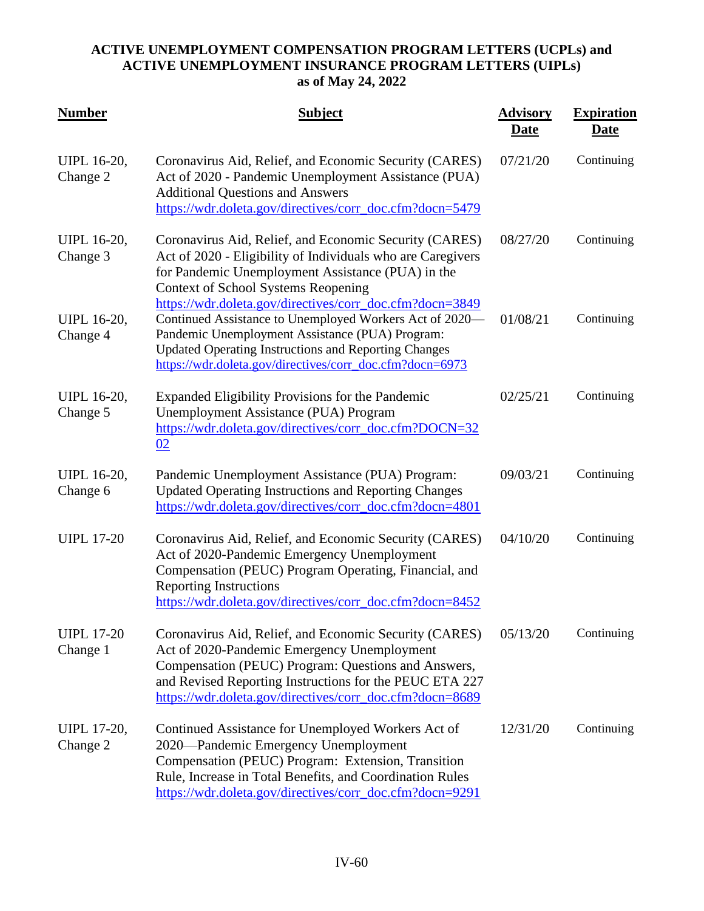| <b>Number</b>                  | <b>Subject</b>                                                                                                                                                                                                                                                                       | <b>Advisory</b><br>Date | <b>Expiration</b><br><u>Date</u> |
|--------------------------------|--------------------------------------------------------------------------------------------------------------------------------------------------------------------------------------------------------------------------------------------------------------------------------------|-------------------------|----------------------------------|
| <b>UIPL 16-20,</b><br>Change 2 | Coronavirus Aid, Relief, and Economic Security (CARES)<br>Act of 2020 - Pandemic Unemployment Assistance (PUA)<br><b>Additional Questions and Answers</b><br>https://wdr.doleta.gov/directives/corr_doc.cfm?docn=5479                                                                | 07/21/20                | Continuing                       |
| <b>UIPL 16-20,</b><br>Change 3 | Coronavirus Aid, Relief, and Economic Security (CARES)<br>Act of 2020 - Eligibility of Individuals who are Caregivers<br>for Pandemic Unemployment Assistance (PUA) in the<br><b>Context of School Systems Reopening</b><br>https://wdr.doleta.gov/directives/corr_doc.cfm?docn=3849 | 08/27/20                | Continuing                       |
| <b>UIPL 16-20,</b><br>Change 4 | Continued Assistance to Unemployed Workers Act of 2020-<br>Pandemic Unemployment Assistance (PUA) Program:<br><b>Updated Operating Instructions and Reporting Changes</b><br>https://wdr.doleta.gov/directives/corr_doc.cfm?docn=6973                                                | 01/08/21                | Continuing                       |
| UIPL 16-20,<br>Change 5        | Expanded Eligibility Provisions for the Pandemic<br>Unemployment Assistance (PUA) Program<br>https://wdr.doleta.gov/directives/corr_doc.cfm?DOCN=32<br>02                                                                                                                            | 02/25/21                | Continuing                       |
| <b>UIPL 16-20,</b><br>Change 6 | Pandemic Unemployment Assistance (PUA) Program:<br><b>Updated Operating Instructions and Reporting Changes</b><br>https://wdr.doleta.gov/directives/corr_doc.cfm?docn=4801                                                                                                           | 09/03/21                | Continuing                       |
| <b>UIPL 17-20</b>              | Coronavirus Aid, Relief, and Economic Security (CARES)<br>Act of 2020-Pandemic Emergency Unemployment<br>Compensation (PEUC) Program Operating, Financial, and<br><b>Reporting Instructions</b><br>https://wdr.doleta.gov/directives/corr_doc.cfm?docn=8452                          | 04/10/20                | Continuing                       |
| <b>UIPL 17-20</b><br>Change 1  | Coronavirus Aid, Relief, and Economic Security (CARES)<br>Act of 2020-Pandemic Emergency Unemployment<br>Compensation (PEUC) Program: Questions and Answers,<br>and Revised Reporting Instructions for the PEUC ETA 227<br>https://wdr.doleta.gov/directives/corr_doc.cfm?docn=8689  | 05/13/20                | Continuing                       |
| <b>UIPL 17-20,</b><br>Change 2 | Continued Assistance for Unemployed Workers Act of<br>2020—Pandemic Emergency Unemployment<br>Compensation (PEUC) Program: Extension, Transition<br>Rule, Increase in Total Benefits, and Coordination Rules<br>https://wdr.doleta.gov/directives/corr_doc.cfm?docn=9291             | 12/31/20                | Continuing                       |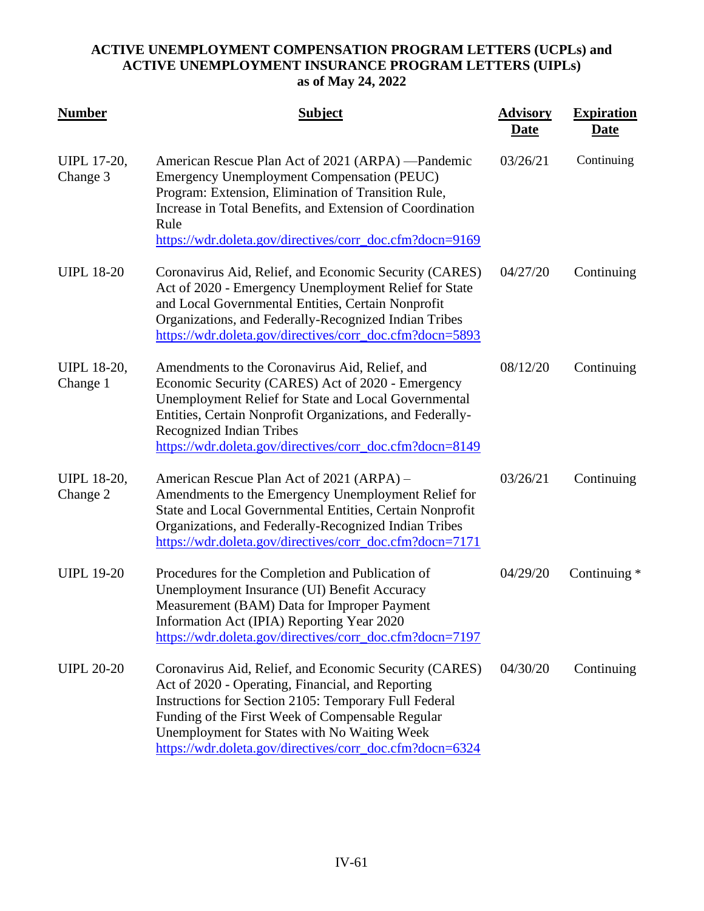| <b>Number</b>                  | <b>Subject</b>                                                                                                                                                                                                                                                                                                                       | <b>Advisory</b><br>Date | <b>Expiration</b><br>Date |
|--------------------------------|--------------------------------------------------------------------------------------------------------------------------------------------------------------------------------------------------------------------------------------------------------------------------------------------------------------------------------------|-------------------------|---------------------------|
| <b>UIPL 17-20,</b><br>Change 3 | American Rescue Plan Act of 2021 (ARPA) -Pandemic<br><b>Emergency Unemployment Compensation (PEUC)</b><br>Program: Extension, Elimination of Transition Rule,<br>Increase in Total Benefits, and Extension of Coordination<br>Rule<br>https://wdr.doleta.gov/directives/corr_doc.cfm?docn=9169                                       | 03/26/21                | Continuing                |
| <b>UIPL 18-20</b>              | Coronavirus Aid, Relief, and Economic Security (CARES)<br>Act of 2020 - Emergency Unemployment Relief for State<br>and Local Governmental Entities, Certain Nonprofit<br>Organizations, and Federally-Recognized Indian Tribes<br>https://wdr.doleta.gov/directives/corr_doc.cfm?docn=5893                                           | 04/27/20                | Continuing                |
| <b>UIPL 18-20,</b><br>Change 1 | Amendments to the Coronavirus Aid, Relief, and<br>Economic Security (CARES) Act of 2020 - Emergency<br>Unemployment Relief for State and Local Governmental<br>Entities, Certain Nonprofit Organizations, and Federally-<br><b>Recognized Indian Tribes</b><br>https://wdr.doleta.gov/directives/corr_doc.cfm?docn=8149              | 08/12/20                | Continuing                |
| <b>UIPL 18-20,</b><br>Change 2 | American Rescue Plan Act of 2021 (ARPA) –<br>Amendments to the Emergency Unemployment Relief for<br>State and Local Governmental Entities, Certain Nonprofit<br>Organizations, and Federally-Recognized Indian Tribes<br>https://wdr.doleta.gov/directives/corr_doc.cfm?docn=7171                                                    | 03/26/21                | Continuing                |
| <b>UIPL 19-20</b>              | Procedures for the Completion and Publication of<br>Unemployment Insurance (UI) Benefit Accuracy<br>Measurement (BAM) Data for Improper Payment<br>Information Act (IPIA) Reporting Year 2020<br>https://wdr.doleta.gov/directives/corr_doc.cfm?docn=7197                                                                            | 04/29/20                | Continuing *              |
| <b>UIPL 20-20</b>              | Coronavirus Aid, Relief, and Economic Security (CARES)<br>Act of 2020 - Operating, Financial, and Reporting<br>Instructions for Section 2105: Temporary Full Federal<br>Funding of the First Week of Compensable Regular<br>Unemployment for States with No Waiting Week<br>https://wdr.doleta.gov/directives/corr_doc.cfm?docn=6324 | 04/30/20                | Continuing                |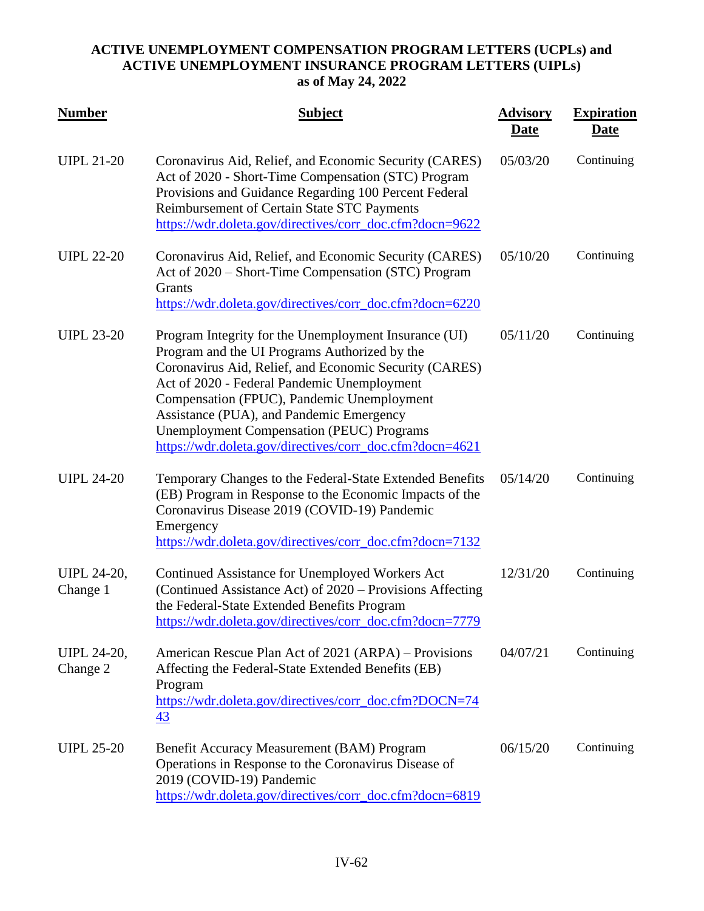| <b>Number</b>                  | <b>Subject</b>                                                                                                                                                                                                                                                                                                                                                                                                            | <b>Advisory</b><br>Date | <b>Expiration</b><br><b>Date</b> |
|--------------------------------|---------------------------------------------------------------------------------------------------------------------------------------------------------------------------------------------------------------------------------------------------------------------------------------------------------------------------------------------------------------------------------------------------------------------------|-------------------------|----------------------------------|
| <b>UIPL 21-20</b>              | Coronavirus Aid, Relief, and Economic Security (CARES)<br>Act of 2020 - Short-Time Compensation (STC) Program<br>Provisions and Guidance Regarding 100 Percent Federal<br>Reimbursement of Certain State STC Payments<br>https://wdr.doleta.gov/directives/corr_doc.cfm?docn=9622                                                                                                                                         | 05/03/20                | Continuing                       |
| <b>UIPL 22-20</b>              | Coronavirus Aid, Relief, and Economic Security (CARES)<br>Act of 2020 – Short-Time Compensation (STC) Program<br>Grants<br>https://wdr.doleta.gov/directives/corr_doc.cfm?docn=6220                                                                                                                                                                                                                                       | 05/10/20                | Continuing                       |
| <b>UIPL 23-20</b>              | Program Integrity for the Unemployment Insurance (UI)<br>Program and the UI Programs Authorized by the<br>Coronavirus Aid, Relief, and Economic Security (CARES)<br>Act of 2020 - Federal Pandemic Unemployment<br>Compensation (FPUC), Pandemic Unemployment<br>Assistance (PUA), and Pandemic Emergency<br><b>Unemployment Compensation (PEUC) Programs</b><br>https://wdr.doleta.gov/directives/corr_doc.cfm?docn=4621 | 05/11/20                | Continuing                       |
| <b>UIPL 24-20</b>              | Temporary Changes to the Federal-State Extended Benefits<br>(EB) Program in Response to the Economic Impacts of the<br>Coronavirus Disease 2019 (COVID-19) Pandemic<br>Emergency<br>https://wdr.doleta.gov/directives/corr_doc.cfm?docn=7132                                                                                                                                                                              | 05/14/20                | Continuing                       |
| <b>UIPL 24-20,</b><br>Change 1 | Continued Assistance for Unemployed Workers Act<br>(Continued Assistance Act) of 2020 – Provisions Affecting<br>the Federal-State Extended Benefits Program<br>https://wdr.doleta.gov/directives/corr_doc.cfm?docn=7779                                                                                                                                                                                                   | 12/31/20                | Continuing                       |
| UIPL 24-20,<br>Change 2        | American Rescue Plan Act of 2021 (ARPA) – Provisions<br>Affecting the Federal-State Extended Benefits (EB)<br>Program<br>https://wdr.doleta.gov/directives/corr_doc.cfm?DOCN=74<br>$\overline{43}$                                                                                                                                                                                                                        | 04/07/21                | Continuing                       |
| <b>UIPL 25-20</b>              | Benefit Accuracy Measurement (BAM) Program<br>Operations in Response to the Coronavirus Disease of<br>2019 (COVID-19) Pandemic<br>https://wdr.doleta.gov/directives/corr_doc.cfm?docn=6819                                                                                                                                                                                                                                | 06/15/20                | Continuing                       |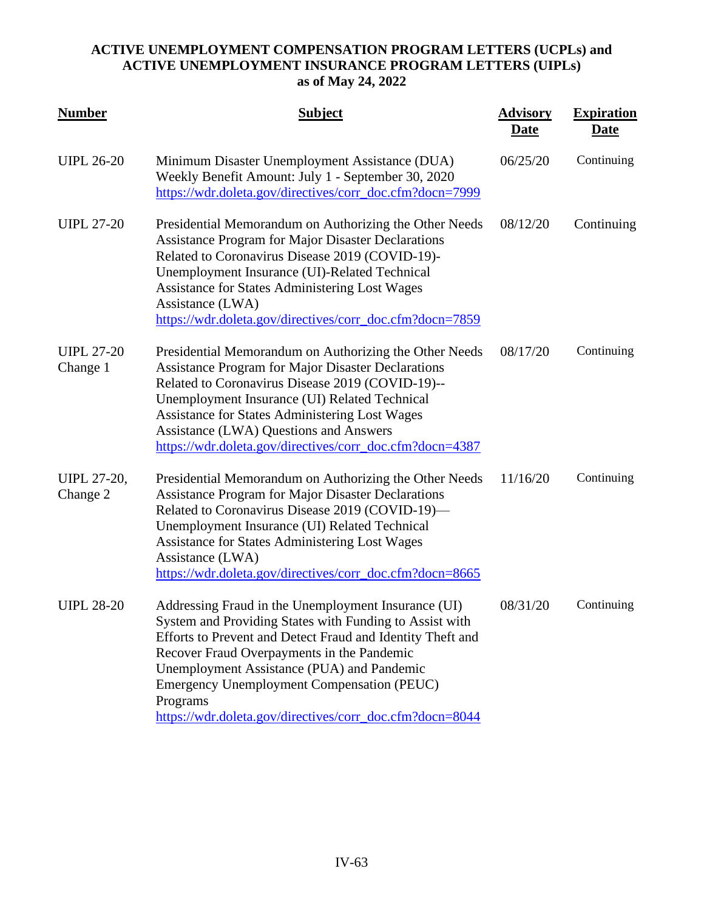| <b>Number</b>                  | <b>Subject</b>                                                                                                                                                                                                                                                                                                                                                                                        | <b>Advisory</b><br>Date | <b>Expiration</b><br><u>Date</u> |
|--------------------------------|-------------------------------------------------------------------------------------------------------------------------------------------------------------------------------------------------------------------------------------------------------------------------------------------------------------------------------------------------------------------------------------------------------|-------------------------|----------------------------------|
| <b>UIPL 26-20</b>              | Minimum Disaster Unemployment Assistance (DUA)<br>Weekly Benefit Amount: July 1 - September 30, 2020<br>https://wdr.doleta.gov/directives/corr_doc.cfm?docn=7999                                                                                                                                                                                                                                      | 06/25/20                | Continuing                       |
| <b>UIPL 27-20</b>              | Presidential Memorandum on Authorizing the Other Needs<br><b>Assistance Program for Major Disaster Declarations</b><br>Related to Coronavirus Disease 2019 (COVID-19)-<br>Unemployment Insurance (UI)-Related Technical<br><b>Assistance for States Administering Lost Wages</b><br>Assistance (LWA)<br>https://wdr.doleta.gov/directives/corr_doc.cfm?docn=7859                                      | 08/12/20                | Continuing                       |
| <b>UIPL 27-20</b><br>Change 1  | Presidential Memorandum on Authorizing the Other Needs<br><b>Assistance Program for Major Disaster Declarations</b><br>Related to Coronavirus Disease 2019 (COVID-19)--<br>Unemployment Insurance (UI) Related Technical<br><b>Assistance for States Administering Lost Wages</b><br><b>Assistance (LWA) Questions and Answers</b><br>https://wdr.doleta.gov/directives/corr_doc.cfm?docn=4387        | 08/17/20                | Continuing                       |
| <b>UIPL 27-20,</b><br>Change 2 | Presidential Memorandum on Authorizing the Other Needs<br><b>Assistance Program for Major Disaster Declarations</b><br>Related to Coronavirus Disease 2019 (COVID-19)-<br>Unemployment Insurance (UI) Related Technical<br><b>Assistance for States Administering Lost Wages</b><br>Assistance (LWA)<br>https://wdr.doleta.gov/directives/corr_doc.cfm?docn=8665                                      | 11/16/20                | Continuing                       |
| <b>UIPL 28-20</b>              | Addressing Fraud in the Unemployment Insurance (UI)<br>System and Providing States with Funding to Assist with<br>Efforts to Prevent and Detect Fraud and Identity Theft and<br>Recover Fraud Overpayments in the Pandemic<br>Unemployment Assistance (PUA) and Pandemic<br><b>Emergency Unemployment Compensation (PEUC)</b><br>Programs<br>https://wdr.doleta.gov/directives/corr_doc.cfm?docn=8044 | 08/31/20                | Continuing                       |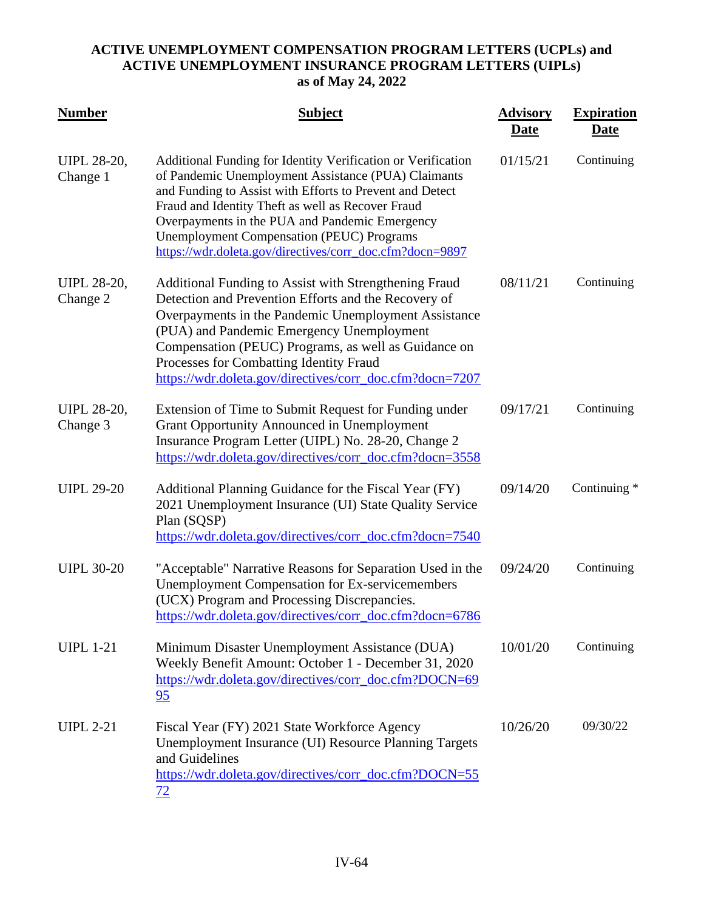| <b>Number</b>                  | <b>Subject</b>                                                                                                                                                                                                                                                                                                                                                                                         | <b>Advisory</b><br><b>Date</b> | <b>Expiration</b><br><u>Date</u> |
|--------------------------------|--------------------------------------------------------------------------------------------------------------------------------------------------------------------------------------------------------------------------------------------------------------------------------------------------------------------------------------------------------------------------------------------------------|--------------------------------|----------------------------------|
| <b>UIPL 28-20,</b><br>Change 1 | Additional Funding for Identity Verification or Verification<br>of Pandemic Unemployment Assistance (PUA) Claimants<br>and Funding to Assist with Efforts to Prevent and Detect<br>Fraud and Identity Theft as well as Recover Fraud<br>Overpayments in the PUA and Pandemic Emergency<br><b>Unemployment Compensation (PEUC) Programs</b><br>https://wdr.doleta.gov/directives/corr_doc.cfm?docn=9897 | 01/15/21                       | Continuing                       |
| <b>UIPL 28-20,</b><br>Change 2 | Additional Funding to Assist with Strengthening Fraud<br>Detection and Prevention Efforts and the Recovery of<br>Overpayments in the Pandemic Unemployment Assistance<br>(PUA) and Pandemic Emergency Unemployment<br>Compensation (PEUC) Programs, as well as Guidance on<br>Processes for Combatting Identity Fraud<br>https://wdr.doleta.gov/directives/corr_doc.cfm?docn=7207                      | 08/11/21                       | Continuing                       |
| <b>UIPL 28-20,</b><br>Change 3 | Extension of Time to Submit Request for Funding under<br><b>Grant Opportunity Announced in Unemployment</b><br>Insurance Program Letter (UIPL) No. 28-20, Change 2<br>https://wdr.doleta.gov/directives/corr_doc.cfm?docn=3558                                                                                                                                                                         | 09/17/21                       | Continuing                       |
| <b>UIPL 29-20</b>              | Additional Planning Guidance for the Fiscal Year (FY)<br>2021 Unemployment Insurance (UI) State Quality Service<br>Plan (SQSP)<br>https://wdr.doleta.gov/directives/corr_doc.cfm?docn=7540                                                                                                                                                                                                             | 09/14/20                       | Continuing *                     |
| <b>UIPL 30-20</b>              | "Acceptable" Narrative Reasons for Separation Used in the<br><b>Unemployment Compensation for Ex-servicemembers</b><br>(UCX) Program and Processing Discrepancies.<br>https://wdr.doleta.gov/directives/corr_doc.cfm?docn=6786                                                                                                                                                                         | 09/24/20                       | Continuing                       |
| <b>UIPL 1-21</b>               | Minimum Disaster Unemployment Assistance (DUA)<br>Weekly Benefit Amount: October 1 - December 31, 2020<br>https://wdr.doleta.gov/directives/corr_doc.cfm?DOCN=69<br>95                                                                                                                                                                                                                                 | 10/01/20                       | Continuing                       |
| <b>UIPL 2-21</b>               | Fiscal Year (FY) 2021 State Workforce Agency<br>Unemployment Insurance (UI) Resource Planning Targets<br>and Guidelines<br>https://wdr.doleta.gov/directives/corr_doc.cfm?DOCN=55<br>72                                                                                                                                                                                                                | 10/26/20                       | 09/30/22                         |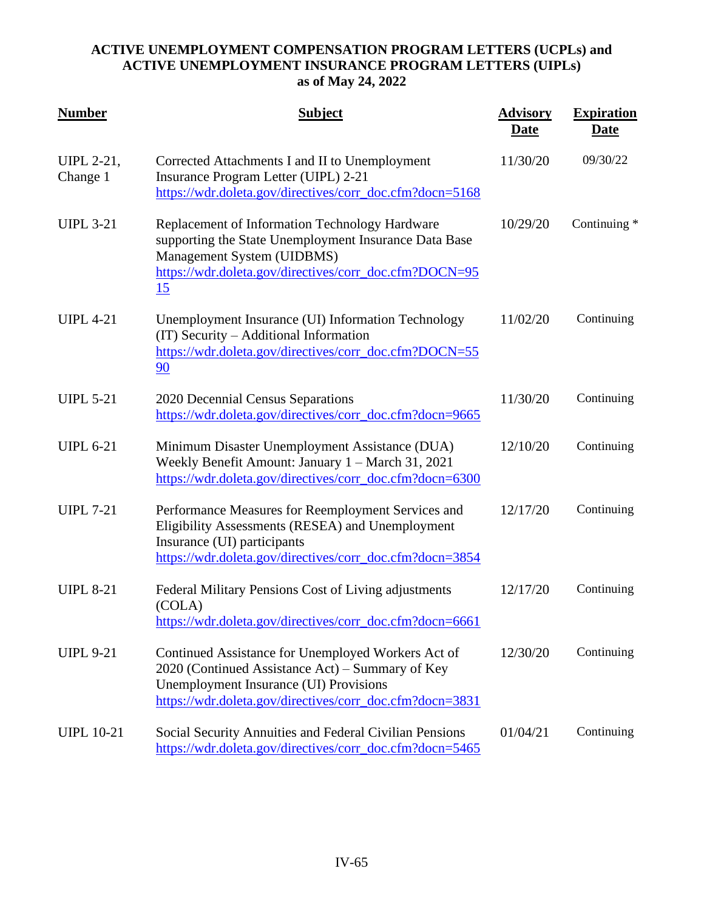| <b>Number</b>                 | <b>Subject</b>                                                                                                                                                                                                      | <b>Advisory</b><br>Date | <b>Expiration</b><br><u>Date</u> |
|-------------------------------|---------------------------------------------------------------------------------------------------------------------------------------------------------------------------------------------------------------------|-------------------------|----------------------------------|
| <b>UIPL 2-21,</b><br>Change 1 | Corrected Attachments I and II to Unemployment<br>Insurance Program Letter (UIPL) 2-21<br>https://wdr.doleta.gov/directives/corr_doc.cfm?docn=5168                                                                  | 11/30/20                | 09/30/22                         |
| <b>UIPL 3-21</b>              | Replacement of Information Technology Hardware<br>supporting the State Unemployment Insurance Data Base<br>Management System (UIDBMS)<br>https://wdr.doleta.gov/directives/corr_doc.cfm?DOCN=95<br>15               | 10/29/20                | Continuing *                     |
| <b>UIPL 4-21</b>              | Unemployment Insurance (UI) Information Technology<br>(IT) Security – Additional Information<br>https://wdr.doleta.gov/directives/corr_doc.cfm?DOCN=55<br>90                                                        | 11/02/20                | Continuing                       |
| <b>UIPL 5-21</b>              | 2020 Decennial Census Separations<br>https://wdr.doleta.gov/directives/corr_doc.cfm?docn=9665                                                                                                                       | 11/30/20                | Continuing                       |
| <b>UIPL 6-21</b>              | Minimum Disaster Unemployment Assistance (DUA)<br>Weekly Benefit Amount: January 1 - March 31, 2021<br>https://wdr.doleta.gov/directives/corr_doc.cfm?docn=6300                                                     | 12/10/20                | Continuing                       |
| <b>UIPL 7-21</b>              | Performance Measures for Reemployment Services and<br>Eligibility Assessments (RESEA) and Unemployment<br>Insurance (UI) participants<br>https://wdr.doleta.gov/directives/corr_doc.cfm?docn=3854                   | 12/17/20                | Continuing                       |
| <b>UIPL 8-21</b>              | Federal Military Pensions Cost of Living adjustments<br>(COLA)<br>https://wdr.doleta.gov/directives/corr_doc.cfm?docn=6661                                                                                          | 12/17/20                | Continuing                       |
| <b>UIPL 9-21</b>              | Continued Assistance for Unemployed Workers Act of<br>2020 (Continued Assistance Act) – Summary of Key<br><b>Unemployment Insurance (UI) Provisions</b><br>https://wdr.doleta.gov/directives/corr_doc.cfm?docn=3831 | 12/30/20                | Continuing                       |
| <b>UIPL 10-21</b>             | Social Security Annuities and Federal Civilian Pensions<br>https://wdr.doleta.gov/directives/corr_doc.cfm?docn=5465                                                                                                 | 01/04/21                | Continuing                       |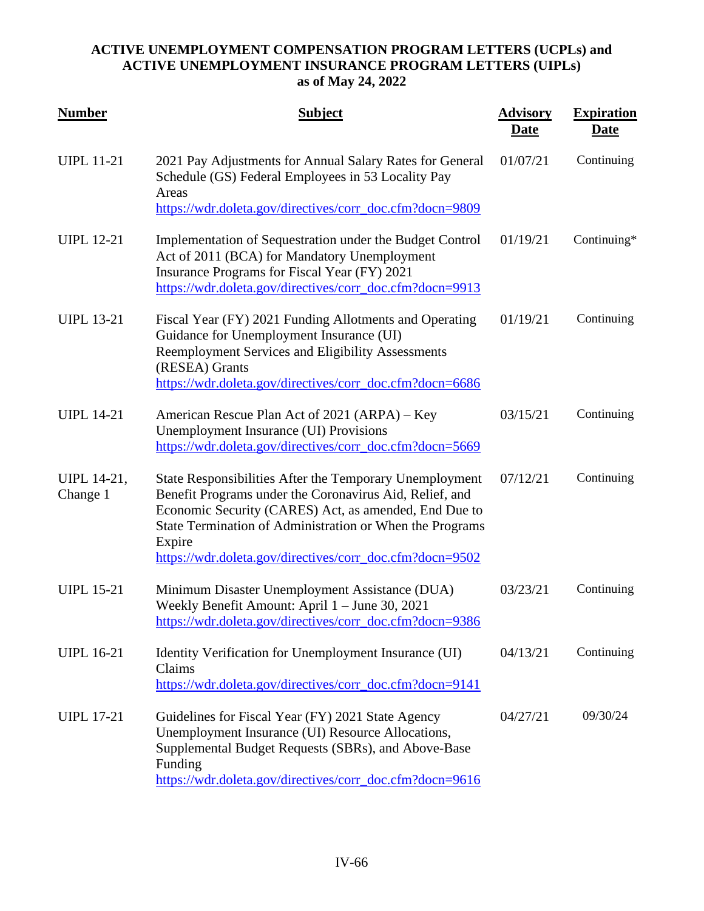| <b>Number</b>           | <b>Subject</b>                                                                                                                                                                                                                                                                                                | <b>Advisory</b><br><u>Date</u> | <b>Expiration</b><br><u>Date</u> |
|-------------------------|---------------------------------------------------------------------------------------------------------------------------------------------------------------------------------------------------------------------------------------------------------------------------------------------------------------|--------------------------------|----------------------------------|
| <b>UIPL 11-21</b>       | 2021 Pay Adjustments for Annual Salary Rates for General<br>Schedule (GS) Federal Employees in 53 Locality Pay<br>Areas                                                                                                                                                                                       | 01/07/21                       | Continuing                       |
|                         | https://wdr.doleta.gov/directives/corr_doc.cfm?docn=9809                                                                                                                                                                                                                                                      |                                |                                  |
| <b>UIPL 12-21</b>       | Implementation of Sequestration under the Budget Control<br>Act of 2011 (BCA) for Mandatory Unemployment<br>Insurance Programs for Fiscal Year (FY) 2021<br>https://wdr.doleta.gov/directives/corr_doc.cfm?docn=9913                                                                                          | 01/19/21                       | Continuing*                      |
| <b>UIPL 13-21</b>       | Fiscal Year (FY) 2021 Funding Allotments and Operating<br>Guidance for Unemployment Insurance (UI)<br>Reemployment Services and Eligibility Assessments<br>(RESEA) Grants<br>https://wdr.doleta.gov/directives/corr_doc.cfm?docn=6686                                                                         | 01/19/21                       | Continuing                       |
| <b>UIPL 14-21</b>       | American Rescue Plan Act of 2021 (ARPA) – Key<br><b>Unemployment Insurance (UI) Provisions</b><br>https://wdr.doleta.gov/directives/corr_doc.cfm?docn=5669                                                                                                                                                    | 03/15/21                       | Continuing                       |
| UIPL 14-21,<br>Change 1 | State Responsibilities After the Temporary Unemployment<br>Benefit Programs under the Coronavirus Aid, Relief, and<br>Economic Security (CARES) Act, as amended, End Due to<br>State Termination of Administration or When the Programs<br>Expire<br>https://wdr.doleta.gov/directives/corr_doc.cfm?docn=9502 | 07/12/21                       | Continuing                       |
| <b>UIPL 15-21</b>       | Minimum Disaster Unemployment Assistance (DUA)<br>Weekly Benefit Amount: April 1 - June 30, 2021<br>https://wdr.doleta.gov/directives/corr_doc.cfm?docn=9386                                                                                                                                                  | 03/23/21                       | Continuing                       |
| <b>UIPL 16-21</b>       | Identity Verification for Unemployment Insurance (UI)<br>Claims<br>https://wdr.doleta.gov/directives/corr_doc.cfm?docn=9141                                                                                                                                                                                   | 04/13/21                       | Continuing                       |
| <b>UIPL 17-21</b>       | Guidelines for Fiscal Year (FY) 2021 State Agency<br>Unemployment Insurance (UI) Resource Allocations,<br>Supplemental Budget Requests (SBRs), and Above-Base<br>Funding<br>https://wdr.doleta.gov/directives/corr_doc.cfm?docn=9616                                                                          | 04/27/21                       | 09/30/24                         |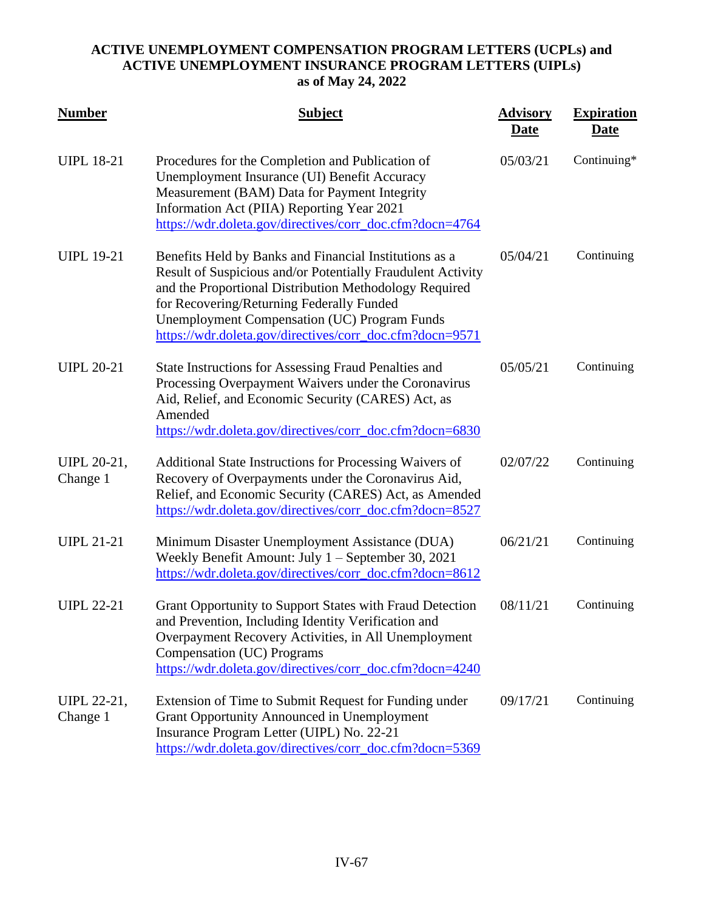| <b>Number</b>           | <b>Subject</b>                                                                                                                                                                                                                                                                                                                                  | <b>Advisory</b><br><b>Date</b> | <b>Expiration</b><br><b>Date</b> |
|-------------------------|-------------------------------------------------------------------------------------------------------------------------------------------------------------------------------------------------------------------------------------------------------------------------------------------------------------------------------------------------|--------------------------------|----------------------------------|
| <b>UIPL 18-21</b>       | Procedures for the Completion and Publication of<br>Unemployment Insurance (UI) Benefit Accuracy<br>Measurement (BAM) Data for Payment Integrity<br>Information Act (PIIA) Reporting Year 2021<br>https://wdr.doleta.gov/directives/corr_doc.cfm?docn=4764                                                                                      | 05/03/21                       | Continuing*                      |
| <b>UIPL 19-21</b>       | Benefits Held by Banks and Financial Institutions as a<br>Result of Suspicious and/or Potentially Fraudulent Activity<br>and the Proportional Distribution Methodology Required<br>for Recovering/Returning Federally Funded<br><b>Unemployment Compensation (UC) Program Funds</b><br>https://wdr.doleta.gov/directives/corr_doc.cfm?docn=9571 | 05/04/21                       | Continuing                       |
| <b>UIPL 20-21</b>       | <b>State Instructions for Assessing Fraud Penalties and</b><br>Processing Overpayment Waivers under the Coronavirus<br>Aid, Relief, and Economic Security (CARES) Act, as<br>Amended<br>https://wdr.doleta.gov/directives/corr_doc.cfm?docn=6830                                                                                                | 05/05/21                       | Continuing                       |
| UIPL 20-21,<br>Change 1 | Additional State Instructions for Processing Waivers of<br>Recovery of Overpayments under the Coronavirus Aid,<br>Relief, and Economic Security (CARES) Act, as Amended<br>https://wdr.doleta.gov/directives/corr_doc.cfm?docn=8527                                                                                                             | 02/07/22                       | Continuing                       |
| <b>UIPL 21-21</b>       | Minimum Disaster Unemployment Assistance (DUA)<br>Weekly Benefit Amount: July 1 – September 30, 2021<br>https://wdr.doleta.gov/directives/corr_doc.cfm?docn=8612                                                                                                                                                                                | 06/21/21                       | Continuing                       |
| <b>UIPL 22-21</b>       | Grant Opportunity to Support States with Fraud Detection<br>and Prevention, Including Identity Verification and<br>Overpayment Recovery Activities, in All Unemployment<br>Compensation (UC) Programs<br>https://wdr.doleta.gov/directives/corr_doc.cfm?docn=4240                                                                               | 08/11/21                       | Continuing                       |
| UIPL 22-21,<br>Change 1 | Extension of Time to Submit Request for Funding under<br><b>Grant Opportunity Announced in Unemployment</b><br>Insurance Program Letter (UIPL) No. 22-21<br>https://wdr.doleta.gov/directives/corr_doc.cfm?docn=5369                                                                                                                            | 09/17/21                       | Continuing                       |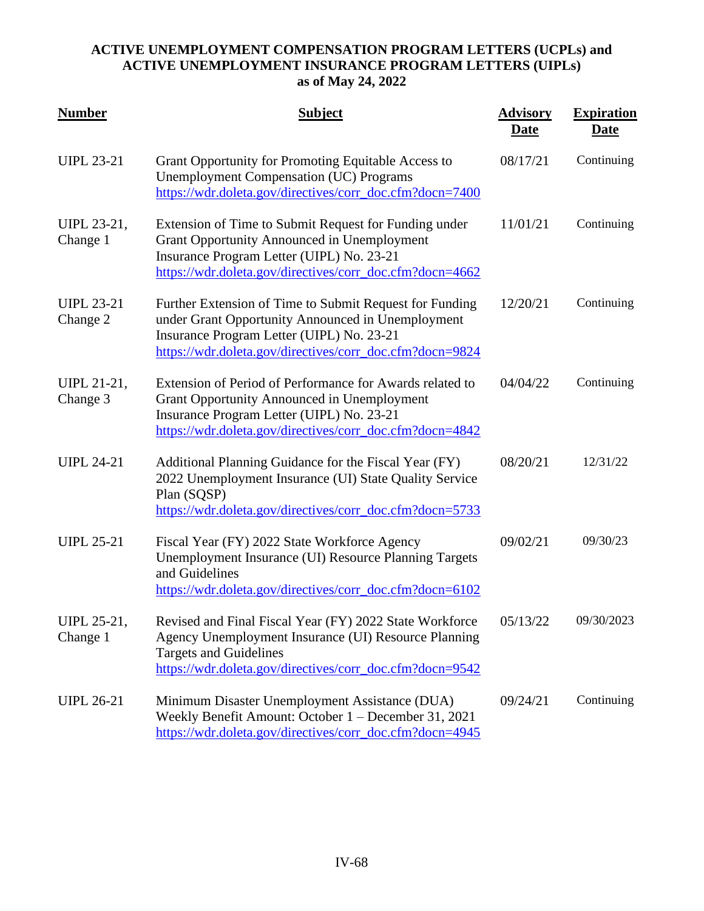| <b>Number</b>                 | <b>Subject</b>                                                                                                                                                                                                          | <b>Advisory</b><br><b>Date</b> | <b>Expiration</b><br><b>Date</b> |
|-------------------------------|-------------------------------------------------------------------------------------------------------------------------------------------------------------------------------------------------------------------------|--------------------------------|----------------------------------|
| <b>UIPL 23-21</b>             | Grant Opportunity for Promoting Equitable Access to<br><b>Unemployment Compensation (UC) Programs</b><br>https://wdr.doleta.gov/directives/corr_doc.cfm?docn=7400                                                       | 08/17/21                       | Continuing                       |
| UIPL 23-21,<br>Change 1       | Extension of Time to Submit Request for Funding under<br><b>Grant Opportunity Announced in Unemployment</b><br>Insurance Program Letter (UIPL) No. 23-21<br>https://wdr.doleta.gov/directives/corr_doc.cfm?docn=4662    | 11/01/21                       | Continuing                       |
| <b>UIPL 23-21</b><br>Change 2 | Further Extension of Time to Submit Request for Funding<br>under Grant Opportunity Announced in Unemployment<br>Insurance Program Letter (UIPL) No. 23-21<br>https://wdr.doleta.gov/directives/corr_doc.cfm?docn=9824   | 12/20/21                       | Continuing                       |
| UIPL 21-21,<br>Change 3       | Extension of Period of Performance for Awards related to<br><b>Grant Opportunity Announced in Unemployment</b><br>Insurance Program Letter (UIPL) No. 23-21<br>https://wdr.doleta.gov/directives/corr_doc.cfm?docn=4842 | 04/04/22                       | Continuing                       |
| <b>UIPL 24-21</b>             | Additional Planning Guidance for the Fiscal Year (FY)<br>2022 Unemployment Insurance (UI) State Quality Service<br>Plan (SQSP)<br>https://wdr.doleta.gov/directives/corr_doc.cfm?docn=5733                              | 08/20/21                       | 12/31/22                         |
| <b>UIPL 25-21</b>             | Fiscal Year (FY) 2022 State Workforce Agency<br>Unemployment Insurance (UI) Resource Planning Targets<br>and Guidelines<br>https://wdr.doleta.gov/directives/corr_doc.cfm?docn=6102                                     | 09/02/21                       | 09/30/23                         |
| UIPL 25-21,<br>Change 1       | Revised and Final Fiscal Year (FY) 2022 State Workforce<br>Agency Unemployment Insurance (UI) Resource Planning<br><b>Targets and Guidelines</b><br>https://wdr.doleta.gov/directives/corr_doc.cfm?docn=9542            | 05/13/22                       | 09/30/2023                       |
| <b>UIPL 26-21</b>             | Minimum Disaster Unemployment Assistance (DUA)<br>Weekly Benefit Amount: October 1 – December 31, 2021<br>https://wdr.doleta.gov/directives/corr_doc.cfm?docn=4945                                                      | 09/24/21                       | Continuing                       |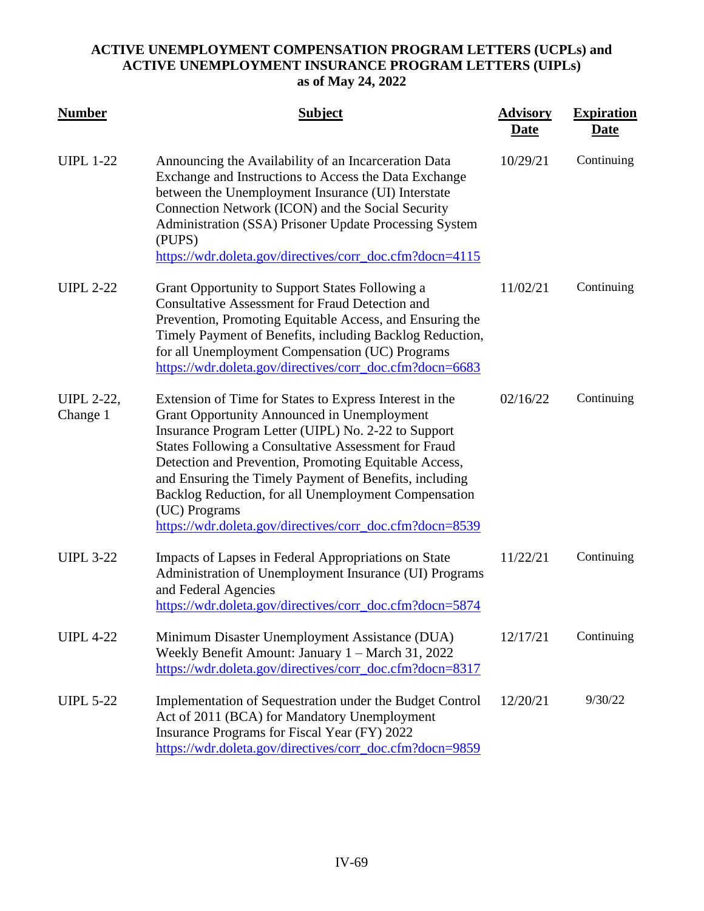| <b>Number</b>                 | <b>Subject</b>                                                                                                                                                                                                                                                                                                                                                                                                                                                                              | <b>Advisory</b><br><b>Date</b> | <b>Expiration</b><br><b>Date</b> |
|-------------------------------|---------------------------------------------------------------------------------------------------------------------------------------------------------------------------------------------------------------------------------------------------------------------------------------------------------------------------------------------------------------------------------------------------------------------------------------------------------------------------------------------|--------------------------------|----------------------------------|
| <b>UIPL 1-22</b>              | Announcing the Availability of an Incarceration Data<br>Exchange and Instructions to Access the Data Exchange<br>between the Unemployment Insurance (UI) Interstate<br>Connection Network (ICON) and the Social Security<br>Administration (SSA) Prisoner Update Processing System<br>(PUPS)<br>https://wdr.doleta.gov/directives/corr_doc.cfm?docn=4115                                                                                                                                    | 10/29/21                       | Continuing                       |
| <b>UIPL 2-22</b>              | Grant Opportunity to Support States Following a<br><b>Consultative Assessment for Fraud Detection and</b><br>Prevention, Promoting Equitable Access, and Ensuring the<br>Timely Payment of Benefits, including Backlog Reduction,<br>for all Unemployment Compensation (UC) Programs<br>https://wdr.doleta.gov/directives/corr_doc.cfm?docn=6683                                                                                                                                            | 11/02/21                       | Continuing                       |
| <b>UIPL 2-22,</b><br>Change 1 | Extension of Time for States to Express Interest in the<br><b>Grant Opportunity Announced in Unemployment</b><br>Insurance Program Letter (UIPL) No. 2-22 to Support<br><b>States Following a Consultative Assessment for Fraud</b><br>Detection and Prevention, Promoting Equitable Access,<br>and Ensuring the Timely Payment of Benefits, including<br>Backlog Reduction, for all Unemployment Compensation<br>(UC) Programs<br>https://wdr.doleta.gov/directives/corr_doc.cfm?docn=8539 | 02/16/22                       | Continuing                       |
| <b>UIPL 3-22</b>              | Impacts of Lapses in Federal Appropriations on State<br>Administration of Unemployment Insurance (UI) Programs<br>and Federal Agencies<br>https://wdr.doleta.gov/directives/corr_doc.cfm?docn=5874                                                                                                                                                                                                                                                                                          | 11/22/21                       | Continuing                       |
| <b>UIPL 4-22</b>              | Minimum Disaster Unemployment Assistance (DUA)<br>Weekly Benefit Amount: January 1 – March 31, 2022<br>https://wdr.doleta.gov/directives/corr_doc.cfm?docn=8317                                                                                                                                                                                                                                                                                                                             | 12/17/21                       | Continuing                       |
| <b>UIPL 5-22</b>              | Implementation of Sequestration under the Budget Control<br>Act of 2011 (BCA) for Mandatory Unemployment<br>Insurance Programs for Fiscal Year (FY) 2022<br>https://wdr.doleta.gov/directives/corr_doc.cfm?docn=9859                                                                                                                                                                                                                                                                        | 12/20/21                       | 9/30/22                          |